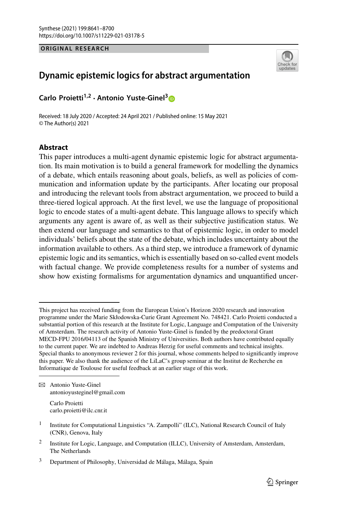#### **ORIGINAL RESEARCH**



# **Dynamic epistemic logics for abstract argumentation**

**Carlo Proietti1,2 · Antonio Yuste-Ginel[3](http://orcid.org/0000-0002-4380-3095)**

Received: 18 July 2020 / Accepted: 24 April 2021 / Published online: 15 May 2021 © The Author(s) 2021

## **Abstract**

This paper introduces a multi-agent dynamic epistemic logic for abstract argumentation. Its main motivation is to build a general framework for modelling the dynamics of a debate, which entails reasoning about goals, beliefs, as well as policies of communication and information update by the participants. After locating our proposal and introducing the relevant tools from abstract argumentation, we proceed to build a three-tiered logical approach. At the first level, we use the language of propositional logic to encode states of a multi-agent debate. This language allows to specify which arguments any agent is aware of, as well as their subjective justification status. We then extend our language and semantics to that of epistemic logic, in order to model individuals' beliefs about the state of the debate, which includes uncertainty about the information available to others. As a third step, we introduce a framework of dynamic epistemic logic and its semantics, which is essentially based on so-called event models with factual change. We provide completeness results for a number of systems and show how existing formalisms for argumentation dynamics and unquantified uncer-

B Antonio Yuste-Ginel antonioyusteginel@gmail.com

> Carlo Proietti carlo.proietti@ilc.cnr.it

This project has received funding from the European Union's Horizon 2020 research and innovation programme under the Marie Skłodowska-Curie Grant Agreement No. 748421. Carlo Proietti conducted a substantial portion of this research at the Institute for Logic, Language and Computation of the University of Amsterdam. The research activity of Antonio Yuste-Ginel is funded by the predoctoral Grant MECD-FPU 2016/04113 of the Spanish Ministry of Universities. Both authors have contributed equally to the current paper. We are indebted to Andreas Herzig for useful comments and technical insights. Special thanks to anonymous reviewer 2 for this journal, whose comments helped to significantly improve this paper. We also thank the audience of the LiLaC's group seminar at the Institut de Recherche en Informatique de Toulouse for useful feedback at an earlier stage of this work.

<sup>&</sup>lt;sup>1</sup> Institute for Computational Linguistics "A. Zampolli" (ILC), National Research Council of Italy (CNR), Genova, Italy

<sup>&</sup>lt;sup>2</sup> Institute for Logic, Language, and Computation (ILLC), University of Amsterdam, Amsterdam, The Netherlands

<sup>3</sup> Department of Philosophy, Universidad de Málaga, Málaga, Spain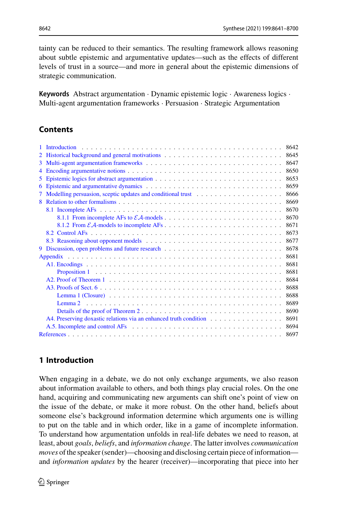tainty can be reduced to their semantics. The resulting framework allows reasoning about subtle epistemic and argumentative updates—such as the effects of different levels of trust in a source—and more in general about the epistemic dimensions of strategic communication.

**Keywords** Abstract argumentation · Dynamic epistemic logic · Awareness logics · Multi-agent argumentation frameworks · Persuasion · Strategic Argumentation

# **Contents**

|    |                                                                                                                                                                                                                                  | 8642 |
|----|----------------------------------------------------------------------------------------------------------------------------------------------------------------------------------------------------------------------------------|------|
|    | 2 Historical background and general motivations                                                                                                                                                                                  | 8645 |
|    |                                                                                                                                                                                                                                  | 8647 |
| 4  |                                                                                                                                                                                                                                  | 8650 |
| 5. |                                                                                                                                                                                                                                  | 8653 |
| 6  |                                                                                                                                                                                                                                  | 8659 |
|    | 7 Modelling persuasion, sceptic updates and conditional trust<br>Theorem Antes Alexander Alexander Alexander Alexander Alexander Alexander Alexander Alexander Alexander Alexander Alexander Alexander Alexander Alexander Alexa | 8666 |
|    | 8 Relation to other formalisms entering the set of the set of the set of the set of the set of the set of the set of the set of the set of the set of the set of the set of the set of the set of the set of the set of the se   | 8669 |
|    |                                                                                                                                                                                                                                  | 8670 |
|    |                                                                                                                                                                                                                                  | 8670 |
|    |                                                                                                                                                                                                                                  | 8671 |
|    |                                                                                                                                                                                                                                  | 8673 |
|    |                                                                                                                                                                                                                                  | 8677 |
| 9  |                                                                                                                                                                                                                                  | 8678 |
|    |                                                                                                                                                                                                                                  | 8681 |
|    | Al. Encodings experience in the contract of the contract of the contract of the contract of the contract of the contract of the contract of the contract of the contract of the contract of the contract of the contract of th   | 8681 |
|    | Proposition 1 matrix and the contract of the contract of the contract of the contract of the contract of the contract of the contract of the contract of the contract of the contract of the contract of the contract of the c   | 8681 |
|    |                                                                                                                                                                                                                                  | 8684 |
|    |                                                                                                                                                                                                                                  | 8688 |
|    | Lemma 1 (Closure) $\ldots$ , $\ldots$ , $\ldots$ , $\ldots$ , $\ldots$ , $\ldots$ , $\ldots$ , $\ldots$ , $\ldots$ , $\ldots$ , $\ldots$ , $\ldots$                                                                              | 8688 |
|    |                                                                                                                                                                                                                                  | 8689 |
|    |                                                                                                                                                                                                                                  | 8690 |
|    | A4. Preserving doxastic relations via an enhanced truth condition entries and set of the set of the set of the set of the set of the set of the set of the set of the set of the set of the set of the set of the set of the s   | 8691 |
|    | A.5. Incomplete and control AFs entertainment is not all the set of the set of the set of the set of the set of the set of the set of the set of the set of the set of the set of the set of the set of the set of the set of    | 8694 |
|    |                                                                                                                                                                                                                                  | 8697 |

# <span id="page-1-0"></span>**1 Introduction**

When engaging in a debate, we do not only exchange arguments, we also reason about information available to others, and both things play crucial roles. On the one hand, acquiring and communicating new arguments can shift one's point of view on the issue of the debate, or make it more robust. On the other hand, beliefs about someone else's background information determine which arguments one is willing to put on the table and in which order, like in a game of incomplete information. To understand how argumentation unfolds in real-life debates we need to reason, at least, about *goals*, *beliefs*, and *information change*. The latter involves *communication moves* of the speaker (sender)—choosing and disclosing certain piece of information and *information updates* by the hearer (receiver)—incorporating that piece into her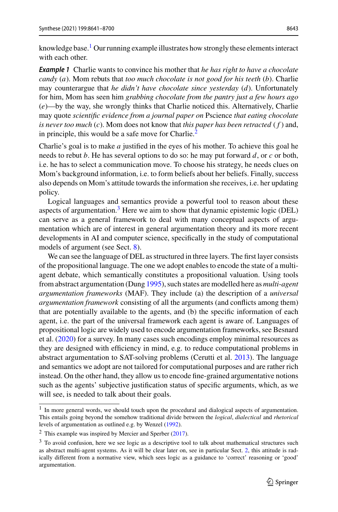<span id="page-2-3"></span>knowledge base.<sup>[1](#page-2-0)</sup> Our running example illustrates how strongly these elements interact with each other.

*Example 1* Charlie wants to convince his mother that *he has right to have a chocolate candy* (*a*). Mom rebuts that *too much chocolate is not good for his teeth* (*b*). Charlie may counterargue that *he didn't have chocolate since yesterday* (*d*). Unfortunately for him, Mom has seen him *grabbing chocolate from the pantry just a few hours ago* (*e*)—by the way, she wrongly thinks that Charlie noticed this. Alternatively, Charlie may quote *scientific evidence from a journal paper on* Pscience *that eating chocolate is never too much* (*c*). Mom does not know that *this paper has been retracted* ( *f* ) and, in principle, this would be a safe move for Charlie.<sup>2</sup>

Charlie's goal is to make *a* justified in the eyes of his mother. To achieve this goal he needs to rebut *b*. He has several options to do so: he may put forward *d*, or *c* or both, i.e. he has to select a communication move. To choose his strategy, he needs clues on Mom's background information, i.e. to form beliefs about her beliefs. Finally, success also depends on Mom's attitude towards the information she receives, i.e. her updating policy.

Logical languages and semantics provide a powerful tool to reason about these aspects of argumentation.<sup>3</sup> Here we aim to show that dynamic epistemic logic (DEL) can serve as a general framework to deal with many conceptual aspects of argumentation which are of interest in general argumentation theory and its more recent developments in AI and computer science, specifically in the study of computational models of argument (see Sect. [8\)](#page-28-0).

We can see the language of DEL as structured in three layers. The first layer consists of the propositional language. The one we adopt enables to encode the state of a multiagent debate, which semantically constitutes a propositional valuation. Using tools from abstract argumentation (Dun[g](#page-57-0) [1995](#page-57-0)), such states are modelled here as *multi-agent argumentation frameworks* (MAF). They include (a) the description of a *universal argumentation framework* consisting of all the arguments (and conflicts among them) that are potentially available to the agents, and (b) the specific information of each agent, i.e. the part of the universal framework each agent is aware of. Languages of propositional logic are widely used to encode argumentation frameworks, see Besnard et al[.](#page-56-1) [\(2020](#page-56-1)) for a survey. In many cases such encodings employ minimal resources as they are designed with efficiency in mind, e.g. to reduce computational problems in abstract argumentation to SAT-solving problems (Cerutti et al[.](#page-57-1) [2013\)](#page-57-1). The language and semantics we adopt are not tailored for computational purposes and are rather rich instead. On the other hand, they allow us to encode fine-grained argumentative notions such as the agents' subjective justification status of specific arguments, which, as we will see, is needed to talk about their goals.

<span id="page-2-0"></span><sup>&</sup>lt;sup>1</sup> In more general words, we should touch upon the procedural and dialogical aspects of argumentation. This entails going beyond the somehow traditional divide between the *logical*, *dialectical* and *rhetorical* levels of argumentation as outlined e.g. by Wenze[l](#page-59-0) [\(1992](#page-59-0)).

<span id="page-2-1"></span> $2$  This example was inspi[r](#page-58-0)ed by Mercier and Sperber [\(2017\)](#page-58-0).

<span id="page-2-2"></span><sup>&</sup>lt;sup>3</sup> To avoid confusion, here we see logic as a descriptive tool to talk about mathematical structures such as abstract multi-agent systems. As it will be clear later on, see in particular Sect. [2,](#page-4-0) this attitude is radically different from a normative view, which sees logic as a guidance to 'correct' reasoning or 'good' argumentation.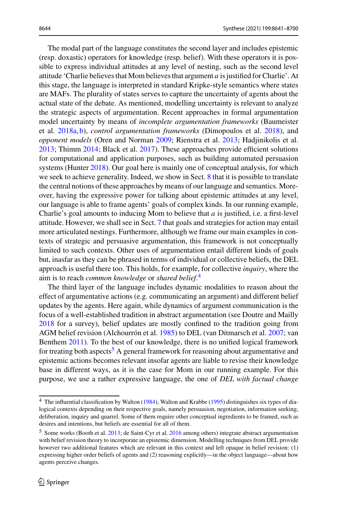The modal part of the language constitutes the second layer and includes epistemic (resp. doxastic) operators for knowledge (resp. belief). With these operators it is possible to express individual attitudes at any level of nesting, such as the second level attitude 'Charlie believes that Mom believes that argument *a* is justified for Charlie'. At this stage, the language is interpreted in standard Kripke-style semantics where states are MAFs. The plurality of states serves to capture the uncertainty of agents about the actual state of the debate. As mentioned, modelling uncertainty is relevant to analyze the strategic aspects of argumentation. Recent approaches in formal argumentation model uncertainty by means of *incomplete argumentation frameworks* (Baumeister et al[.](#page-56-2) [2018a,](#page-56-2) [b](#page-56-3)), *control argumentation frameworks* (Dimopoulos et al[.](#page-57-2) [2018](#page-57-2)), and *opponent models* (Oren and Norma[n](#page-58-1) [2009](#page-58-1); Rienstra et al[.](#page-59-1) [2013](#page-59-1); Hadjinikolis et al[.](#page-58-2) [2013;](#page-58-2) Thim[m](#page-59-2) [2014](#page-59-2); Black et al[.](#page-57-3) [2017\)](#page-57-3). These approaches provide efficient solutions for computational and application purposes, such as building automated persuasion systems (Hunte[r](#page-58-3) [2018\)](#page-58-3). Our goal here is mainly one of conceptual analysis, for which we seek to achieve generality. Indeed, we show in Sect. [8](#page-28-0) that it is possible to translate the central notions of these approaches by means of our language and semantics. Moreover, having the expressive power for talking about epistemic attitudes at any level, our language is able to frame agents' goals of complex kinds. In our running example, Charlie's goal amounts to inducing Mom to believe that *a* is justified, i.e. a first-level attitude. However, we shall see in Sect. [7](#page-25-0) that goals and strategies for action may entail more articulated nestings. Furthermore, although we frame our main examples in contexts of strategic and persuasive argumentation, this framework is not conceptually limited to such contexts. Other uses of argumentation entail different kinds of goals but, inasfar as they can be phrased in terms of individual or collective beliefs, the DEL approach is useful there too. This holds, for example, for collective *inquiry*, where the aim is to reach *common knowledge* or *shared belief*. [4](#page-3-0)

The third layer of the language includes dynamic modalities to reason about the effect of argumentative actions (e.g. communicating an argument) and different belief updates by the agents. Here again, while dynamics of argument communication is the focus of a well-established tradition in abstract argumentation (see Doutre and Maill[y](#page-57-4) [2018](#page-57-4) for a survey), belief updates are mostly confined to the tradition going from AGM belief revision (Alchourrón et al[.](#page-56-4) [1985](#page-56-4)) to DEL (van Ditmarsch et al[.](#page-59-3) [2007;](#page-59-3) van Benthe[m](#page-59-4) [2011](#page-59-4)). To the best of our knowledge, there is no unified logical framework for treating both aspects<sup>5</sup> A general framework for reasoning about argumentative and epistemic actions becomes relevant insofar agents are liable to revise their knowledge base in different ways, as it is the case for Mom in our running example. For this purpose, we use a rather expressive language, the one of *DEL with factual change*

<span id="page-3-0"></span><sup>&</sup>lt;sup>4</sup> The i[n](#page-59-5)fluential classification by Walton [\(1984](#page-59-5)), Walton and Krabb[e](#page-59-6) [\(1995](#page-59-6)) distinguishes six types of dialogical contexts depending on their respective goals, namely persuasion, negotiation, information seeking, deliberation, inquiry and quarrel. Some of them require other conceptual ingredients to be framed, such as desires and intentions, but beliefs are essential for all of them.

<span id="page-3-1"></span><sup>5</sup> Some works (Booth et al[.](#page-57-5) [2013](#page-57-5); de Saint-Cyr et al[.](#page-57-6) [2016](#page-57-6) among others) integrate abstract argumentation with belief revision theory to incorporate an epistemic dimension. Modelling techniques from DEL provide however two additional features which are relevant in this context and left opaque in belief revision: (1) expressing higher order beliefs of agents and (2) reasoning explicitly—in the object language—about how agents perceive changes.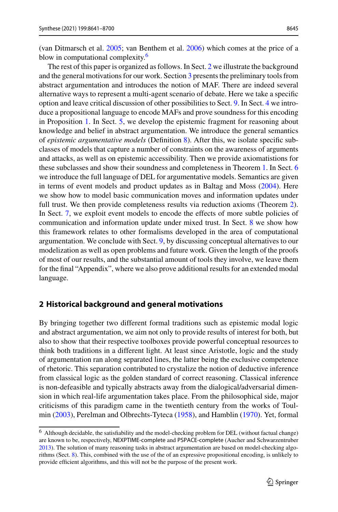(van Ditmarsch et al[.](#page-59-7) [2005](#page-59-7); van Benthem et al[.](#page-59-8) [2006](#page-59-8)) which comes at the price of a blow in computational complexity.<sup>6</sup>

The rest of this paper is organized as follows. In Sect. [2](#page-4-0) we illustrate the background and the general motivations for our work. Section [3](#page-6-0) presents the preliminary tools from abstract argumentation and introduces the notion of MAF. There are indeed several alternative ways to represent a multi-agent scenario of debate. Here we take a specific option and leave critical discussion of other possibilities to Sect. [9.](#page-37-0) In Sect. [4](#page-9-0) we introduce a propositional language to encode MAFs and prove soundness for this encoding in Proposition [1.](#page-11-0) In Sect. [5,](#page-12-0) we develop the epistemic fragment for reasoning about knowledge and belief in abstract argumentation. We introduce the general semantics of *epistemic argumentative models* (Definition [8\)](#page-12-1). After this, we isolate specific subclasses of models that capture a number of constraints on the awareness of arguments and attacks, as well as on epistemic accessibility. Then we provide axiomatistions for these subclasses and show their soundness and completeness in Theorem [1.](#page-17-0) In Sect. [6](#page-18-0) we introduce the full language of DEL for argumentative models. Semantics are given in terms of event models and product updates as in Baltag and Mos[s](#page-56-5) [\(2004](#page-56-5)). Here we show how to model basic communication moves and information updates under full trust. We then provide completeness results via reduction axioms (Theorem [2\)](#page-24-1). In Sect. [7,](#page-25-0) we exploit event models to encode the effects of more subtle policies of communication and information update under mixed trust. In Sect. [8](#page-28-0) we show how this framework relates to other formalisms developed in the area of computational argumentation. We conclude with Sect. [9,](#page-37-0) by discussing conceptual alternatives to our modelization as well as open problems and future work. Given the length of the proofs of most of our results, and the substantial amount of tools they involve, we leave them for the final "Appendix", where we also prove additional results for an extended modal language.

## <span id="page-4-0"></span>**2 Historical background and general motivations**

By bringing together two different formal traditions such as epistemic modal logic and abstract argumentation, we aim not only to provide results of interest for both, but also to show that their respective toolboxes provide powerful conceptual resources to think both traditions in a different light. At least since Aristotle, logic and the study of argumentation ran along separated lines, the latter being the exclusive competence of rhetoric. This separation contributed to crystalize the notion of deductive inference from classical logic as the golden standard of correct reasoning. Classical inference is non-defeasible and typically abstracts away from the dialogical/adversarial dimension in which real-life argumentation takes place. From the philosophical side, major criticisms of this paradigm came in the twentieth century from the works of Toulmi[n](#page-59-9) [\(2003\)](#page-59-9), Perelman and Olbrechts-Tytec[a](#page-58-4) [\(1958](#page-58-4)), and Hambli[n](#page-58-5) [\(1970](#page-58-5)). Yet, formal

<span id="page-4-1"></span> $6$  Although decidable, the satisfiability and the model-checking problem for DEL (without factual change) are known to be, respectively, NEXPTIME-complete and PSPACE-complete (Aucher and Schwarzentrube[r](#page-56-6) [2013\)](#page-56-6). The solution of many reasoning tasks in abstract argumentation are based on model-checking algorithms (Sect. [8\)](#page-28-0). This, combined with the use of the of an expressive propositional encoding, is unlikely to provide efficient algorithms, and this will not be the purpose of the present work.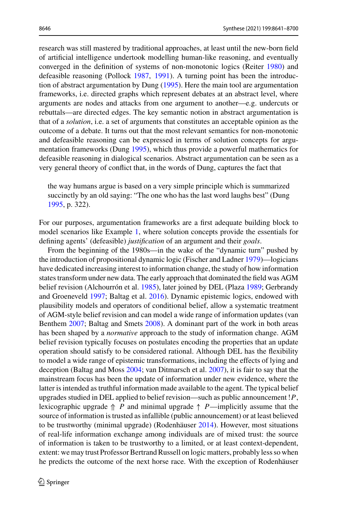research was still mastered by traditional approaches, at least until the new-born field of artificial intelligence undertook modelling human-like reasoning, and eventually converged in the definition of systems of non-monotonic logics (Reite[r](#page-59-10) [1980\)](#page-59-10) and defeasible reasoning (Polloc[k](#page-58-6) [1987,](#page-58-6) [1991\)](#page-58-7). A turning point has been the introduction of abstract argumentation by Dun[g](#page-57-0) [\(1995\)](#page-57-0). Here the main tool are argumentation frameworks, i.e. directed graphs which represent debates at an abstract level, where arguments are nodes and attacks from one argument to another—e.g. undercuts or rebuttals—are directed edges. The key semantic notion in abstract argumentation is that of a *solution*, i.e. a set of arguments that constitutes an acceptable opinion as the outcome of a debate. It turns out that the most relevant semantics for non-monotonic and defeasible reasoning can be expressed in terms of solution concepts for argumentation frameworks (Dun[g](#page-57-0) [1995\)](#page-57-0), which thus provide a powerful mathematics for defeasible reasoning in dialogical scenarios. Abstract argumentation can be seen as a very general theory of conflict that, in the words of Dung, captures the fact that

the way humans argue is based on a very simple principle which is summarized succinctly by an old saying: "The one who has the last word laughs best" (Dun[g](#page-57-0) [1995,](#page-57-0) p. 322).

For our purposes, argumentation frameworks are a first adequate building block to model scenarios like Example [1,](#page-2-3) where solution concepts provide the essentials for defining agents' (defeasible) *justification* of an argument and their *goals*.

From the beginning of the 1980s—in the wake of the "dynamic turn" pushed by the introduction of propositional dynamic logic (Fischer and Ladne[r](#page-58-8) [1979\)](#page-58-8)—logicians have dedicated increasing interest to information change, the study of how information states transform under new data. The early approach that dominated the field was AGM belief revision (Alchourrón et al[.](#page-56-4) [1985](#page-56-4)), later joined by DEL (Plaz[a](#page-58-9) [1989](#page-58-9); Gerbrandy and Groenevel[d](#page-58-10) [1997;](#page-58-10) Baltag et al[.](#page-56-7) [2016\)](#page-56-7). Dynamic epistemic logics, endowed with plausibility models and operators of conditional belief, allow a systematic treatment of AGM-style belief revision and can model a wide range of information updates (van Benthe[m](#page-59-11) [2007;](#page-59-11) Baltag and Smet[s](#page-56-8) [2008\)](#page-56-8). A dominant part of the work in both areas has been shaped by a *normative* approach to the study of information change. AGM belief revision typically focuses on postulates encoding the properties that an update operation should satisfy to be considered rational. Although DEL has the flexibility to model a wide range of epistemic transformations, including the effects of lying and deception (Baltag and Mos[s](#page-56-5) [2004](#page-56-5); van Ditmarsch et al[.](#page-59-3) [2007](#page-59-3)), it is fair to say that the mainstream focus has been the update of information under new evidence, where the latter is intended as truthful information made available to the agent. The typical belief upgrades studied in DEL applied to belief revision—such as public announcement !*P*, lexicographic upgrade  $\Uparrow$  *P* and minimal upgrade  $\Uparrow$  *P*—implicitly assume that the source of information is trusted as infallible (public announcement) or at least believed to be trustworthy (minimal upgrade) (Rodenhäuse[r](#page-59-12) [2014](#page-59-12)). However, most situations of real-life information exchange among individuals are of mixed trust: the source of information is taken to be trustworthy to a limited, or at least context-dependent, extent: we may trust Professor Bertrand Russell on logic matters, probably less so when he predicts the outcome of the next horse race. With the exception of Rodenhäuse[r](#page-59-12)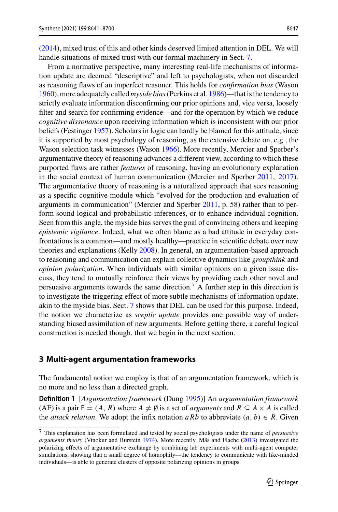[\(2014\)](#page-59-12), mixed trust of this and other kinds deserved limited attention in DEL. We will handle situations of mixed trust with our formal machinery in Sect. [7.](#page-25-0)

From a normative perspective, many interesting real-life mechanisms of information update are deemed "descriptive" and left to psychologists, when not discarded as reasoning flaws of an imperfect reasoner. This holds for *confirmation bias* (Waso[n](#page-59-13) [1960\)](#page-59-13), more adequately called *myside bias*(Perkins et al[.](#page-58-11) [1986](#page-58-11))—that is the tendency to strictly evaluate information disconfirming our prior opinions and, vice versa, loosely filter and search for confirming evidence—and for the operation by which we reduce *cognitive dissonance* upon receiving information which is inconsistent with our prior beliefs (Festinge[r](#page-58-12) [1957\)](#page-58-12). Scholars in logic can hardly be blamed for this attitude, since it is supported by most psychology of reasoning, as the extensive debate on, e.g., the Wason selection task witnesses (Waso[n](#page-59-14) [1966](#page-59-14)). More recently, Mercier and Sperber's argumentative theory of reasoning advances a different view, according to which these purported flaws are rather *features* of reasoning, having an evolutionary explanation in the social context of human communication (Mercier and Sperbe[r](#page-58-13) [2011](#page-58-13), [2017](#page-58-0)). The argumentative theory of reasoning is a naturalized approach that sees reasoning as a specific cognitive module which "evolved for the production and evaluation of arguments in communication" (Mercier and Sperbe[r](#page-58-13) [2011,](#page-58-13) p. 58) rather than to perform sound logical and probabilistic inferences, or to enhance individual cognition. Seen from this angle, the myside bias serves the goal of convincing others and keeping *epistemic vigilance*. Indeed, what we often blame as a bad attitude in everyday confrontations is a common—and mostly healthy—practice in scientific debate over new theories and explanations (Kell[y](#page-58-14) [2008](#page-58-14)). In general, an argumentation-based approach to reasoning and communication can explain collective dynamics like *groupthink* and *opinion polarization*. When individuals with similar opinions on a given issue discuss, they tend to mutually reinforce their views by providing each other novel and persuasive arguments towards the same direction.<sup>[7](#page-6-1)</sup> A further step in this direction is to investigate the triggering effect of more subtle mechanisms of information update, akin to the myside bias. Sect. [7](#page-25-0) shows that DEL can be used for this purpose. Indeed, the notion we characterize as *sceptic update* provides one possible way of understanding biased assimilation of new arguments. Before getting there, a careful logical construction is needed though, that we begin in the next section.

#### <span id="page-6-0"></span>**3 Multi-agent argumentation frameworks**

The fundamental notion we employ is that of an argumentation framework, which is no more and no less than a directed graph.

**Definition 1** [*Argumentation framework* (Dun[g](#page-57-0) [1995\)](#page-57-0)] An *argumentation framework* (AF) is a pair  $F = (A, R)$  where  $A \neq \emptyset$  is a set of *arguments* and  $R \subseteq A \times A$  is called the *attack relation*. We adopt the infix notation *aRb* to abbreviate  $(a, b) \in R$ . Given

<span id="page-6-1"></span><sup>7</sup> This explanation has been formulated and tested by social psychologists under the name of *persuasive arguments theory* (Vinokur and Burstei[n](#page-59-15) [1974\)](#page-59-15). More recently, Mäs and Flach[e](#page-58-15) [\(2013](#page-58-15)) investigated the polarizing effects of argumentative exchange by combining lab experiments with multi-agent computer simulations, showing that a small degree of homophily—the tendency to communicate with like-minded individuals—is able to generate clusters of opposite polarizing opinions in groups.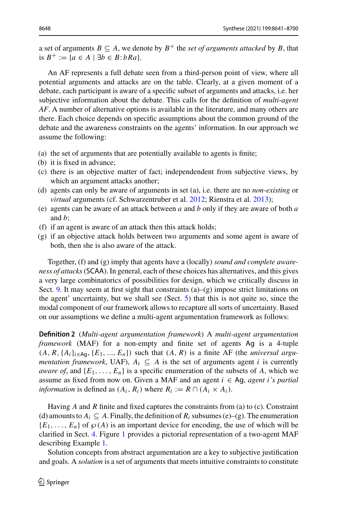a set of arguments  $B \subseteq A$ , we denote by  $B^+$  the *set of arguments attacked* by *B*, that is  $B^+ := \{a \in A \mid \exists b \in B : bRa\}.$ 

An AF represents a full debate seen from a third-person point of view, where all potential arguments and attacks are on the table. Clearly, at a given moment of a debate, each participant is aware of a specific subset of arguments and attacks, i.e. her subjective information about the debate. This calls for the definition of *multi-agent AF*. A number of alternative options is available in the literature, and many others are there. Each choice depends on specific assumptions about the common ground of the debate and the awareness constraints on the agents' information. In our approach we assume the following:

- (a) the set of arguments that are potentially available to agents is finite;
- (b) it is fixed in advance;
- (c) there is an objective matter of fact; independendent from subjective views, by which an argument attacks another;
- (d) agents can only be aware of arguments in set (a), i.e. there are no *non-existing* or *virtual* arguments (cf. Schwarzentruber et al[.](#page-59-16) [2012;](#page-59-16) Rienstra et al[.](#page-59-1) [2013](#page-59-1));
- (e) agents can be aware of an attack between *a* and *b* only if they are aware of both *a* and *b*;
- (f) if an agent is aware of an attack then this attack holds;
- (g) if an objective attack holds between two arguments and some agent is aware of both, then she is also aware of the attack.

Together, (f) and (g) imply that agents have a (locally) *sound and complete awareness of attacks*(SCAA). In general, each of these choices has alternatives, and this gives a very large combinatorics of possibilities for design, which we critically discuss in Sect. [9.](#page-37-0) It may seem at first sight that constraints  $(a)$ – $(g)$  impose strict limitations on the agent' uncertainty, but we shall see (Sect. [5\)](#page-12-0) that this is not quite so, since the modal component of our framework allows to recapture all sorts of uncertainty. Based on our assumptions we define a multi-agent argumentation framework as follows:

<span id="page-7-0"></span>**Definition 2** (*Multi-agent argumentation framework*) A *multi-agent argumentation framework* (MAF) for a non-empty and finite set of agents Ag is a 4-tuple  $(A, R, \{A_i\}_{i \in A_0}, \{E_1, ..., E_n\})$  such that  $(A, R)$  is a finite AF (the *universal argumentation framework*, UAF),  $A_i \subseteq A$  is the set of arguments agent *i* is currently *aware of*, and  $\{E_1, \ldots, E_n\}$  is a specific enumeration of the subsets of *A*, which we assume as fixed from now on. Given a MAF and an agent *i* ∈ Ag, *agent i's partial information* is defined as  $(A_i, R_i)$  where  $R_i := R \cap (A_i \times A_i)$ .

Having *A* and *R* finite and fixed captures the constraints from (a) to (c). Constraint (d) amounts to  $A_i \subseteq A$ . Finally, the definition of  $R_i$  subsumes (e)–(g). The enumeration  ${E_1, \ldots, E_n}$  of  $\wp(A)$  is an important device for encoding, the use of which will be clarified in Sect. [4.](#page-9-0) Figure [1](#page-8-0) provides a pictorial representation of a two-agent MAF describing Example [1.](#page-2-3)

Solution concepts from abstract argumentation are a key to subjective justification and goals. A *solution* is a set of arguments that meets intuitive constraints to constitute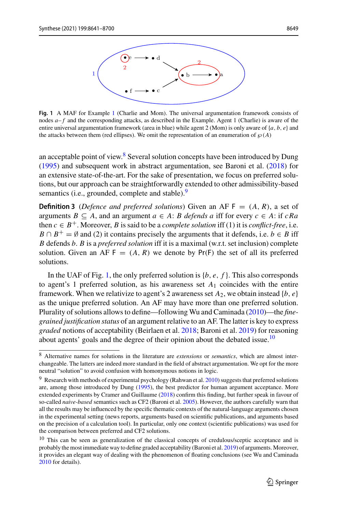

<span id="page-8-0"></span>**Fig. 1** A MAF for Example [1](#page-2-3) (Charlie and Mom). The universal argumentation framework consists of nodes  $a$ –  $f$  and the corresponding attacks, as described in the Example. Agent 1 (Charlie) is aware of the entire universal argumentation framework (area in blue) while agent 2 (Mom) is only aware of {*a*, *b*, *e*} and the attacks between them (red ellipses). We omit the representation of an enumeration of  $\wp(A)$ 

an acceptable point of view. $\frac{8}{3}$  $\frac{8}{3}$  $\frac{8}{3}$  Several solution concepts have been introduced by Dun[g](#page-57-0) [\(1995\)](#page-57-0) and subsequent work in abstract argumentation, see Baroni et al[.](#page-56-9) [\(2018\)](#page-56-9) for an extensive state-of-the-art. For the sake of presentation, we focus on preferred solutions, but our approach can be straightforwardly extended to other admissibility-based semantics (i.e., grounded, complete and stable).<sup>[9](#page-8-2)</sup>

<span id="page-8-4"></span>**Definition 3** (*Defence and preferred solutions*) Given an AF  $F = (A, R)$ , a set of arguments  $B \subseteq A$ , and an argument  $a \in A$ : *B defends a* iff for every  $c \in A$ : if  $cRa$ then  $c \in B^+$ . Moreover, *B* is said to be a *complete solution* iff (1) it is *conflict-free*, i.e.  $B \cap B^+ = \emptyset$  and (2) it contains precisely the arguments that it defends, i.e. *b*  $\in B$  iff *B* defends *b*. *B* is a *preferred solution* iff it is a maximal (w.r.t. set inclusion) complete solution. Given an AF  $F = (A, R)$  we denote by  $Pr(F)$  the set of all its preferred solutions.

In the UAF of Fig. [1,](#page-8-0) the only preferred solution is {*b*, *e*, *f* }. This also corresponds to agent's 1 preferred solution, as his awareness set *A*<sup>1</sup> coincides with the entire framework. When we relativize to agent's 2 awareness set  $A_2$ , we obtain instead  $\{b, e\}$ as the unique preferred solution. An AF may have more than one preferred solution. Plurality of solutions allows to define—following Wu and Caminad[a](#page-59-17) [\(2010](#page-59-17))—the *finegrained justification status* of an argument relative to an AF. The latter is key to express *graded* notions of acceptability (Beirlaen et al[.](#page-56-10) [2018;](#page-56-10) Baroni et al[.](#page-56-11) [2019](#page-56-11)) for reasoning about agents' goals and the degree of their opinion about the debated issue.<sup>10</sup>

<span id="page-8-1"></span><sup>8</sup> Alternative names for solutions in the literature are *extensions* or *semantics*, which are almost interchangeable. The latters are indeed more standard in the field of abstract argumentation. We opt for the more neutral "solution" to avoid confusion with homonymous notions in logic.

<span id="page-8-2"></span><sup>&</sup>lt;sup>9</sup> Research with methods of experimental psychology (Rahwan et al[.](#page-59-18) [2010](#page-59-18)) suggests that preferred solutions are, among those introduced by Dun[g](#page-57-0) [\(1995](#page-57-0)), the best predictor for human argument acceptance. More extended experiments by Cramer and Guillaum[e](#page-57-7) [\(2018\)](#page-57-7) confirm this finding, but further speak in favour of so-called *naive-based* semantics such as CF2 (Baroni et al[.](#page-56-12) [2005\)](#page-56-12). However, the authors carefully warn that all the results may be influenced by the specific thematic contexts of the natural-language arguments chosen in the experimental setting (news reports, arguments based on scientific publications, and arguments based on the precision of a calculation tool). In particular, only one context (scientific publications) was used for the comparison between preferred and CF2 solutions.

<span id="page-8-3"></span><sup>&</sup>lt;sup>10</sup> This can be seen as generalization of the classical concepts of credulous/sceptic acceptance and is probably the most immediate way to define graded acceptability (Baroni et al[.](#page-56-11) [2019](#page-56-11)) of arguments. Moreover, it provides an elegant way of dealing with the phenomenon of floating conclusions (see Wu and Caminad[a](#page-59-17) [2010](#page-59-17) for details).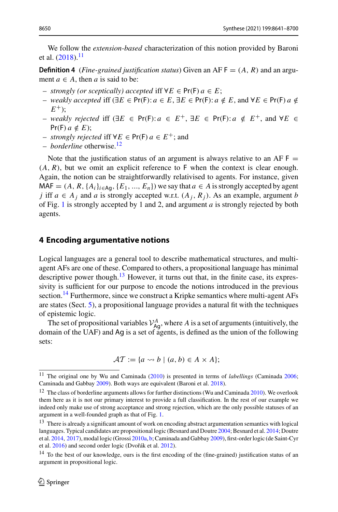<span id="page-9-5"></span>We follow the *extension-based* characterization of this notion provided by Baroni et al[.](#page-56-9)  $(2018).$  $(2018).$ <sup>[11](#page-9-1)</sup>

**Definition 4** (*Fine-grained justification status*) Given an AF  $F = (A, R)$  and an argument  $a \in A$ , then *a* is said to be:

- *strongly (or sceptically) accepted* iff ∀*E* ∈ Pr(F) *a* ∈ *E*;
- *– weakly accepted* iff ( $\exists E \in \text{Pr}(F) : a \in E$ ,  $\exists E \in \text{Pr}(F) : a \notin E$ , and  $\forall E \in \text{Pr}(F)$  *a* ∉  $E^{+}$ ):
- $-$  *weakly rejected* iff ( $\exists E \in Pr(F): a \in E^+$ ,  $\exists E \in Pr(F): a \notin E^+$ , and  $\forall E \in E$  $Pr(F)$   $a \notin E$ );
- $-$  *strongly rejected* iff ∀*E* ∈ Pr(F)  $a \in E^+$ ; and
- *borderline* otherwise.[12](#page-9-2)

Note that the justification status of an argument is always relative to an AF  $F =$  $(A, R)$ , but we omit an explicit reference to  $F$  when the context is clear enough. Again, the notion can be straightforwardly relativised to agents. For instance, given  $MAF = (A, R, \{A_i\}_{i \in Ag}, \{E_1, ..., E_n\})$  we say that  $a \in A$  is strongly accepted by agent *j* iff  $a \in A_j$  and  $a$  is strongly accepted w.r.t.  $(A_j, R_j)$ . As an example, argument  $b$ of Fig. [1](#page-8-0) is strongly accepted by 1 and 2, and argument *a* is strongly rejected by both agents.

### <span id="page-9-0"></span>**4 Encoding argumentative notions**

Logical languages are a general tool to describe mathematical structures, and multiagent AFs are one of these. Compared to others, a propositional language has minimal descriptive power though. $13$  However, it turns out that, in the finite case, its expressivity is sufficient for our purpose to encode the notions introduced in the previous section.<sup>[14](#page-9-4)</sup> Furthermore, since we construct a Kripke semantics where multi-agent AFs are states (Sect. [5\)](#page-12-0), a propositional language provides a natural fit with the techniques of epistemic logic.

The set of propositional variables  $V_{\text{Ag}}^A$ , where *A* is a set of arguments (intuitively, the domain of the UAF) and Ag is a set of agents, is defined as the union of the following sets:

$$
\mathcal{AT} := \{ a \leadsto b \mid (a, b) \in A \times A \};
$$

<span id="page-9-1"></span><sup>11</sup> The original one by Wu and Caminad[a](#page-59-17) [\(2010](#page-59-17)) is presented in terms of *labellings* (Caminad[a](#page-57-8) [2006;](#page-57-8) Caminada and Gabba[y](#page-57-9) [2009](#page-57-9)). Both ways are equivalent (Baroni et al[.](#page-56-9) [2018\)](#page-56-9).

<span id="page-9-2"></span> $12$  The cl[a](#page-59-17)ss of borderline arguments allows for further distinctions (Wu and Caminada [2010\)](#page-59-17). We overlook them here as it is not our primary interest to provide a full classification. In the rest of our example we indeed only make use of strong acceptance and strong rejection, which are the only possible statuses of an argument in a well-founded graph as that of Fig. [1.](#page-8-0)

<span id="page-9-3"></span> $13$  There is already a significant amount of work on encoding abstract argumentation semantics with logical languages. Typical candidates are propositional logic (Besnard and Doutr[e](#page-56-13) [2004;](#page-56-13) Besnard et al[.](#page-57-10) [2014](#page-57-10); Doutre et al[.](#page-57-11) [2014,](#page-57-11) [2017\)](#page-57-12), modal logic (Gross[i](#page-58-16) [2010a](#page-58-16), [b](#page-58-17); Caminada and Gabba[y](#page-57-9) [2009\)](#page-57-9), first-order logic (de Saint-Cyr et al[.](#page-57-13) [2016](#page-57-6)) and second order logic (Dvořák et al. [2012](#page-57-13)).

<span id="page-9-4"></span><sup>&</sup>lt;sup>14</sup> To the best of our knowledge, ours is the first encoding of the (fine-grained) justification status of an argument in propositional logic.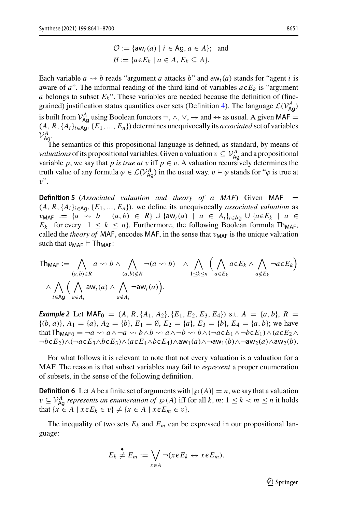$$
\mathcal{O} := \{ \mathsf{aw}_i(a) \mid i \in \mathsf{Ag}, a \in A \}; \text{ and}
$$

$$
\mathcal{B} := \{ a \in E_k \mid a \in A, E_k \subseteq A \}.
$$

Each variable  $a \leadsto b$  reads "argument  $a$  attacks  $b$ " and  $aw_i(a)$  stands for "agent  $i$  is aware of  $a$ ". The informal reading of the third kind of variables  $a \in E_k$  is "argument *a* belongs to subset  $E_k$ ". These variables are needed because the definition of (fine-grained) justification status quantifies over sets (Definition [4\)](#page-9-5). The language  $\mathcal{L}(V_{\text{Ag}}^A)$ is built from  $V_{\text{Ag}}^A$  using Boolean functors  $\neg$ ,  $\wedge$ ,  $\vee$ ,  $\rightarrow$  and  $\leftrightarrow$  as usual. A given MAF =  $(A, R, \{A_i\}_{i \in \mathsf{Aq}}, \{E_1, ..., E_n\})$  determines unequivocally its *associated* set of variables  $\mathcal{V}_{\mathsf{Ag}.}^A$ 

The semantics of this propositional language is defined, as standard, by means of *valuations* of its propositional variables. Given a valuation  $v \subseteq V_{\text{Ag}}^A$  and a propositional variable *p*, we say that *p* is true at *v* iff  $p \in v$ . A valuation recursively determines the truth value of any formula  $\varphi \in \mathcal{L}(V_{Ag}^A)$  in the usual way.  $v \vDash \varphi$  stands for " $\varphi$  is true at  $v$ ".

**Definition 5** (*Associated valuation and theory of a MAF*) Given MAF  $(A, R, \{A_i\}_{i \in \mathsf{Aq}}, \{E_1, ..., E_n\})$ , we define its unequivocally *associated valuation* as  $v_{\text{MAF}} := \{a \leadsto b \mid (a, b) \in R\} \cup \{\text{aw}_i(a) \mid a \in A_i\}_{i \in \text{Ag}} \cup \{a \in E_k \mid a \in A_i\}$  $E_k$  for every  $1 \leq k \leq n$ . Furthermore, the following Boolean formula Th<sub>MAF</sub>, called the *theory of* MAF, encodes MAF, in the sense that  $v_{\text{MAF}}$  is the unique valuation such that  $v_{\text{MAF}} \models \text{Th}_{\text{MAF}}$ :

$$
\mathsf{Th}_{\mathsf{MAF}} := \bigwedge_{(a,b)\in R} a \leadsto b \land \bigwedge_{(a,b)\notin R} \neg(a \leadsto b) \land \bigwedge_{1 \leq k \leq n} \Big( \bigwedge_{a \in E_k} a \in E_k \land \bigwedge_{a \notin E_k} \neg a \in E_k \Big) \land \bigwedge_{i \in \mathsf{Ag}} \Big( \bigwedge_{a \in A_i} \mathsf{aw}_i(a) \land \bigwedge_{a \notin A_i} \neg a \mathsf{w}_i(a) \Big).
$$

*Example 2* Let MAF<sub>0</sub> =  $(A, R, \{A_1, A_2\}, \{E_1, E_2, E_3, E_4\})$  s.t.  $A = \{a, b\}, R$  =  ${(b, a)}, A_1 = {a}, A_2 = {b}, E_1 = \emptyset, E_2 = {a}, E_3 = {b}, E_4 = {a, b}$ ; we have that  $\text{Th}_{\text{MAF0}} = \neg a \leadsto a \land \neg a \leadsto b \land b \leadsto a \land \neg b \leadsto b \land (\neg a \in E_1 \land \neg b \in E_1) \land (a \in E_2 \land \neg b \in E_2)$  $\neg b \in E_2$ )∧( $\neg a \in E_3 \land b \in E_3$ )∧( $a \in E_4 \land b \in E_4$ )∧aw<sub>1</sub>( $a$ )∧ $\neg a$ w<sub>1</sub>( $b$ )∧ $\neg a$ w<sub>2</sub>( $a$ )∧aw<sub>2</sub>( $b$ ).

For what follows it is relevant to note that not every valuation is a valuation for a MAF. The reason is that subset variables may fail to *represent* a proper enumeration of subsets, in the sense of the following definition.

**Definition 6** Let *A* be a finite set of arguments with  $|\wp(A)| = n$ , we say that a valuation  $v \subseteq V_{\mathsf{Ag}}^A$  *represents an enumeration of*  $\wp(A)$  iff for all  $k, m: 1 \leq k < m \leq n$  it holds that  $\{x \in A \mid x \in E_k \in v\} \neq \{x \in A \mid x \in E_m \in v\}.$ 

The inequality of two sets  $E_k$  and  $E_m$  can be expressed in our propositional language:

<span id="page-10-0"></span>
$$
E_k \neq E_m := \bigvee_{x \in A} \neg(x \in E_k \leftrightarrow x \in E_m).
$$

 $\mathcal{D}$  Springer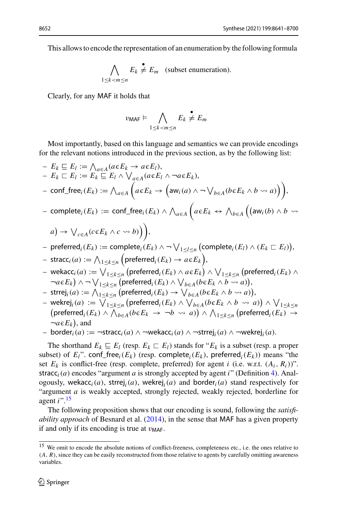This allows to encode the representation of an enumeration by the following formula

$$
\bigwedge_{1 \le k < m \le n} E_k \overset{\bullet}{\neq} E_m \quad \text{(subset enumeration)}.
$$

Clearly, for any MAF it holds that

$$
v_{\mathsf{MAF}} \models \bigwedge_{1 \leq k < m \leq n} E_k \neq E_m
$$

Most importantly, based on this language and semantics we can provide encodings for the relevant notions introduced in the previous section, as by the following list:

 $-E_k \sqsubseteq E_l := \bigwedge_{a \in A} (a \in E_k \to a \in E_l),$  $- E_k \sqsubset E_l := E_k \sqsubseteq E_l \wedge \bigvee_{a \in A} (a \in E_l \wedge \neg a \in E_k),$  $-$  conf\_free<sub>*i*</sub>( $E_k$ ) :=  $\bigwedge_{a \in A}$  $\left(a \in E_k \to \left(\text{aw}_i(a) \land \neg \bigvee_{b \in A} (b \in E_k \land b \leadsto a)\right)\right),$  $-$  complete<sub>*i*</sub>( $E_k$ ) := conf\_free*<sub>i</sub>*( $E_k$ )  $\wedge \bigwedge_{a \in A}$  $\left(a \in E_k \leftrightarrow \bigwedge_{b \in A} \left(\left(a w_i(b) \land b \right) \right)$  $a) \rightarrow \bigvee_{c \in A} (c \in E_k \land c \leadsto b) \Big) ,$  $-$  preferred<sub>*i*</sub>( $E_k$ ) := complete<sub>*i*</sub>( $E_k$ )  $\land \neg \bigvee_{1 \leq l \leq n}$  (complete<sub>*i*</sub>( $E_l$ )  $\land$  ( $E_k \sqsubset E_l$ )),  $-$  stracc<sub>*i*</sub>(*a*) :=  $\bigwedge_{1 \leq k \leq n} \Big(\text{preferred}_i(E_k) \to a \epsilon E_k\Big),$  $-$  wekacc $_i(a) := \bigvee_{1 \leq k \leq n} \big(\mathsf{preferred}_i(E_k) \land a \epsilon E_k \big) \land \bigvee_{1 \leq k \leq n} \big(\mathsf{preferred}_i(E_k) \land \big)$  $\neg a \in E_k$ )  $\wedge \neg \bigvee_{1 \leq k \leq n} (\text{preferred}_i(E_k) \wedge \bigvee_{b \in A} (b \in E_k \wedge b \leadsto a)),$  $-$  strrej<sub>*i*</sub>(*a*) :=  $\bigwedge_{1 \leq k \leq n}$  (preferred<sub>*i*</sub>(*E<sub>k</sub>*)  $\rightarrow \bigvee_{b \in A} (b \in E_k \land b \leadsto a)$ ),  $-\mathsf{wekrej}_i(a) := \bigvee_{1 \leq k \leq n} \big(\mathsf{preferred}_i(E_k) \land \bigvee_{b \in A} (b \in E_k \land b \leadsto a)\big) \land \bigvee_{b \in A} (b \in E_k)$  $\text{Wekley}_i(a) := \text{V1} \leq k \leq n \text{ (perferred}_i(E_k) \land \text{V1} \leq k \leq n \text{ (perferred}_i(E_k)) \land \text{V1} \leq k \leq n \text{ (perferred}_i(E_k)) \land \text{V2} \leq n \text{ (perferred}_i(E_k)) \rightarrow 0$  $p(\textsf{preferred}_i(E_k) \land \bigwedge_{b \in A} (b \in E_k \rightarrow \neg b \leadsto a)) \land \bigwedge_{1 \leq k \leq n} (\textsf{preferred}_i(E_k) \rightarrow a)$  $\neg a \in E_k$ ), and – border*i*(*a*) := ¬stracc*i*(*a*) ∧ ¬wekacc*i*(*a*) ∧ ¬strrej*i*(*a*) ∧ ¬wekrej*i*(*a*).

The shorthand  $E_k \subseteq E_l$  (resp.  $E_k \subseteq E_l$ ) stands for " $E_k$  is a subset (resp. a proper subset) of  $E_l$ ". conf\_free<sub>i</sub>( $E_k$ ) (resp. complete<sub>i</sub>( $E_k$ ), preferred<sub>i</sub>( $E_k$ )) means "the set  $E_k$  is conflict-free (resp. complete, preferred) for agent *i* (i.e. w.r.t.  $(A_i, R_i)$ )". stracc<sub>i</sub>(*a*) encodes "argument *a* is strongly accepted by agent *i*" (Definition [4\)](#page-9-5). Analogously, wekacc<sub>i</sub>(*a*), strrej<sub>i</sub>(*a*), wekrej<sub>i</sub>(*a*) and border<sub>i</sub>(*a*) stand respectively for "argument *a* is weakly accepted, strongly rejected, weakly rejected, borderline for agent *i*"[.15](#page-11-1)

<span id="page-11-0"></span>The following proposition shows that our encoding is sound, following the *satisfiability approach* of Besnard et al[.](#page-57-10) [\(2014](#page-57-10)), in the sense that MAF has a given property if and only if its encoding is true at  $v_{\text{MAF}}$ .

<span id="page-11-1"></span><sup>15</sup> We omit to encode the absolute notions of conflict-freeness, completeness etc., i.e. the ones relative to (*A*, *R*), since they can be easily reconstructed from those relative to agents by carefully omitting awareness variables.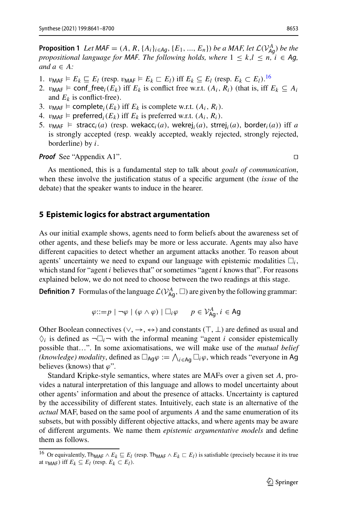**Proposition 1** *Let*  $\mathsf{MAF} = (A, R, \{A_i\}_{i \in Ag}, \{E_1, ..., E_n\})$  *be a MAF, let*  $\mathcal{L}(V_{Ag}^A)$  *be the propositional language for MAF. The following holds, where*  $1 \leq k, l \leq n, i \in Ag$ *and*  $a \in A$ :

- 1.  $v_{\text{MAF}} \models E_k \sqsubseteq E_l$  (resp.  $v_{\text{MAF}} \models E_k \sqsubset E_l$ ) iff  $E_k \subseteq E_l$  (resp.  $E_k \subset E_l$ ). <sup>[16](#page-12-2)</sup>
- 2.  $v_{\text{MAF}} \models \text{conf\_free}_i(E_k)$  iff  $E_k$  is conflict free w.r.t.  $(A_i, R_i)$  (that is, iff  $E_k \subseteq A_i$ and  $E_k$  is conflict-free).
- 3.  $v_{\text{MAF}} \models \text{complete}_i(E_k) \text{ iff } E_k \text{ is complete w.r.t. } (A_i, R_i).$
- 4.  $v_{\text{MAF}}$   $\models$  preferred<sub>*i*</sub>( $E_k$ ) iff  $E_k$  is preferred w.r.t.  $(A_i, R_i)$ .
- 5.  $v_{\text{MAF}} \models \text{stracc}_i(a)$  (resp. wekacc<sub>*i*</sub>(*a*), wekrej<sub>*i*</sub>(*a*), strrej<sub>*i*</sub>(*a*), border<sub>*i*</sub>(*a*)) iff *a* is strongly accepted (resp. weakly accepted, weakly rejected, strongly rejected, borderline) by *i*.

*Proof* See "Appendix A1".

As mentioned, this is a fundamental step to talk about *goals of communication*, when these involve the justification status of a specific argument (the *issue* of the debate) that the speaker wants to induce in the hearer.

# <span id="page-12-0"></span>**5 Epistemic logics for abstract argumentation**

As our initial example shows, agents need to form beliefs about the awareness set of other agents, and these beliefs may be more or less accurate. Agents may also have different capacities to detect whether an argument attacks another. To reason about agents' uncertainty we need to expand our language with epistemic modalities  $\Box_i$ , which stand for "agent *i* believes that" or sometimes "agent *i* knows that". For reasons explained below, we do not need to choose between the two readings at this stage.

**Definition 7** Formulas of the language  $\mathcal{L}(V_{\mathsf{Ag}}^A, \Box)$  are given by the following grammar:

$$
\varphi ::= p \mid \neg \varphi \mid (\varphi \land \varphi) \mid \Box_i \varphi \qquad p \in \mathcal{V}_{\text{Ag}}^A, i \in \text{Ag}
$$

Other Boolean connectives ( $\vee, \rightarrow, \leftrightarrow$ ) and constants ( $\top$ ,  $\bot$ ) are defined as usual and  $\Diamond_i$  is defined as  $\neg\Box_i\neg$  with the informal meaning "agent *i* consider epistemically possible that…". In some axiomatisations, we will make use of the *mutual belief* (*knowledge) modality*, defined as  $\Box_{\mathsf{Ag}} \varphi := \bigwedge_{i \in \mathsf{Ag}} \Box_i \varphi$ , which reads "everyone in Ag believes (knows) that  $\varphi$ ".

Standard Kripke-style semantics, where states are MAFs over a given set *A*, provides a natural interpretation of this language and allows to model uncertainty about other agents' information and about the presence of attacks. Uncertainty is captured by the accessibility of different states. Intuitively, each state is an alternative of the *actual* MAF, based on the same pool of arguments *A* and the same enumeration of its subsets, but with possibly different objective attacks, and where agents may be aware of different arguments. We name them *epistemic argumentative models* and define them as follows.

<span id="page-12-2"></span><span id="page-12-1"></span><sup>&</sup>lt;sup>16</sup> Or equivalently, Th<sub>MAF</sub> ∧  $E_k$   $\subseteq$   $E_l$  (resp. Th<sub>MAF</sub> ∧  $E_k$   $\subseteq$   $E_l$ ) is satisfiable (precisely because it its true at  $v_{\text{MAF}}$ ) iff  $E_k \subseteq E_l$  (resp.  $E_k \subset E_l$ ).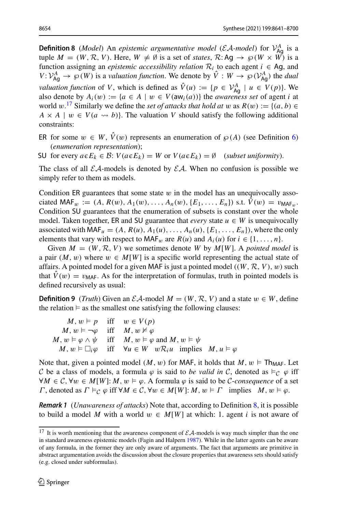**Definition 8** (*Model*) An *epistemic argumentative model* (*EA-model*) for  $V_{\text{Ag}}^{A}$  is a tuple  $M = (W, \mathcal{R}, V)$ . Here,  $W \neq \emptyset$  is a set of *states*,  $\mathcal{R}: Aq \rightarrow \wp(W \times \overset{\sim}{W})$  is a function assigning an *epistemic accessibility relation*  $\mathcal{R}_i$  to each agent  $i \in \mathsf{A}$ g, and  $V: V_{\text{Ag}}^A \to \wp(W)$  is a *valuation function*. We denote by  $\hat{V}: W \to \wp(V_{\text{Ag}}^A)$  the *dual valuation function* of *V*, which is defined as  $\hat{V}(u) := \{p \in \mathcal{V}_{Ag}^A \mid u \in V(p)\}$ . We also denote by  $A_i(w) := \{a \in A \mid w \in V(\text{aw}_i(a))\}$  the *awareness set* of agent *i* at world  $w$ .<sup>[17](#page-13-0)</sup> Similarly we define the *set of attacks that hold at*  $w$  as  $R(w) := \{(a, b) \in$  $A \times A \mid w \in V(a \leadsto b)$ . The valuation *V* should satisfy the following additional constraints:

ER for some  $w \in W$ ,  $\hat{V}(w)$  represents an enumeration of  $\wp(A)$  (see Definition [6\)](#page-10-0) (*enumeration representation*);

SU for every  $a \in E_k \in \mathcal{B}$ :  $V(a \in E_k) = W$  or  $V(a \in E_k) = \emptyset$  (*subset uniformity*).

The class of all  $EA$ -models is denoted by  $EA$ . When no confusion is possible we simply refer to them as models.

Condition ER guarantees that some state  $w$  in the model has an unequivocally associated MAF<sub>w</sub> :=  $(A, R(w), A_1(w), \ldots, A_n(w), \{E_1, \ldots, E_n\})$  s.t.  $\hat{V}(w) = v_{\text{MAF}_{w}}$ . Condition SU guarantees that the enumeration of subsets is constant over the whole model. Taken together, ER and SU guarantee that *every* state  $u \in W$  is unequivocally associated with MAF<sub>u</sub> =  $(A, R(u), A_1(u), \ldots, A_n(u), \{E_1, \ldots, E_n\})$ , where the only elements that vary with respect to MAF<sub>w</sub> are  $R(u)$  and  $A_i(u)$  for  $i \in \{1, \ldots, n\}$ .

Given  $M = (W, R, V)$  we sometimes denote W by  $M[W]$ . A *pointed model* is a pair  $(M, w)$  where  $w \in M[W]$  is a specific world representing the actual state of affairs. A pointed model for a given MAF is just a pointed model  $((W, \mathcal{R}, V), w)$  such that  $\hat{V}(w) = v_{\text{MAF}}$ . As for the interpretation of formulas, truth in pointed models is defined recursively as usual:

**Definition 9** (*Truth*) Given an  $\mathcal{E}A$ -model  $M = (W, \mathcal{R}, V)$  and a state  $w \in W$ , define the relation  $\models$  as the smallest one satisfying the following clauses:

<span id="page-13-1"></span> $M, w \models p$  iff  $w \in V(p)$  $M, w \models \neg \varphi$  iff  $M, w \not\models \varphi$  $M, w \models \varphi \land \psi$  iff  $M, w \models \varphi$  and  $M, w \models \psi$ *M*,  $w \in \Box_i \varphi$  iff  $\forall u \in W$   $w \mathcal{R}_i u$  implies  $M, u \models \varphi$ 

Note that, given a pointed model  $(M, w)$  for MAF, it holds that  $M, w \models \text{Th}_{\text{MAF}}$ . Let *C* be a class of models, a formula  $\varphi$  is said to *be valid in C*, denoted as  $\models_C \varphi$  iff  $∀M ∈ C, ∀w ∈ M[W]: M, w ∈ φ. A formula φ is said to be C-consequence of a set$  $Γ$ , denoted as  $Γ \vDash C$ ,  $φ$  iff  $∀M \in C$ ,  $∀w \in M[W]: M$ ,  $w \vDash Γ$  implies  $M$ ,  $w \vDash φ$ .

*Remark 1* (*Unawareness of attacks*) Note that, according to Definition [8,](#page-12-1) it is possible to build a model *M* with a world  $w \in M[W]$  at which: 1. agent *i* is not aware of

<span id="page-13-0"></span><sup>&</sup>lt;sup>17</sup> It is worth mentioning that the awareness component of  $\mathcal{EA}$ -models is way much simpler than the one in standard awareness epistemic models (Fagin and Halper[n](#page-58-18) [1987\)](#page-58-18). While in the latter agents can be aware of any formula, in the former they are only aware of arguments. The fact that arguments are primitive in abstract argumentation avoids the discussion about the closure properties that awareness sets should satisfy (e.g. closed under subformulas).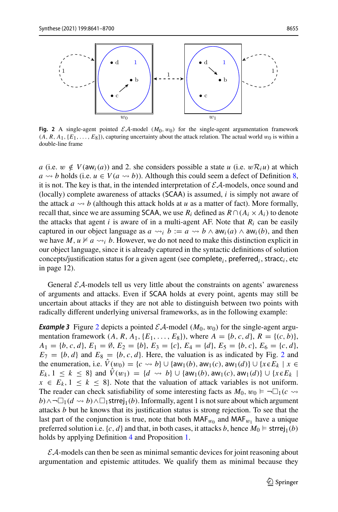

<span id="page-14-0"></span>**Fig. 2** A single-agent pointed  $\mathcal{E}A$ -model  $(M_0, w_0)$  for the single-agent argumentation framework  $(A, R, A_1, \{E_1, \ldots, E_8\})$ , capturing uncertainty about the attack relation. The actual world  $w_0$  is within a double-line frame

*a* (i.e.  $w \notin V(\text{aw}_i(a))$  and 2. she considers possible a state *u* (i.e.  $w \mathcal{R}_i u$ ) at which  $a \rightarrow b$  holds (i.e.  $u \in V(a \rightarrow b)$ ). Although this could seem a defect of Definition [8,](#page-12-1) it is not. The key is that, in the intended interpretation of *EA*-models, once sound and (locally) complete awareness of attacks (SCAA) is assumed, *i* is simply not aware of the attack  $a \leadsto b$  (although this attack holds at  $u$  as a matter of fact). More formally, recall that, since we are assuming SCAA, we use  $R_i$  defined as  $R \cap (A_i \times A_i)$  to denote the attacks that agent  $i$  is aware of in a multi-agent AF. Note that  $R_i$  can be easily captured in our object language as  $a \rightsquigarrow_i b := a \rightsquigarrow b \wedge \text{aw}_i(a) \wedge \text{aw}_i(b)$ , and then we have  $M, u \not\vDash a \leadsto_i b$ . However, we do not need to make this distinction explicit in our object language, since it is already captured in the syntactic definitions of solution concepts/justification status for a given agent (see complete<sub>*i*</sub>, preferred<sub>*i*</sub>, stracc<sub>*i*</sub>, etc in page 12).

General  $\mathcal{E}A$ -models tell us very little about the constraints on agents' awareness of arguments and attacks. Even if SCAA holds at every point, agents may still be uncertain about attacks if they are not able to distinguish between two points with radically different underlying universal frameworks, as in the following example:

**Example 3** Figure [2](#page-14-0) depicts a pointed  $\mathcal{EA}$ -model  $(M_0, w_0)$  for the single-agent argumentation framework  $(A, R, A_1, \{E_1, \ldots, E_8\})$ , where  $A = \{b, c, d\}, R = \{(c, b)\},$  $A_1 = \{b, c, d\}, E_1 = \emptyset, E_2 = \{b\}, E_3 = \{c\}, E_4 = \{d\}, E_5 = \{b, c\}, E_6 = \{c, d\},$  $E_7 = \{b, d\}$  and  $E_8 = \{b, c, d\}$ . Here, the valuation is as indicated by Fig. [2](#page-14-0) and the enumeration, i.e.  $V(w_0) = \{c \leadsto b\} \cup \{aw_1(b), aw_1(c), aw_1(d)\} \cup \{x \in E_k \mid x \in E_k\}$ *E<sub>k</sub>*, 1 ≤ *k* ≤ 8} and *V*(*w*<sub>1</sub>) = {*d*  $\sim$  *b*}∪{aw<sub>1</sub>(*b*), aw<sub>1</sub>(*c*), aw<sub>1</sub>(*d*)}∪{*x*∈*E<sub>k</sub>* |  $x \in E_k$ ,  $1 \leq k \leq 8$ . Note that the valuation of attack variables is not uniform. The reader can check satisfiability of some interesting facts as  $M_0$ ,  $w_0 \models \neg \Box_1(c \leadsto$ *b*)∧¬ $\Box$ <sub>1</sub>(*d*  $\leadsto$  *b*)∧ $\Box$ <sub>1</sub>strrej<sub>1</sub>(*b*). Informally, agent 1 is not sure about which argument attacks *b* but he knows that its justification status is strong rejection. To see that the last part of the conjunction is true, note that both  $MAF_{w_0}$  and  $MAF_{w_1}$  have a unique preferred solution i.e.  $\{c, d\}$  and that, in both cases, it attacks *b*, hence  $M_0 \models$  strrej<sub>1</sub>(*b*) holds by applying Definition [4](#page-9-5) and Proposition [1.](#page-11-0)

*EA*-models can then be seen as minimal semantic devices for joint reasoning about argumentation and epistemic attitudes. We qualify them as minimal because they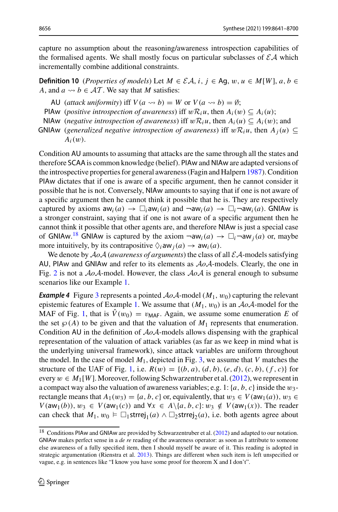capture no assumption about the reasoning/awareness introspection capabilities of the formalised agents. We shall mostly focus on particular subclasses of  $\mathcal{EA}$  which incrementally combine additional constraints.

**Definition 10** (*Properties of models*) Let  $M \in \mathcal{EA}$ , *i*, *j*  $\in$  Ag,  $w, u \in M[W]$ ,  $a, b \in$ *A*, and  $a \rightsquigarrow b \in \mathcal{AT}$ . We say that *M* satisfies:

- AU (*attack uniformity*) iff  $V(a \leadsto b) = W$  or  $V(a \leadsto b) = \emptyset$ ;
- PIAw (*positive introspection of awareness*) iff  $wR_iu$ , then  $A_i(w) \subseteq A_i(u)$ ;
- NIAw (*negative introspection of awareness*) iff  $w\mathcal{R}_i u$ , then  $A_i(u) \subseteq A_i(w)$ ; and
- GNIAw (generalized negative introspection of awareness) iff  $w\mathcal{R}_i u$ , then  $A_i(u) \subseteq$ *Ai*(w).

Condition AU amounts to assuming that attacks are the same through all the states and therefore SCAA is common knowledge (belief). PIAw and NIAw are adapted versions of the introspective properties for general awareness (Fagin and Halper[n](#page-58-18) [1987\)](#page-58-18). Condition PIAw dictates that if one is aware of a specific argument, then he cannot consider it possible that he is not. Conversely, NIAw amounts to saying that if one is not aware of a specific argument then he cannot think it possible that he is. They are respectively captured by axioms  $aw_i(a) \rightarrow \Box_i aw_i(a)$  and  $\neg aw_i(a) \rightarrow \Box_i \neg aw_i(a)$ . GNIAw is a stronger constraint, saying that if one is not aware of a specific argument then he cannot think it possible that other agents are, and therefore NIAw is just a special case of GNIAw.<sup>[18](#page-15-0)</sup> GNIAw is captured by the axiom  $\neg$ aw<sub>*i*</sub>(*a*)  $\rightarrow \Box_i \neg$ aw<sub>*j*</sub>(*a*) or, maybe more intuitively, by its contrapositive  $\Diamond_i$  aw  $_i(a) \rightarrow aw_i(a)$ .

<span id="page-15-1"></span>We denote by  $A_0A$  (*awareness of arguments*) the class of all  $\mathcal{E}A$ -models satisfying AU, PIAw and GNIAw and refer to its elements as *AoA*-models. Clearly, the one in Fig. [2](#page-14-0) is not a *AoA*-model. However, the class *AoA* is general enough to subsume scenarios like our Example [1.](#page-2-3)

**Example 4** Figure [3](#page-16-0) represents a pointed  $A \circ A$ -model  $(M_1, w_0)$  capturing the relevant epistemic features of Example [1.](#page-2-3) We assume that  $(M_1, w_0)$  is an  $A \circ A$ -model for the MAF of Fig. [1,](#page-8-0) that is  $\hat{V}(w_0) = v_{\text{MAF}}$ . Again, we assume some enumeration E of the set  $\wp(A)$  to be given and that the valuation of  $M_1$  represents that enumeration. Condition AU in the definition of *AoA*-models allows dispensing with the graphical representation of the valuation of attack variables (as far as we keep in mind what is the underlying universal framework), since attack variables are uniform throughout the model. In the case of model  $M_1$ , depicted in Fig. [3,](#page-16-0) we assume that *V* matches the structure of the UAF of Fig. [1,](#page-8-0) i.e.  $R(w) = \{(b, a), (d, b), (e, d), (c, b), (f, c)\}\$ for every  $w \in M_1[W]$ [.](#page-59-16) Moreover, following Schwarzentruber et al. [\(2012\)](#page-59-16), we represent in a compact way also the valuation of awareness variables; e.g. 1:  $\{a, b, c\}$  inside the  $w_3$ rectangle means that  $A_1(w_3) = \{a, b, c\}$  or, equivalently, that  $w_3 \in V(\text{aw}_1(a))$ ,  $w_3 \in$ *V*(aw<sub>1</sub>(*b*)),  $w_3$  ∈ *V*(aw<sub>1</sub>(*c*)) and ∀*x* ∈ *A*\{*a*, *b*, *c*}:  $w_3 \notin V$ (aw<sub>1</sub>(*x*)). The reader can check that  $M_1, w_0 \models \Box_1$ strrej<sub>1</sub>(*a*) ∧  $\Box_2$ strrej<sub>2</sub>(*a*), i.e. both agents agree about

<span id="page-15-0"></span><sup>&</sup>lt;sup>18</sup> Conditions PIAw and GNIAw are provided by Schwarzentruber et al[.](#page-59-16) [\(2012](#page-59-16)) and adapted to our notation. GNIAw makes perfect sense in a *de re* reading of the awareness operator: as soon as I attribute to someone else awareness of a fully specified item, then I should myself be aware of it. This reading is adopted in strategic argumentation (Rienstra et al[.](#page-59-1) [2013\)](#page-59-1). Things are different when such item is left unspecified or vague, e.g. in sentences like "I know you have some proof for theorem X and I don't".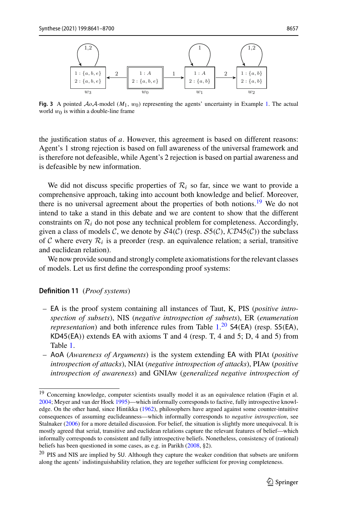

<span id="page-16-0"></span>**Fig. 3** A pointed  $A_0A$ -model  $(M_1, w_0)$  representing the agents' uncertainty in Example [1.](#page-2-3) The actual world  $w_0$  is within a double-line frame

the justification status of *a*. However, this agreement is based on different reasons: Agent's 1 strong rejection is based on full awareness of the universal framework and is therefore not defeasible, while Agent's 2 rejection is based on partial awareness and is defeasible by new information.

We did not discuss specific properties of  $\mathcal{R}_i$  so far, since we want to provide a comprehensive approach, taking into account both knowledge and belief. Moreover, there is no universal agreement about the properties of both notions.<sup>[19](#page-16-1)</sup> We do not intend to take a stand in this debate and we are content to show that the different constraints on  $\mathcal{R}_i$  do not pose any technical problem for completeness. Accordingly, given a class of models *C*, we denote by  $S4(\mathcal{C})$  (resp.  $S5(\mathcal{C})$ ,  $\mathcal{K}D45(\mathcal{C})$ ) the subclass of C where every  $\mathcal{R}_i$  is a preorder (resp. an equivalence relation; a serial, transitive and euclidean relation).

We now provide sound and strongly complete axiomatistions for the relevant classes of models. Let us first define the corresponding proof systems:

#### **Definition 11** (*Proof systems*)

- EA is the proof system containing all instances of Taut, K, PIS (*positive introspection of subsets*), NIS (*negative introspection of subsets*), ER (*enumeration representation*) and both inference rules from Table [1.](#page-17-1)<sup>[20](#page-16-2)</sup> S4(EA) (resp. S5(EA),  $KD45(EA)$ ) extends EA with axioms T and 4 (resp. T, 4 and 5; D, 4 and 5) from Table [1.](#page-17-1)
- AoA (*Awareness of Arguments*) is the system extending EA with PIAt (*positive introspection of attacks*), NIAt (*negative introspection of attacks*), PIAw (*positive introspection of awareness*) and GNIAw (*generalized negative introspection of*

<span id="page-16-1"></span><sup>&</sup>lt;sup>19</sup> Concerning knowledge, computer scientists usually model it as an equivalence relation (Fagin et al[.](#page-58-19) [2004;](#page-58-19) Meyer and van der Hoe[k](#page-58-20) [1995](#page-58-20))—which informally corresponds to factive, fully introspective knowledge. On the other hand, since Hintikk[a](#page-58-21) [\(1962](#page-58-21)), philosophers have argued against some counter-intuitive consequences of assuming euclideanness—which informally corresponds to *negative introspection*, see Stalnake[r](#page-59-19) [\(2006](#page-59-19)) for a more detailed discussion. For belief, the situation is slightly more unequivocal. It is mostly agreed that serial, transitive and euclidean relations capture the relevant features of belief—which informally corresponds to consistent and fully introspective beliefs. Nonetheless, consistency of (rational) beliefs has been questioned in some cases, as e.g. in Parikh [\(2008,](#page-58-22) §2).

<span id="page-16-2"></span><sup>20</sup> PIS and NIS are implied by SU. Although they capture the weaker condition that subsets are uniform along the agents' indistinguishability relation, they are together sufficient for proving completeness.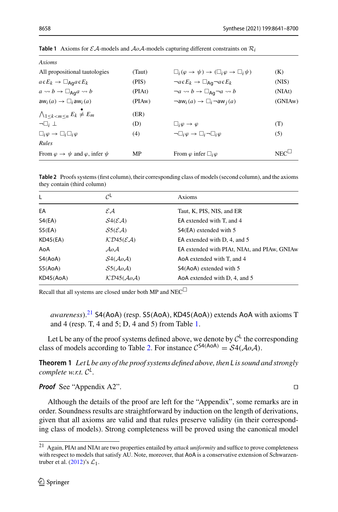| Axioms                                                                     |        |                                                                            |                 |
|----------------------------------------------------------------------------|--------|----------------------------------------------------------------------------|-----------------|
| All propositional tautologies                                              | (Taut) | $\Box_i(\varphi \to \psi) \to (\Box_i \varphi \to \Box_i \psi)$            | (K)             |
| $a \in E_k \rightarrow \Box_{\text{Ag}} a \in E_k$                         | (PIS)  | $\neg a \in E_k \rightarrow \Box_{\text{Ag}} \neg a \in E_k$               | (NIS)           |
| $a \rightsquigarrow b \rightarrow \Box_{A\mathbf{q}} a \rightsquigarrow b$ | (PIAt) | $\neg a \leadsto b \rightarrow \Box_{Aa} \neg a \leadsto b$                | (NIAt)          |
| $aw_i(a) \rightarrow \Box_i aw_i(a)$                                       | (PIAw) | $\neg$ aw <sub>i</sub> $(a) \rightarrow \Box_i \neg$ aw <sub>i</sub> $(a)$ | (GNIAw)         |
| $\bigwedge_{1 \leq k \leq m \leq n} E_k \neq E_m$                          | (ER)   |                                                                            |                 |
| $\neg\Box_i$ $\bot$                                                        | (D)    | $\Box_i \varphi \rightarrow \varphi$                                       | (T)             |
| $\Box_i \varphi \rightarrow \Box_i \Box_i \varphi$                         | (4)    | $\neg\Box_i\varphi\rightarrow\Box_i\neg\Box_i\varphi$                      | (5)             |
| Rules                                                                      |        |                                                                            |                 |
| From $\varphi \to \psi$ and $\varphi$ , infer $\psi$                       | МP     | From $\varphi$ infer $\Box_i \varphi$                                      | $NEC^{\square}$ |

<span id="page-17-1"></span>**Table 1** Axioms for  $\mathcal{EA}$ -models and  $\mathcal{AOA}$ -models capturing different constraints on  $\mathcal{R}_i$ 

<span id="page-17-3"></span>

| Table 2 Proofs systems (first column), their corresponding class of models (second column), and the axioms |  |
|------------------------------------------------------------------------------------------------------------|--|
| they contain (third column)                                                                                |  |

| L         | $\mathcal{C}^{\mathsf{L}}$                         | Axioms                                       |
|-----------|----------------------------------------------------|----------------------------------------------|
| EA        | $\mathcal{E} \mathcal{A}$                          | Taut, K, PIS, NIS, and ER                    |
| S4(EA)    | S4(EA)                                             | EA extended with T, and 4                    |
| S5(EA)    | S5(EA)                                             | S4(EA) extended with 5                       |
| KD45(EA)  | $K\mathcal{D}45(\mathcal{E}\mathcal{A})$           | EA extended with D, 4, and 5                 |
| AoA       | $A_0A$                                             | EA extended with PIAt, NIAt, and PIAw, GNIAw |
| S4(AoA)   | S4(AoA)                                            | AoA extended with T, and 4                   |
| 55(AoA)   | $S5(A_0A)$                                         | S4(AoA) extended with 5                      |
| KD45(AoA) | $K\mathcal{D}45(\mathcal{A}\mathit{o}\mathcal{A})$ | AoA extended with D, 4, and 5                |
|           |                                                    |                                              |

Recall that all systems are closed under both MP and NEC $\Box$ 

*awareness*).[21](#page-17-2) S4(AoA) (resp. S5(AoA), KD45(AoA)) extends AoA with axioms T and 4 (resp. T, 4 and 5; D, 4 and 5) from Table [1.](#page-17-1)

<span id="page-17-0"></span>Let L be any of the proof systems defined above, we denote by  $C^L$  the corresponding class of models according to Table [2.](#page-17-3) For instance  $C^{S4(AoA)} = S4(AoA)$ .

**Theorem 1** *Let L be any of the proof systems defined above, then L is sound and strongly complete w.r.t. <sup>C</sup>L.*

*Proof* See "Appendix A2". □

Although the details of the proof are left for the "Appendix", some remarks are in order. Soundness results are straightforward by induction on the length of derivations, given that all axioms are valid and that rules preserve validity (in their corresponding class of models). Strong completeness will be proved using the canonical model

<span id="page-17-2"></span><sup>21</sup> Again, PIAt and NIAt are two properties entailed by *attack uniformity* and suffice to prove completeness with respect to models that satisfy AU. Note, moreover, that AoA is a conservative extension of Schwarzentruber et al[.](#page-59-16) [\(2012\)](#page-59-16)'s *L*1.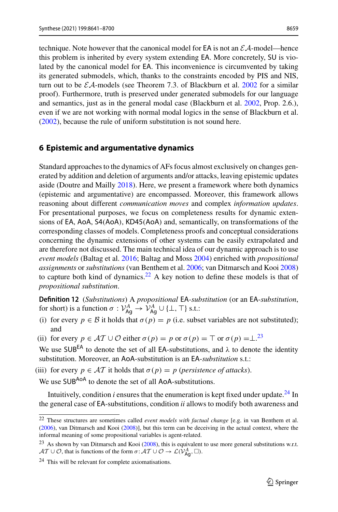technique. Note however that the canonical model for  $EA$  is not an  $\mathcal{E}A$ -model—hence this problem is inherited by every system extending EA. More concretely, SU is violated by the canonical model for EA. This inconvenience is circumvented by taking its generated submodels, which, thanks to the constraints encoded by PIS and NIS, turn out to be  $\mathcal{EA}$ -models (see Theorem 7[.](#page-57-14)3. of Blackburn et al. [2002](#page-57-14) for a similar proof). Furthermore, truth is preserved under generated submodels for our language and semantics, just as in the general modal case (Blackburn et al[.](#page-57-14) [2002,](#page-57-14) Prop. 2.6.), even if we are not working with normal modal logics in the sense of Blackburn et al[.](#page-57-14) [\(2002\)](#page-57-14), because the rule of uniform substitution is not sound here.

## <span id="page-18-0"></span>**6 Epistemic and argumentative dynamics**

Standard approaches to the dynamics of AFs focus almost exclusively on changes generated by addition and deletion of arguments and/or attacks, leaving epistemic updates aside (Doutre and Maill[y](#page-57-4) [2018\)](#page-57-4). Here, we present a framework where both dynamics (epistemic and argumentative) are encompassed. Moreover, this framework allows reasoning about different *communication moves* and complex *information updates*. For presentational purposes, we focus on completeness results for dynamic extensions of EA, AoA, S4(AoA), KD45(AoA) and, semantically, on transformations of the corresponding classes of models. Completeness proofs and conceptual considerations concerning the dynamic extensions of other systems can be easily extrapolated and are therefore not discussed. The main technical idea of our dynamic approach is to use *event models* (Baltag et al[.](#page-56-7) [2016](#page-56-7); Baltag and Mos[s](#page-56-5) [2004](#page-56-5)) enriched with *propositional assignments* or *substitutions* (van Benthem et al[.](#page-59-8) [2006](#page-59-8); van Ditmarsch and Koo[i](#page-59-20) [2008\)](#page-59-20) to capture both kind of dynamics.<sup>22</sup> A key notion to define these models is that of *propositional substitution*.

<span id="page-18-4"></span>**Definition 12** (*Substitutions*) A *propositional* EA*-substitution* (or an EA-*substitution*, for short) is a function  $\sigma : \mathcal{V}_{Ag}^A \to \mathcal{V}_{Ag}^A \cup {\{\perp, \top\}}$  s.t.:

- (i) for every  $p \in B$  it holds that  $\sigma(p) = p$  (i.e. subset variables are not substituted); and
- (ii) for every  $p \in \mathcal{AT} \cup \mathcal{O}$  either  $\sigma(p) = p$  or  $\sigma(p) = \top$  or  $\sigma(p) = \bot^{23}$  $\sigma(p) = \bot^{23}$  $\sigma(p) = \bot^{23}$

We use SUB<sup>EA</sup> to denote the set of all EA-substitutions, and  $\lambda$  to denote the identity substitution. Moreover, an AoA-substitution is an EA-*substitution* s.t.:

(iii) for every  $p \in \mathcal{AT}$  it holds that  $\sigma(p) = p$  (*persistence of attacks*).

We use SUB<sup>AoA</sup> to denote the set of all AoA-substitutions.

Intuitively, condition  $i$  ensures that the enumeration is kept fixed under update.<sup>[24](#page-18-3)</sup> In the general case of EA-substitutions, condition *ii* allows to modify both awareness and

<span id="page-18-1"></span><sup>22</sup> These structures are sometimes called *event models with factual change* [e.g. in van Benthem et al[.](#page-59-8) [\(2006](#page-59-8)), van Ditmarsch and Koo[i](#page-59-20) [\(2008](#page-59-20))], but this term can be deceiving in the actual context, where the informal meaning of some propositional variables is agent-related.

<span id="page-18-2"></span><sup>&</sup>lt;sup>23</sup> As shown by van D[i](#page-59-20)tmarsch and Kooi [\(2008\)](#page-59-20), this is equivalent to use more general substitutions w.r.t.  $AT \cup \mathcal{O}$ , that is functions of the form  $\sigma: AT \cup \mathcal{O} \rightarrow \mathcal{L}(\mathcal{V}_{Ag}^A, \Box)$ .

<span id="page-18-3"></span><sup>&</sup>lt;sup>24</sup> This will be relevant for complete axiomatisations.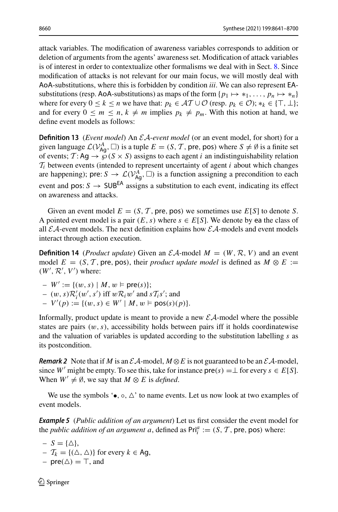attack variables. The modification of awareness variables corresponds to addition or deletion of arguments from the agents' awareness set. Modification of attack variables is of interest in order to contextualize other formalisms we deal with in Sect. [8.](#page-28-0) Since modification of attacks is not relevant for our main focus, we will mostly deal with AoA-substitutions, where this is forbidden by condition *iii*. We can also represent EAsubstitutions (resp. AoA-substitutions) as maps of the form  $\{p_1 \mapsto *_1, \ldots, p_n \mapsto *_n\}$ where for every  $0 \le k \le n$  we have that:  $p_k \in \mathcal{AT} \cup \mathcal{O}$  (resp.  $p_k \in \mathcal{O}$ );  $*_k \in \{\top, \bot\}$ ; and for every  $0 \le m \le n, k \ne m$  implies  $p_k \ne p_m$ . With this notion at hand, we define event models as follows:

<span id="page-19-0"></span>**Definition 13** (*Event model*) An *EA*-*event model* (or an event model, for short) for a given language  $\mathcal{L}(V_{\mathsf{Ag}}^A, \square)$  is a tuple  $E = (S, \mathcal{T}, \mathsf{pre}, \mathsf{pos})$  where  $S \neq \emptyset$  is a finite set of events;  $\mathcal{T} : Aq \rightarrow \mathcal{O}(S \times S)$  assigns to each agent *i* an indistinguishability relation  $T_i$  between events (intended to represent uncertainty of agent *i* about which changes are happening); pre:  $S \to \mathcal{L}(V_{\text{Ag}}^A, \square)$  is a function assigning a precondition to each event and pos:  $S \rightarrow$  SUB<sup>EA</sup> assigns a substitution to each event, indicating its effect on awareness and attacks.

<span id="page-19-2"></span>Given an event model  $E = (S, T, \text{pre}, \text{pos})$  we sometimes use  $E[S]$  to denote *S*. A pointed event model is a pair  $(E, s)$  where  $s \in E[S]$ . We denote by ea the class of all  $\mathcal{E}A$ -event models. The next definition explains how  $\mathcal{E}A$ -models and event models interact through action execution.

**Definition 14** (*Product update*) Given an  $\mathcal{EA}$ -model  $M = (W, \mathcal{R}, V)$  and an event model  $E = (S, T, \text{pre}, \text{pos})$ , their *product update model* is defined as  $M \otimes E :=$  $(W', \mathcal{R}', V')$  where:

 $-W' := \{ (w, s) \mid M, w \models \text{pre}(s) \};$  $-(w, s)R'_i(w', s')$  iff  $wR_iw'$  and  $sT_i s'$ ; and  $-V'(p) := \{(w, s) \in W' \mid M, w \models \text{pos}(s)(p)\}.$ 

Informally, product update is meant to provide a new *EA*-model where the possible states are pairs  $(w, s)$ , accessibility holds between pairs iff it holds coordinatewise and the valuation of variables is updated according to the substitution labelling *s* as its postcondition.

*Remark 2* Note that if *M* is an  $\mathcal{E}A$ -model,  $M \otimes E$  is not guaranteed to be an  $\mathcal{E}A$ -model, since *W'* might be empty. To see this, take for instance  $\text{pre}(s) = \perp$  for every  $s \in E[S]$ . When  $W' \neq \emptyset$ , we say that  $M \otimes E$  is *defined*.

<span id="page-19-1"></span>We use the symbols ' $\bullet$ ,  $\circ$ ,  $\triangle'$  to name events. Let us now look at two examples of event models.

*Example 5* (*Public addition of an argument*) Let us first consider the event model for the *public addition of an argument a*, defined as  $\text{Pri}_i^a := (S, T, \text{pre}, \text{pos})$  where:

- $-S = \{\triangle\},\$  $-\mathcal{T}_k = \{(\triangle, \triangle)\}\$ for every  $k \in \text{Ag},$
- $pre(\triangle) = \top$ , and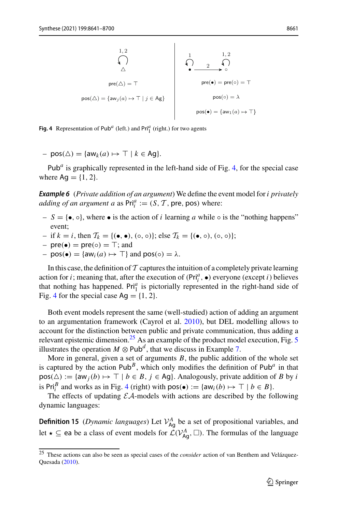$$
\text{pre}(\triangle) = \top
$$
\n
$$
\text{pos}(\triangle) = \{aw_j(a) \mapsto \top \mid j \in \text{Ag}\}
$$
\n
$$
\text{pos}(\bullet) = \{aw_1(a) \mapsto \top \mid j \in \text{Ag}\}
$$
\n
$$
\text{pos}(\bullet) = \{aw_1(a) \mapsto \top\}
$$
\n
$$
\text{pos}(\bullet) = \{aw_1(a) \mapsto \top\}
$$

<span id="page-20-0"></span>**Fig. 4** Representation of  $Pub<sup>a</sup>$  (left.) and  $Pri<sup>a</sup><sub>1</sub>$  (right.) for two agents

 $– pos(\triangle) = \{aw_k(a) \mapsto \top \mid k \in \text{Ag}\}.$ 

Pub<sup> $a$ </sup> is graphically represented in the left-hand side of Fig. [4,](#page-20-0) for the special case where  $Ag = \{1, 2\}$ .

<span id="page-20-2"></span>*Example 6* (*Private addition of an argument*) We define the event model for *i privately adding of an argument a* as  $\text{Pri}_i^a := (S, \mathcal{T}, \text{pre}, \text{pos})$  where:

- $S = \{ \bullet, \circ \}$ , where  $\bullet$  is the action of *i* learning *a* while  $\circ$  is the "nothing happens" event;
- if *k* = *i*, then *T<sup>k</sup>* = {(•, •), (◦, ◦)}; else *T<sup>k</sup>* = {(•, ◦), (◦, ◦)};
- $–$  pre( $\bullet$ ) = pre( $\circ$ ) =  $\top$ ; and
- $-pos(\bullet) = \{aw_i(a) \mapsto \top\}$  and  $pos(\circ) = \lambda$ .

In this case, the definition of  $\mathcal T$  captures the intuition of a completely private learning action for *i*; meaning that, after the execution of  $(Pr_i^a, \bullet)$  everyone (except *i*) believes that nothing has happened. Pri<sup>a</sup> is pictorially represented in the right-hand side of Fig. [4](#page-20-0) for the special case  $Ag = \{1, 2\}.$ 

Both event models represent the same (well-studied) action of adding an argument to an argumentation framework (Cayrol et al[.](#page-57-15) [2010\)](#page-57-15), but DEL modelling allows to account for the distinction between public and private communication, thus adding a relevant epistemic dimension.<sup>2[5](#page-22-0)</sup> As an example of the product model execution, Fig. 5 illustrates the operation  $M \otimes \text{Pub}^d$ , that we discuss in Example [7.](#page-21-0)

More in general, given a set of arguments  $B$ , the public addition of the whole set is captured by the action  $Pub^B$ , which only modifies the definition of  $Pub^a$  in that  $pos(\triangle) := \{aw_j(b) \mapsto \top \mid b \in B, j \in Ag\}$ . Analogously, private addition of *B* by *i* is Pri<sub>i</sub><sup>*B*</sup> and works as in Fig. [4](#page-20-0) (right) with  $pos(\bullet) := \{aw_i(b) \mapsto \top \mid b \in B\}$ .

<span id="page-20-3"></span>The effects of updating  $\mathcal{E}A$ -models with actions are described by the following dynamic languages:

**Definition 15** (*Dynamic languages*) Let  $V_{Ag}^{A}$  be a set of propositional variables, and let  $\star \subseteq$  ea be a class of event models for  $\mathcal{L}(V_{\mathsf{Ag}}^A, \square)$ . The formulas of the language

<span id="page-20-1"></span><sup>25</sup> These actions can also be seen as special cases of the *consider* action of van Benthem and Velázquez-Quesad[a](#page-59-21) [\(2010\)](#page-59-21).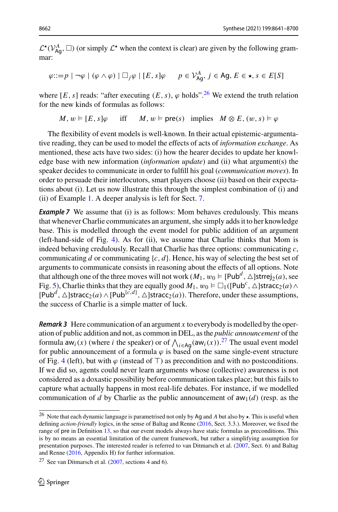$\mathcal{L}^{\star}(\mathcal{V}_{\mathsf{Ag}}^{A}, \Box)$  (or simply  $\mathcal{L}^{\star}$  when the context is clear) are given by the following grammar:

$$
\varphi ::= p \mid \neg \varphi \mid (\varphi \land \varphi) \mid \Box_j \varphi \mid [E, s] \varphi \qquad p \in \mathcal{V}_{\text{Ag}}^A, j \in \text{Ag}, E \in \star, s \in E[S]
$$

where  $[E, s]$  reads: "after executing  $(E, s)$ ,  $\varphi$  holds".<sup>[26](#page-21-1)</sup> We extend the truth relation for the new kinds of formulas as follows:

<span id="page-21-0"></span>
$$
M, w \models [E, s] \varphi
$$
 iff  $M, w \models \text{pre}(s)$  implies  $M \otimes E, (w, s) \models \varphi$ 

The flexibility of event models is well-known. In their actual epistemic-argumentative reading, they can be used to model the effects of acts of *information exchange*. As mentioned, these acts have two sides: (i) how the hearer decides to update her knowledge base with new information (*information update*) and (ii) what argument(s) the speaker decides to communicate in order to fulfill his goal (*communication moves*). In order to persuade their interlocutors, smart players choose (ii) based on their expectations about (i). Let us now illustrate this through the simplest combination of (i) and (ii) of Example [1.](#page-2-3) A deeper analysis is left for Sect. [7.](#page-25-0)

**Example 7** We assume that (i) is as follows: Mom behaves credulously. This means that whenever Charlie communicates an argument, she simply adds it to her knowledge base. This is modelled through the event model for public addition of an argument (left-hand-side of Fig. [4\)](#page-20-0). As for (ii), we assume that Charlie thinks that Mom is indeed behaving credulously. Recall that Charlie has three options: communicating *c*, communicating *d* or communicating  $\{c, d\}$ . Hence, his way of selecting the best set of arguments to communicate consists in reasoning about the effects of all options. Note that although one of the three moves will not work  $(M_1, w_0 \models [\text{Pubd}', \triangle] \text{strrej}_2(a)$ , see Fig. [5\)](#page-22-0), Charlie thinks that they are equally good  $M_1$ ,  $w_0 \vDash \Box_1((Pub^c, \triangle] \text{stracc}_2(a) \wedge$  $[Pub^d, \triangle]$ stracc<sub>2</sub>(*a*) ∧ [Pub<sup>{*c*,*d*}</sup>,  $\triangle$ ]stracc<sub>2</sub>(*a*)). Therefore, under these assumptions, the success of Charlie is a simple matter of luck.

*Remark 3* Here communication of an argument *x* to everybody is modelled by the operation of public addition and not, as common in DEL, as the *public announcement* of the formula  $aw_i(x)$  (where *i* the speaker) or of  $\bigwedge_{i \in \text{Ag}}(aw_i(x))$ .<sup>[27](#page-21-2)</sup> The usual event model for public announcement of a formula  $\varphi$  is based on the same single-event structure of Fig. [4](#page-20-0) (left), but with  $\varphi$  (instead of  $\top$ ) as precondition and with no postconditions. If we did so, agents could never learn arguments whose (collective) awareness is not considered as a doxastic possibility before communication takes place; but this fails to capture what actually happens in most real-life debates. For instance, if we modelled communication of *d* by Charlie as the public announcement of  $aw_1(d)$  (resp. as the

<span id="page-21-1"></span><sup>&</sup>lt;sup>26</sup> Note that each dynamic language is parametrised not only by Ag and *A* but also by  $\star$ . This is useful when defining *action-friendly* logics, in the sense of Baltag and Renne [\(2016,](#page-56-14) Sect. 3.3.). Moreover, we fixed the range of pre in Definition [13,](#page-19-0) so that our event models always have static formulas as preconditions. This is by no means an essential limitation of the current framework, but rather a simplifying assumption for presentation purposes. The interested reader is referred to van Ditmarsch et al. [\(2007,](#page-59-3) Sect. 6) and Baltag and Renne [\(2016](#page-56-14), Appendix H) for further information.

<span id="page-21-2"></span><sup>&</sup>lt;sup>27</sup> See van Ditmarsch et al.  $(2007,$  $(2007,$  sections 4 and 6).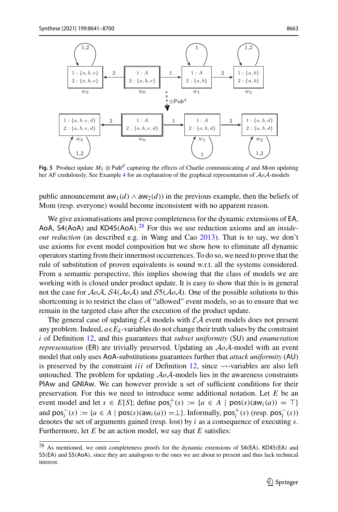

<span id="page-22-0"></span>**Fig. 5** Product update  $M_1 \otimes$  Pub<sup>*d*</sup> capturing the effects of Charlie communicating *d* and Mom updating her AF credulously. See Example [4](#page-15-1) for an explanation of the graphical representation of *AoA*-models

public announcement  $aw_1(d) \wedge aw_2(d)$  in the previous example, then the beliefs of Mom (resp. everyone) would become inconsistent with no apparent reason.

We give axiomatisations and prove completeness for the dynamic extensions of EA, AoA, S4(AoA) and KD45(AoA). [28](#page-22-1) For this we use reduction axioms and an *insideout reduction* (as described e.g. in Wang and Ca[o](#page-59-22) [2013\)](#page-59-22). That is to say, we don't use axioms for event model composition but we show how to eliminate all dynamic operators starting from their innermost occurrences. To do so, we need to prove that the rule of substitution of proven equivalents is sound w.r.t. all the systems considered. From a semantic perspective, this implies showing that the class of models we are working with is closed under product update. It is easy to show that this is in general not the case for *AoA*, *S*4(*AoA*) and *S*5(*AoA*). One of the possible solutions to this shortcoming is to restrict the class of "allowed" event models, so as to ensure that we remain in the targeted class after the execution of the product update.

The general case of updating *EA* models with *EA* event models does not present any problem. Indeed,  $a \in E_k$ -variables do not change their truth values by the constraint *i* of Definition [12,](#page-18-4) and this guarantees that *subset uniformity* (SU) and *enumeration representation* (ER) are trivially preserved. Updating an *AoA*-model with an event model that only uses AoA-substitutions guarantees further that *attack uniformity* (AU) is preserved by the constraint *iii* of Definition  $12$ , since  $\rightsquigarrow$ -variables are also left untouched. The problem for updating *AoA*-models lies in the awareness constraints PIAw and GNIAw. We can however provide a set of sufficient conditions for their preservation. For this we need to introduce some additional notation. Let *E* be an event model and let  $s \in E[S]$ ; define  $pos_i^+(s) := \{a \in A \mid pos(s)(aw_i(a)) = \top\}$ and  $pos_i^-(s) := \{a \in A \mid pos(s)(aw_i(a)) = \perp\}.$  Informally,  $pos_i^+(s)$  (resp.  $pos_i^-(s)$ ) denotes the set of arguments gained (resp. lost) by *i* as a consequence of executing *s*. Furthermore, let *E* be an action model, we say that *E* satisfies:

<span id="page-22-1"></span><sup>28</sup> As mentioned, we omit completeness proofs for the dynamic extensions of S4(EA), KD45(EA) and S5(EA) and S5(AoA), since they are analogous to the ones we are about to present and thus lack technical interest.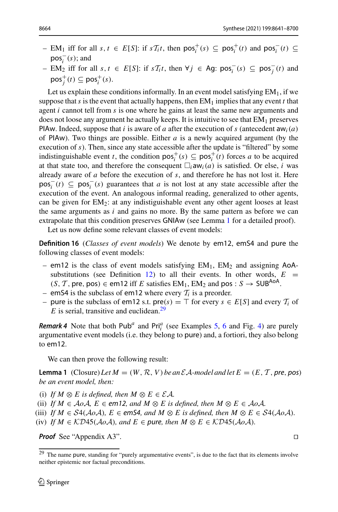- $-$  EM<sub>1</sub> iff for all *s*, *t* ∈ *E*[*S*]: if *sT*<sub>*i*</sub>*t*, then pos<sup>+</sup><sub>*i*</sub>(*s*) ⊆ pos<sup>+</sup><sub>*i*</sub><sup>*t*</sup>(*t*) and pos<sup>*<sub><i>i*</sup></sub> (*t*) ⊆</sup>  $pos<sub>i</sub><sup>-</sup>(s)$ ; and
- $-$  EM<sub>2</sub> iff for all *s*, *t* ∈ *E*[*S*]: if *sT*<sub>i</sub>*t*, then ∀*j* ∈ Ag: pos<sub>i</sub><sup> $=$ </sup>(*s*) ⊆ pos<sub>j</sub><sup> $=$ </sup>(*t*) and  $pos_j^+(t) \subseteq pos_i^+(s)$ .

Let us explain these conditions informally. In an event model satisfying  $EM<sub>1</sub>$ , if we suppose that *s* is the event that actually happens, then  $EM_1$  implies that any event *t* that agent *i* cannot tell from *s* is one where he gains at least the same new arguments and does not loose any argument he actually keeps. It is intuitive to see that  $EM<sub>1</sub>$  preserves PIAw. Indeed, suppose that *i* is aware of *a* after the execution of *s* (antecedent aw<sub>*i*</sub>(*a*) of PIAw). Two things are possible. Either *a* is a newly acquired argument (by the execution of *s*). Then, since any state accessible after the update is "filtered" by some indistinguishable event *t*, the condition  $pos_i^+(s) \subseteq pos_i^+(t)$  forces *a* to be acquired at that state too, and therefore the consequent  $\Box_i$  aw<sub>*i*</sub>(*a*) is satisfied. Or else, *i* was already aware of *a* before the execution of *s*, and therefore he has not lost it. Here  $pos_i^-(t) \subseteq pos_i^-(s)$  guarantees that *a* is not lost at any state accessible after the execution of the event. An analogous informal reading, generalized to other agents, can be given for EM2: at any indistiguishable event any other agent looses at least the same arguments as *i* and gains no more. By the same pattern as before we can extrapolate that this condition preserves GNIAw (see Lemma [1](#page-23-0) for a detailed proof).

<span id="page-23-2"></span>Let us now define some relevant classes of event models:

**Definition 16** (*Classes of event models*) We denote by em12, emS4 and pure the following classes of event models:

- em12 is the class of event models satisfying  $EM_1$ ,  $EM_2$  and assigning AoA-substitutions (see Definition [12\)](#page-18-4) to all their events. In other words,  $E =$  $(S, T, \text{pre}, \text{pos})$  ∈ em12 iff *E* satisfies EM<sub>1</sub>, EM<sub>2</sub> and pos : *S* → SUB<sup>AoA</sup>
- emS4 is the subclass of em12 where every  $T_i$  is a preorder.
- pure is the subclass of em12 s.t.  $\text{pre}(s) = \top$  for every  $s \in E[S]$  and every  $T_i$  of  $E$  is serial, transitive and euclidean.<sup>29</sup>

*Remark 4* Note that both  $Pub<sup>a</sup>$  and  $Pri<sup>a</sup><sub>i</sub>$  (see Examples [5,](#page-19-1) [6](#page-20-2) and Fig. [4\)](#page-20-0) are purely argumentative event models (i.e. they belong to pure) and, a fortiori, they also belong to em12.

<span id="page-23-0"></span>We can then prove the following result:

**Lemma 1** (Closure) Let  $M = (W, \mathcal{R}, V)$  be an  $\mathcal{E}A$ -model and let  $E = (E, \mathcal{T}, \text{pre}, \text{pos})$ *be an event model, then:*

- (i) If  $M \otimes E$  is defined, then  $M \otimes E \in \mathcal{EA}$ .
- (ii) *If*  $M \in \mathcal{A}o\mathcal{A}$ ,  $E \in \mathsf{em12}$ , and  $M \otimes E$  is defined, then  $M \otimes E \in \mathcal{A}o\mathcal{A}$ .
- (iii) *If*  $M \in S4(A \circ A)$ ,  $E \in \text{emS4}$ , and  $M \otimes E$  is defined, then  $M \otimes E \in S4(A \circ A)$ .
- (iv) *If*  $M \in \mathcal{K}D45(\mathcal{A}\circ \mathcal{A})$ *, and*  $E \in \mathcal{P}$ *ure, then*  $M \otimes E \in \mathcal{K}D45(\mathcal{A}\circ \mathcal{A})$ *.*

*Proof* See "Appendix A3".

<span id="page-23-1"></span><sup>&</sup>lt;sup>29</sup> The name pure, standing for "purely argumentative events", is due to the fact that its elements involve neither epistemic nor factual preconditions.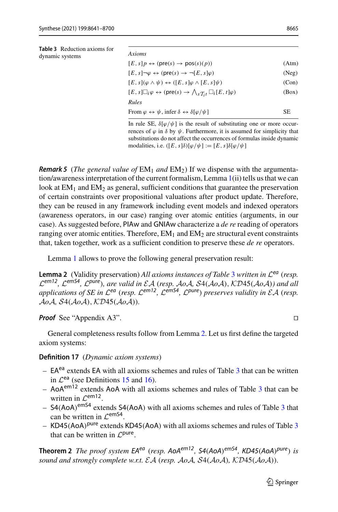<span id="page-24-2"></span>**Table 3** Reduction axioms for dynamic systems

| Axioms                                                                                                           |       |
|------------------------------------------------------------------------------------------------------------------|-------|
| $[E, s]p \leftrightarrow (pre(s) \rightarrow pos(s)(p))$                                                         | (Atm) |
| $[E, s] \neg \varphi \leftrightarrow (pre(s) \rightarrow \neg [E, s] \varphi)$                                   | (Neg) |
| $[E, s](\varphi \wedge \psi) \leftrightarrow ([E, s]\varphi \wedge [E, s]\psi)$                                  | (Con) |
| $[E, s] \Box_i \varphi \leftrightarrow (pre(s) \rightarrow \bigwedge_{s \mathcal{T}_i t} \Box_i [E, t] \varphi)$ | (Box) |
| Rules                                                                                                            |       |

From  $\varphi \leftrightarrow \psi$ , infer  $\delta \leftrightarrow \delta[\varphi/\psi]$  SE

In rule SE,  $\delta[\varphi/\psi]$  is the result of substituting one or more occurrences of  $\varphi$  in  $\delta$  by  $\psi$ . Furthermore, it is assumed for simplicity that substitutions do not affect the occurrences of formulas inside dynamic modalities, i.e.  $([E, s]\delta)[\varphi/\psi] := [E, s]\delta[\varphi/\psi]$ 

*Remark 5 (The general value of*  $EM_1$  *and*  $EM_2$ ) If we dispense with the argumentation/awareness interpretation of the current formalism, Lemma [1\(](#page-23-0)ii) tells us that we can look at  $EM_1$  and  $EM_2$  as general, sufficient conditions that guarantee the preservation of certain constraints over propositional valuations after product update. Therefore, they can be reused in any framework including event models and indexed operators (awareness operators, in our case) ranging over atomic entities (arguments, in our case). As suggested before, PIAw and GNIAw characterize a *de re* reading of operators ranging over atomic entities. Therefore,  $EM_1$  and  $EM_2$  are structural event constraints that, taken together, work as a sufficient condition to preserve these *de re* operators.

<span id="page-24-0"></span>Lemma [1](#page-23-0) allows to prove the following general preservation result:

**Lemma 2** (Validity preservation) *All axioms instances of Table* [3](#page-24-2) *written in <sup>L</sup>ea* (*resp.*  $\mathcal{L}^{em12}$ ,  $\mathcal{L}^{em54}$ ,  $\mathcal{L}^{pure}$ ), are valid in  $\mathcal{EA}$  (resp. AoA, S4(AoA), KD45(AoA)) and all *applications of SE in*  $\mathcal{L}^{ea}$  (*resp.*  $\mathcal{L}^{em12}$ ,  $\mathcal{L}^{em54}$ ,  $\mathcal{L}^{pure}$ ) *preserves validity in*  $\mathcal{E}A$  (*resp. AoA, S*4(*AoA*), *KD*45(*AoA*))*.*

*Proof* See "Appendix A3". □

General completeness results follow from Lemma [2.](#page-24-0) Let us first define the targeted axiom systems:

**Definition 17** (*Dynamic axiom systems*)

- $-$  EA<sup>ea</sup> extends EA with all axioms schemes and rules of Table [3](#page-24-2) that can be written in  $\mathcal{L}^{ea}$  (see Definitions [15](#page-20-3) and [16\)](#page-23-2).
- AoAem12 extends AoA with all axioms schemes and rules of Table [3](#page-24-2) that can be written in *<sup>L</sup>*em12.
- $-$  S4(AoA)<sup>emS4</sup> extends S4(AoA) with all axioms schemes and rules of Table [3](#page-24-2) that can be written in *<sup>L</sup>*emS4.
- KD45(AoA)<sup>pure</sup> extends KD45(AoA) with all axioms schemes and rules of Table  $3$ that can be written in *<sup>L</sup>*pure.

<span id="page-24-1"></span>**Theorem 2** *The proof system EAea* (*resp. AoAem12, S4*(*AoA*)*emS4, KD45*(*AoA*)*pure*) *is sound and strongly complete w.r.t. EA* (*resp. AoA, S*4(*AoA*)*, KD*45(*AoA*))*.*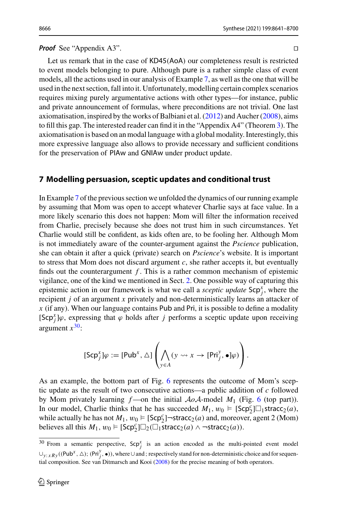#### *Proof* See "Appendix A3".

Let us remark that in the case of KD45(AoA) our completeness result is restricted to event models belonging to pure. Although pure is a rather simple class of event models, all the actions used in our analysis of Example [7,](#page-21-0) as well as the one that will be used in the next section, fall into it. Unfortunately, modelling certain complex scenarios requires mixing purely argumentative actions with other types—for instance, public and private announcement of formulas, where preconditions are not trivial. One last axiomatisation, inspired by the works of Balbiani et al[.](#page-56-15) [\(2012\)](#page-56-15) and Auche[r](#page-56-16) [\(2008\)](#page-56-16), aims to fill this gap. The interested reader can find it in the "Appendix A4" (Theorem [3\)](#page-52-0). The axiomatisation is based on an modal language with a global modality. Interestingly, this more expressive language also allows to provide necessary and sufficient conditions for the preservation of PIAw and GNIAw under product update.

## <span id="page-25-0"></span>**7 Modelling persuasion, sceptic updates and conditional trust**

In Example [7](#page-21-0) of the previous section we unfolded the dynamics of our running example by assuming that Mom was open to accept whatever Charlie says at face value. In a more likely scenario this does not happen: Mom will filter the information received from Charlie, precisely because she does not trust him in such circumstances. Yet Charlie would still be confident, as kids often are, to be fooling her. Although Mom is not immediately aware of the counter-argument against the *Pscience* publication, she can obtain it after a quick (private) search on *Pscience*'s website. It is important to stress that Mom does not discard argument  $c$ , she rather accepts it, but eventually finds out the counterargument *f* . This is a rather common mechanism of epistemic vigilance, one of the kind we mentioned in Sect. [2.](#page-4-0) One possible way of capturing this epistemic action in our framework is what we call a *sceptic update*  $\mathsf{Scp}^x_j$ , where the recipient *j* of an argument *x* privately and non-deterministically learns an attacker of *x* (if any). When our language contains Pub and Pri, it is possible to define a modality [Scp<sup>x</sup><sub>*j*</sub>] $\varphi$ , expressing that  $\varphi$  holds after *j* performs a sceptic update upon receiving argument  $x^{30}$  $x^{30}$  $x^{30}$ :

$$
[\mathsf{Scp}_{j}^{x}] \varphi := [\mathsf{Pub}^{x}, \Delta] \left( \bigwedge_{y \in A} (y \rightsquigarrow x \rightarrow [\mathsf{Pri}_{j}^{y}, \bullet] \varphi) \right).
$$

As an example, the bottom part of Fig. [6](#page-26-0) represents the outcome of Mom's sceptic update as the result of two consecutive actions—a public addition of *c* followed by Mom privately learning  $f$ —on the initial  $A \circ A$ -model  $M_1$  (Fig. [6](#page-26-0) (top part)). In our model, Charlie thinks that he has succeeded  $M_1, w_0 \vDash [Scp_2^c] \square_1$ stracc<sub>2</sub>(*a*), while actually he has not  $M_1$ ,  $w_0 \in [Scp_2^c]$   $\rightarrow$  stracc<sub>2</sub>(*a*) and, moreover, agent 2 (Mom) believes all this  $M_1, w_0 \models [\mathsf{Scp}_2^c] \Box_2(\Box_1 \mathsf{stracc}_2(a) \land \neg \mathsf{stracc}_2(a)).$ 

<span id="page-25-1"></span><sup>&</sup>lt;sup>30</sup> From a semantic perspective,  $\mathsf{Scp}_j^x$  is an action encoded as the multi-pointed event model  $\cup_{y: xRy}((Pub<sup>x</sup>, ∆); (Pri<sup>y</sup>, •))$ , where  $\cup$  and ; respectively stand for non-deterministic choice and for sequential composition. See van Ditmarsch and Koo[i](#page-59-20) [\(2008](#page-59-20)) for the precise meaning of both operators.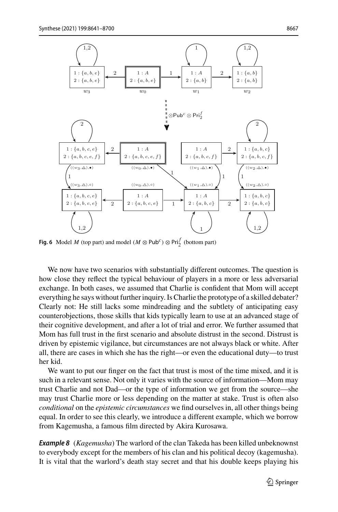

<span id="page-26-0"></span>**Fig. 6** Model *M* (top part) and model ( $M \otimes \text{Pub}^c$ )  $\otimes \text{Pri}_2^f$  (bottom part)

We now have two scenarios with substantially different outcomes. The question is how close they reflect the typical behaviour of players in a more or less adversarial exchange. In both cases, we assumed that Charlie is confident that Mom will accept everything he says without further inquiry. Is Charlie the prototype of a skilled debater? Clearly not: He still lacks some mindreading and the subtlety of anticipating easy counterobjections, those skills that kids typically learn to use at an advanced stage of their cognitive development, and after a lot of trial and error. We further assumed that Mom has full trust in the first scenario and absolute distrust in the second. Distrust is driven by epistemic vigilance, but circumstances are not always black or white. After all, there are cases in which she has the right—or even the educational duty—to trust her kid.

We want to put our finger on the fact that trust is most of the time mixed, and it is such in a relevant sense. Not only it varies with the source of information—Mom may trust Charlie and not Dad—or the type of information we get from the source—she may trust Charlie more or less depending on the matter at stake. Trust is often also *conditional* on the *epistemic circumstances* we find ourselves in, all other things being equal. In order to see this clearly, we introduce a different example, which we borrow from Kagemusha, a famous film directed by Akira Kurosawa.

*Example 8* (*Kagemusha*) The warlord of the clan Takeda has been killed unbeknownst to everybody except for the members of his clan and his political decoy (kagemusha). It is vital that the warlord's death stay secret and that his double keeps playing his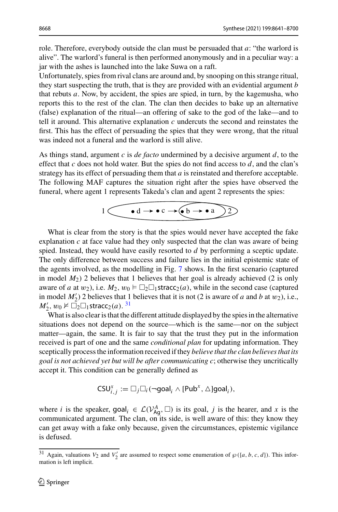role. Therefore, everybody outside the clan must be persuaded that *a*: "the warlord is alive". The warlord's funeral is then performed anonymously and in a peculiar way: a jar with the ashes is launched into the lake Suwa on a raft.

Unfortunately, spies from rival clans are around and, by snooping on this strange ritual, they start suspecting the truth, that is they are provided with an evidential argument *b* that rebuts *a*. Now, by accident, the spies are spied, in turn, by the kagemusha, who reports this to the rest of the clan. The clan then decides to bake up an alternative (false) explanation of the ritual—an offering of sake to the god of the lake—and to tell it around. This alternative explanation *c* undercuts the second and reinstates the first. This has the effect of persuading the spies that they were wrong, that the ritual was indeed not a funeral and the warlord is still alive.

As things stand, argument *c* is *de facto* undermined by a decisive argument *d*, to the effect that  $c$  does not hold water. But the spies do not find access to  $d$ , and the clan's strategy has its effect of persuading them that *a* is reinstated and therefore acceptable. The following MAF captures the situation right after the spies have observed the funeral, where agent 1 represents Takeda's clan and agent 2 represents the spies:

$$
1 \underbrace{\bullet \, d \rightarrow \bullet \, c \rightarrow (\bullet \, b \rightarrow \bullet \, a)}_{2}
$$

What is clear from the story is that the spies would never have accepted the fake explanation *c* at face value had they only suspected that the clan was aware of being spied. Instead, they would have easily resorted to *d* by performing a sceptic update. The only difference between success and failure lies in the initial epistemic state of the agents involved, as the modelling in Fig. [7](#page-28-1) shows. In the first scenario (captured in model *M*2) 2 believes that 1 believes that her goal is already achieved (2 is only aware of *a* at  $w_2$ ), i.e.  $M_2$ ,  $w_0 \vDash \Box_2 \Box_1$  stracc<sub>2</sub>(*a*), while in the second case (captured in model  $M'_2$ ) 2 believes that 1 believes that it is not (2 is aware of *a* and *b* at w<sub>2</sub>), i.e.,  $M'_2$ ,  $w_0 \nvDash \overline{\square}_2 \square_1$ stracc $_2(a)$ . <sup>[31](#page-27-0)</sup>

What is also clear is that the different attitude displayed by the spies in the alternative situations does not depend on the source—which is the same—nor on the subject matter—again, the same. It is fair to say that the trust they put in the information received is part of one and the same *conditional plan* for updating information. They sceptically process the information received if they *believe that the clan believes that its goal is not achieved yet but will be after communicating c*; otherwise they uncritically accept it. This condition can be generally defined as

$$
\mathsf{CSU}_{i,j}^x:=\Box_j\Box_i(\neg \mathsf{goal}_i \wedge [\mathsf{Pub}^x, \triangle ]\mathsf{goal}_i),
$$

where *i* is the speaker, goal<sub>*i*</sub>  $\in \mathcal{L}(V_{\text{Ag}}^A, \square)$  is its goal, *j* is the hearer, and *x* is the communicated argument. The clan, on its side, is well aware of this: they know they can get away with a fake only because, given the circumstances, epistemic vigilance is defused.

<span id="page-27-0"></span><sup>&</sup>lt;sup>31</sup> Again, valuations  $V_2$  and  $V'_2$  are assumed to respect some enumeration of  $\wp(\lbrace a, b, c, d \rbrace)$ . This information is left implicit.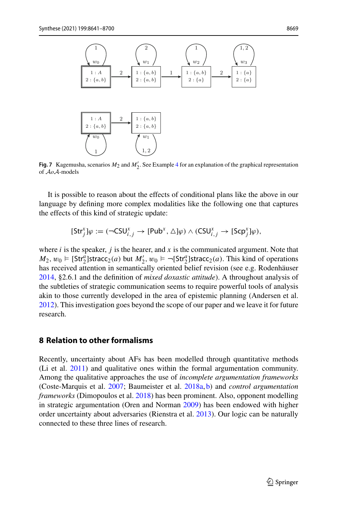

<span id="page-28-1"></span>**Fig. 7** Kagemusha, scenarios  $M_2$  and  $M'_2$ . See Example [4](#page-15-1) for an explanation of the graphical representation of *AoA*-models

It is possible to reason about the effects of conditional plans like the above in our language by defining more complex modalities like the following one that captures the effects of this kind of strategic update:

$$
[\mathsf{Str}^x_j]\varphi:=(\mathsf{\neg CSU}^x_{i,j}\rightarrow [\mathsf{Pub}^x,\triangle]\varphi)\land (\mathsf{CSU}^x_{i,j}\rightarrow [\mathsf{Scp}^x_j]\varphi),
$$

where  $i$  is the speaker,  $j$  is the hearer, and  $x$  is the communicated argument. Note that  $M_2, w_0 \vDash [Str_2^a]$ stracc<sub>2</sub>(*a*) but  $M'_2, w_0 \vDash \neg [Str_2^a]$ stracc<sub>2</sub>(*a*). This kind of operations has received attention in semantically oriented belief revision (see e.g. Rodenhäuse[r](#page-59-12) [2014,](#page-59-12) §2.6.1 and the definition of *mixed doxastic attitude*). A throughout analysis of the subtleties of strategic communication seems to require powerful tools of analysis akin to those currently developed in the area of epistemic planning (Andersen et al[.](#page-56-17) [2012\)](#page-56-17). This investigation goes beyond the scope of our paper and we leave it for future research.

## <span id="page-28-0"></span>**8 Relation to other formalisms**

Recently, uncertainty about AFs has been modelled through quantitative methods (Li et al[.](#page-58-23) [2011](#page-58-23)) and qualitative ones within the formal argumentation community. Among the qualitative approaches the use of *incomplete argumentation frameworks* (Coste-Marquis et al[.](#page-57-16) [2007;](#page-57-16) Baumeister et al[.](#page-56-2) [2018a](#page-56-2), [b](#page-56-3)) and *control argumentation frameworks* (Dimopoulos et al[.](#page-57-2) [2018](#page-57-2)) has been prominent. Also, opponent modelling in strategic argumentation (Oren and Norma[n](#page-58-1) [2009](#page-58-1)) has been endowed with higher order uncertainty about adversaries (Rienstra et al[.](#page-59-1) [2013](#page-59-1)). Our logic can be naturally connected to these three lines of research.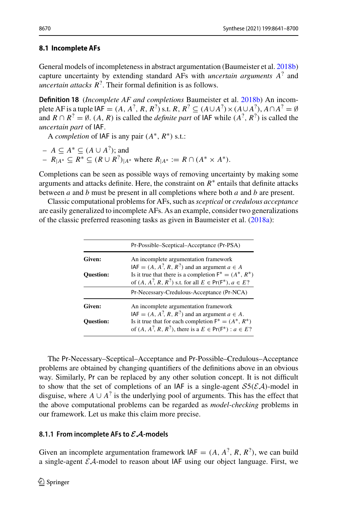## <span id="page-29-0"></span>**8.1 Incomplete AFs**

<span id="page-29-2"></span>General models of incompleteness in abstract argumentation (Baumeister et al[.](#page-56-3) [2018b\)](#page-56-3) capture uncertainty by extending standard AFs with *uncertain arguments A*? and *uncertain attacks R*?. Their formal definition is as follows.

**Definition 18** (*Incomplete AF and completions* Baumeister et al[.](#page-56-3) [2018b](#page-56-3)) An incomplete AF is a tuple IAF =  $(A, A^2, R, R^2)$  s.t.  $R, R^2 \subseteq (A \cup A^2) \times (A \cup A^2)$ ,  $A \cap A^2 = \emptyset$ and  $R \cap R^2 = \emptyset$ . (A, R) is called the *definite part* of IAF while  $(A^2, R^2)$  is called the *uncertain part* of IAF.

A *completion* of IAF is any pair (*A*∗, *R*∗) s.t.:

$$
-A \subseteq A^* \subseteq (A \cup A^?);
$$
 and

 $-R_{|A^*} ⊆ R^* ⊆ (R ∪ R^?)_{|A^*}$  where  $R_{|A^*} := R ∩ (A^* × A^*)$ .

Completions can be seen as possible ways of removing uncertainty by making some arguments and attacks definite. Here, the constraint on  $R^*$  entails that definite attacks between *a* and *b* must be present in all completions where both *a* and *b* are present.

Classic computational problems for AFs, such as*sceptical* or *credulous acceptance* are easily generalized to incomplete AFs. As an example, consider two generalizations of the classic preferred reasoning tasks as given in Baumeister et al[.](#page-56-2) [\(2018a\)](#page-56-2):

|                                                                                                       | Pr-Possible-Sceptical-Acceptance (Pr-PSA)                                                                                              |  |
|-------------------------------------------------------------------------------------------------------|----------------------------------------------------------------------------------------------------------------------------------------|--|
| An incomplete argumentation framework<br>Given:<br>$IAF = (A, A^?, R, R^?)$ and an argument $a \in A$ |                                                                                                                                        |  |
| <b>Ouestion:</b>                                                                                      | Is it true that there is a completion $F^* = (A^*, R^*)$<br>of $(A, A^?, R, R^?)$ s.t. for all $E \in Pr(F^*)$ , $a \in E?$            |  |
|                                                                                                       | Pr-Necessary-Credulous-Acceptance (Pr-NCA)                                                                                             |  |
| Given:                                                                                                | An incomplete argumentation framework<br>$IAF = (A, A^2, R, R^2)$ and an argument $a \in A$ .                                          |  |
| <b>Ouestion:</b>                                                                                      | Is it true that for each completion $F^* = (A^*, R^*)$<br>of $(A, A^?$ , R, R <sup>2</sup> ), there is a $E \in Pr(F^*)$ : $a \in E$ ? |  |

The Pr-Necessary–Sceptical–Acceptance and Pr-Possible–Credulous–Acceptance problems are obtained by changing quantifiers of the definitions above in an obvious way. Similarly, Pr can be replaced by any other solution concept. It is not difficult to show that the set of completions of an IAF is a single-agent  $S5(\mathcal{EA})$ -model in disguise, where  $A \cup A^T$  is the underlying pool of arguments. This has the effect that the above computational problems can be regarded as *model-checking* problems in our framework. Let us make this claim more precise.

## <span id="page-29-1"></span>**8.1.1 From incomplete AFs to** *EA***-models**

Given an incomplete argumentation framework  $IAF = (A, A^2, R, R^2)$ , we can build a single-agent *EA*-model to reason about IAF using our object language. First, we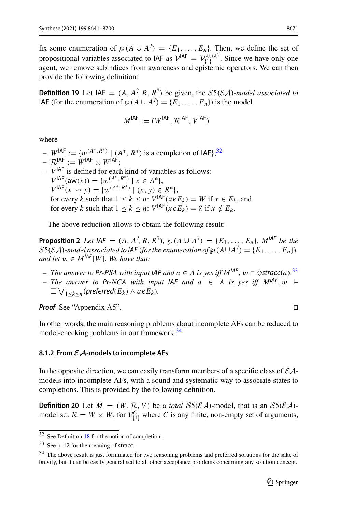fix some enumeration of  $\wp(A \cup A^2) = \{E_1, \ldots, E_n\}$ . Then, we define the set of propositional variables associated to IAF as  $V^{IAF} = V_{\{1\}}^{A\cup A^2}$ . Since we have only one agent, we remove subindices from awareness and epistemic operators. We can then provide the following definition:

<span id="page-30-6"></span>**Definition 19** Let  $IAF = (A, A^2, R, R^2)$  be given, the *S5(EA)-model associated to* IAF (for the enumeration of  $\wp(A \cup A^2) = \{E_1, \ldots, E_n\}$ ) is the model

$$
M^{\mathsf{IAF}} := (W^{\mathsf{IAF}}, \mathcal{R}^{\mathsf{IAF}}, V^{\mathsf{IAF}})
$$

where

- $W^{IAF} := \{ w^{(A^*, R^*)} | (A^*, R^*) \text{ is a completion of IAF} \}$ <sup>[32](#page-30-1)</sup>
- $-R^{IAF} := W^{IAF} \times W^{IAF}$
- $-V^{IAF}$  is defined for each kind of variables as follows:  $V^{IAF}(\text{aw}(x)) = \{w^{(A^*, R^*)} \mid x \in A^*\},$  $V^{\text{IAF}}(x \leadsto y) = \{w^{(A^*, R^*)} \mid (x, y) \in R^*\},$ for every *k* such that  $1 \leq k \leq n$ :  $V^{|\mathsf{AF}|}(x \in E_k) = W$  if  $x \in E_k$ , and for every *k* such that  $1 \leq k \leq n$ :  $V^{\text{IAF}}(x \in E_k) = \emptyset$  if  $x \notin E_k$ .

<span id="page-30-4"></span>The above reduction allows to obtain the following result:

**Proposition 2** *Let*  $IAF = (A, A^2, R, R^2), \ \wp(A \cup A^2) = \{E_1, \ldots, E_n\}, \ M^{IAF}$  *be the*  $S5(\mathcal{E}A)$ -model associated to IAF (for the enumeration of  $\wp(A \cup A^2) = \{E_1, \ldots, E_n\}$ ), *and let*  $w \in M^{|AF|}[W]$ *. We have that:* 

- *– The answer to Pr-PSA with input IAF and*  $a \in A$  *is yes iff*  $M^{IAF}$ *,*  $w \models \Diamond \text{stracc}(a)$ *.<sup>[33](#page-30-2)</sup>*
- *The answer to Pr-NCA with input IAF and*  $a$  ∈ *A is yes iff M*<sup>*IAF*</sup>,  $w$  ⊨  $\Box$   $\bigvee$ <sub>1≤</sub> $k$  ≤*n*</sub> (*preferred*( $E$ <sub>k</sub>) ∧ *a* ∈  $E$ <sub>k</sub>).

*Proof* See "Appendix A5". □

In other words, the main reasoning problems about incomplete AFs can be reduced to model-checking problems in our framework.<sup>34</sup>

#### <span id="page-30-0"></span>**8.1.2 From** *EA***-models to incomplete AFs**

In the opposite direction, we can easily transform members of a specific class of *EA*models into incomplete AFs, with a sound and systematic way to associate states to completions. This is provided by the following definition.

<span id="page-30-5"></span>**Definition 20** Let  $M = (W, \mathcal{R}, V)$  be a *total*  $S5(\mathcal{E}A)$ -model, that is an  $S5(\mathcal{E}A)$ model s.t.  $\mathcal{R} = W \times W$ , for  $\mathcal{V}_{\{1\}}^C$  where *C* is any finite, non-empty set of arguments,

<span id="page-30-1"></span> $32$  See Definition [18](#page-29-2) for the notion of completion.

<span id="page-30-2"></span><sup>33</sup> See p. 12 for the meaning of stracc.

<span id="page-30-3"></span><sup>&</sup>lt;sup>34</sup> The above result is just formulated for two reasoning problems and preferred solutions for the sake of brevity, but it can be easily generalised to all other acceptance problems concerning any solution concept.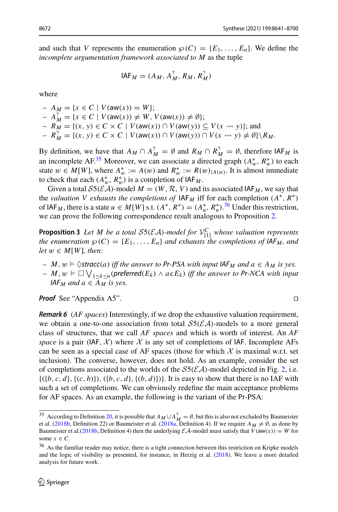and such that *V* represents the enumeration  $\wp(C) = \{E_1, \ldots, E_n\}$ . We define the *incomplete argumentation framework associated to M* as the tuple

$$
IAFM = (AM, AM?, RM, RM?)
$$

where

 $- A_M = \{ x \in C \mid V(\text{aw}(x)) = W \};$  $A_M^2 = \{x \in C \mid V(\text{aw}(x)) \neq W, V(\text{aw}(x)) \neq \emptyset\};$ *−*  $R_M$  = {(*x*, *y*) ∈ *C* × *C* | *V*(aw(*x*)) ∩ *V*(aw(*y*)) ⊆ *V*(*x* → *y*)}; and  $R_M^2 = \{(x, y) \in C \times C \mid V(\text{aw}(x)) \cap V(\text{aw}(y)) \cap V(x \rightsquigarrow y) \neq \emptyset\} \backslash R_M.$ 

By definition, we have that  $A_M \cap A_M^? = \emptyset$  and  $R_M \cap R_M^? = \emptyset$ , therefore  $IAF_M$  is an incomplete AF.<sup>[35](#page-31-0)</sup> Moreover, we can associate a directed graph  $(A_w^*, R_w^*)$  to each state  $w \in M[W]$ , where  $A^*_{w} := A(w)$  and  $R^*_{w} := R(w)|_{A(w)}$ . It is almost immediate to check that each  $(A_w^*, R_w^*)$  is a completion of  $IAF_M$ .

Given a total  $S5(\mathcal{E}A)$ -model  $M = (W, \mathcal{R}, V)$  and its associated IAF<sub>M</sub>, we say that the *valuation V exhausts the completions of*  $IAF_M$  iff for each completion  $(A^*, R^*)$ of  $IAF_M$ , there is a state  $u \in M[W]$  s.t.  $(A^*, R^*) = (A^*_u, R^*_u)$ .<sup>[36](#page-31-1)</sup> Under this restriction, we can prove the following correspondence result analogous to Proposition [2.](#page-30-4)

<span id="page-31-2"></span>**Proposition 3** *Let M be a total*  $SS(\mathcal{EA})$ *-model for*  $\mathcal{V}_{\{1\}}^C$  *whose valuation represents the enumeration*  $\wp(C) = \{E_1, \ldots, E_n\}$  *and exhausts the completions of IAF<sub>M</sub>, and let*  $w \in M[W]$ *, then:* 

- *− M*,  $w \models \Diamond \text{stracc}(a)$  *iff the answer to* Pr*-PSA with input*  $IAF_M$  *and*  $a \in A_M$  *is yes.*
- *– M*,  $w \models \Box \bigvee_{1 \leq k \leq n} ( preferred(E_k) \land a \in E_k)$  *iff the answer to Pr-NCA with input IAF<sub>M</sub>* and  $a \in A_M$  *is yes.*

*Proof* See "Appendix A5".

*Remark 6* (*AF spaces*) Interestingly, if we drop the exhaustive valuation requirement, we obtain a one-to-one association from total *S*5(*EA*)-models to a more general class of structures, that we call *AF spaces* and which is worth of interest. An *AF space* is a pair (IAF,  $\chi$ ) where  $\chi$  is any set of completions of IAF. Incomplete AFs can be seen as a special case of AF spaces (those for which  $\mathcal X$  is maximal w.r.t. set inclusion). The converse, however, does not hold. As an example, consider the set of completions associated to the worlds of the  $S5(\mathcal{E}A)$ -model depicted in Fig. [2,](#page-14-0) i.e.  $\{(b, c, d), (c, b)\}, \{(b, c, d), (b, d)\}\}.$  It is easy to show that there is no IAF with such a set of completions. We can obviously redefine the main acceptance problems for AF spaces. As an example, the following is the variant of the Pr-PSA:

$$
\Box
$$

<span id="page-31-0"></span><sup>&</sup>lt;sup>35</sup> According to Definition [20,](#page-30-5) it is possible that  $A_M \cup A_M^2 = \emptyset$ , but this is also not excluded by Baumeister et al. [\(2018b,](#page-56-3) Definition 22) or Baumeister et al. [\(2018a,](#page-56-2) Definition 4). If we require  $A_M \neq \emptyset$ , as done by Baumeister et al.[\(2018b,](#page-56-3) Definition 4) then the underlying  $\mathcal{EA}$ -model must satisfy that  $V(\mathsf{aw}(x)) = W$  for some  $x \in C$ .

<span id="page-31-1"></span><sup>&</sup>lt;sup>36</sup> As the familiar reader may notice, there is a tight connection between this restriction on Kripke models and the logic of visibility as presented, for instance, in Herzig et al[.](#page-58-24) [\(2018\)](#page-58-24). We leave a more detailed analysis for future work.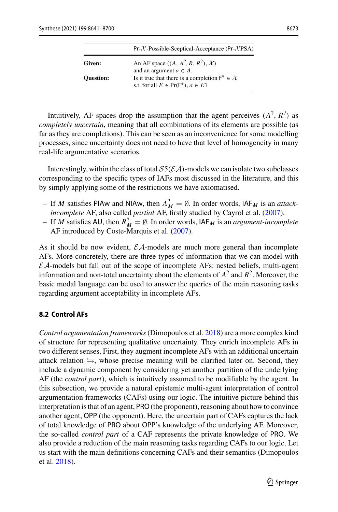|                  | $Pr-X-Posisible-Sceptical-Acceptance (Pr-XPSA)$                                                           |
|------------------|-----------------------------------------------------------------------------------------------------------|
| Given:           | An AF space $((A, A^?, R, R^2), \mathcal{X})$<br>and an argument $a \in A$ .                              |
| <b>Ouestion:</b> | Is it true that there is a completion $F^* \in \mathcal{X}$<br>s.t. for all $E \in Pr(F^*)$ , $a \in E$ ? |

Intuitively, AF spaces drop the assumption that the agent perceives  $(A^2, R^2)$  as *completely uncertain*, meaning that all combinations of its elements are possible (as far as they are completions). This can be seen as an inconvenience for some modelling processes, since uncertainty does not need to have that level of homogeneity in many real-life argumentative scenarios.

Interestingly, within the class of total  $S5(\mathcal{EA})$ -models we can isolate two subclasses corresponding to the specific types of IAFs most discussed in the literature, and this by simply applying some of the restrictions we have axiomatised.

- $-$  If *M* satisfies PIAw and NIAw, then  $A_M^2 = \emptyset$ . In order words, IAF<sub>*M*</sub> is an *attackincomplete* AF, also called *partial* AF, firstly studied by Cayrol et al[.](#page-57-17) [\(2007\)](#page-57-17).
- $-$  If *M* satisfies AU, then  $R_M^? = \emptyset$ . In order words,  $|AF_M|$  is an *argument-incomplete* AF introduced by Coste-Marquis et al[.](#page-57-16) [\(2007](#page-57-16)).

As it should be now evident, *EA*-models are much more general than incomplete AFs. More concretely, there are three types of information that we can model with *EA*-models but fall out of the scope of incomplete AFs: nested beliefs, multi-agent information and non-total uncertainty about the elements of *A*? and *R*?. Moreover, the basic modal language can be used to answer the queries of the main reasoning tasks regarding argument acceptability in incomplete AFs.

## <span id="page-32-0"></span>**8.2 Control AFs**

*Control argumentation frameworks*(Dimopoulos et al[.](#page-57-2) [2018\)](#page-57-2) are a more complex kind of structure for representing qualitative uncertainty. They enrich incomplete AFs in two different senses. First, they augment incomplete AFs with an additional uncertain attack relation  $\leftrightarrows$ , whose precise meaning will be clarified later on. Second, they include a dynamic component by considering yet another partition of the underlying AF (the *control part*), which is intuitively assumed to be modifiable by the agent. In this subsection, we provide a natural epistemic multi-agent interpretation of control argumentation frameworks (CAFs) using our logic. The intuitive picture behind this interpretation is that of an agent, PRO(the proponent), reasoning about how to convince another agent, OPP (the opponent). Here, the uncertain part of CAFs captures the lack of total knowledge of PRO about OPP's knowledge of the underlying AF. Moreover, the so-called *control part* of a CAF represents the private knowledge of PRO. We also provide a reduction of the main reasoning tasks regarding CAFs to our logic. Let us start with the main definitions concerning CAFs and their semantics (Dimopoulos et al[.](#page-57-2) [2018\)](#page-57-2).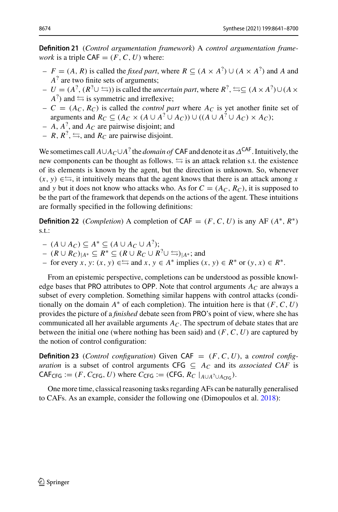**Definition 21** (*Control argumentation framework*) A *control argumentation framework* is a triple  $CAF = (F, C, U)$  where:

- $F = (A, R)$  is called the *fixed part*, where  $R ⊆ (A × A<sup>2</sup>) ∪ (A × A<sup>2</sup>)$  and *A* and *A*<sup>?</sup> are two finite sets of arguments;
- $U = (A^2, (R^2 \cup \equiv))$  is called the *uncertain part*, where  $R^2 \equiv C (A \times A^2) \cup (A \times B^2)$  $A^2$ ) and  $\leftrightharpoons$  is symmetric and irreflexive;
- $-C = (A_C, R_C)$  is called the *control part* where  $A_C$  is yet another finite set of arguments and  $R_C \subseteq (A_C \times (A \cup A^? \cup A_C)) \cup ((A \cup A^? \cup A_C) \times A_C);$
- $A$ ,  $A^2$ , and  $A_C$  are pairwise disjoint; and
- $-R, R^2, \leftrightarrows$ , and  $R_C$  are pairwise disjoint.

We sometimes call *<sup>A</sup>*∪*AC*∪*A*? the *domain of* CAF and denote it asΔCAF. Intuitively, the new components can be thought as follows.  $\leftrightarrows$  is an attack relation s.t. the existence of its elements is known by the agent, but the direction is unknown. So, whenever  $(x, y) \in \mathfrak{S}$ , it intuitively means that the agent knows that there is an attack among x and *y* but it does not know who attacks who. As for  $C = (A_C, R_C)$ , it is supposed to be the part of the framework that depends on the actions of the agent. These intuitions are formally specified in the following definitions:

<span id="page-33-0"></span>**Definition 22** (*Completion*) A completion of  $CAF = (F, C, U)$  is any AF  $(A^*, R^*)$ s.t.:

- (*<sup>A</sup>* <sup>∪</sup> *AC*) <sup>⊆</sup> *<sup>A</sup>*<sup>∗</sup> <sup>⊆</sup> (*<sup>A</sup>* <sup>∪</sup> *AC* <sup>∪</sup> *<sup>A</sup>*?);
- $-(R \cup R_C)_{|A^*}$  ⊂  $R^*$  ⊂  $(R \cup R_C \cup R^?$   $\cup \cong )_{|A^*}$ ; and
- for every *x*, *y*: (*x*, *y*) ∈  $\Longleftrightarrow$  and *x*, *y* ∈ *A*<sup>∗</sup> implies (*x*, *y*) ∈ *R*<sup>∗</sup> or (*y*, *x*) ∈ *R*<sup>∗</sup>.

From an epistemic perspective, completions can be understood as possible knowledge bases that PRO attributes to OPP. Note that control arguments  $A_C$  are always a subset of every completion. Something similar happens with control attacks (conditionally on the domain  $A^*$  of each completion). The intuition here is that  $(F, C, U)$ provides the picture of a *finished* debate seen from PRO's point of view, where she has communicated all her available arguments  $A_C$ . The spectrum of debate states that are between the initial one (where nothing has been said) and (*F*,*C*, *U*) are captured by the notion of control configuration:

**Definition 23** (*Control configuration*) Given CAF =  $(F, C, U)$ , a *control configuration* is a subset of control arguments CFG  $\subseteq A_C$  and its *associated CAF* is  $\mathsf{CAF}_{\mathsf{CFG}} := (F, C_{\mathsf{CFG}}, U)$  where  $C_{\mathsf{CFG}} := (\mathsf{CFG}, R_C \mid_{A \cup A^2 \cup A_{\mathsf{CFG}}}).$ 

One more time, classical reasoning tasks regarding AFs can be naturally generalised to CAFs. As an example, consider the following one (Dimopoulos et al[.](#page-57-2) [2018\)](#page-57-2):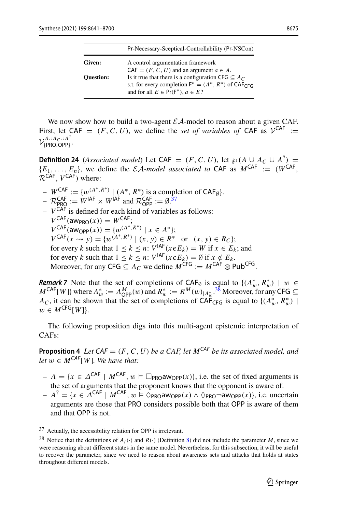|                  | Pr-Necessary-Sceptical-Controllability (Pr-NSCon)                                                               |
|------------------|-----------------------------------------------------------------------------------------------------------------|
| Given:           | A control argumentation framework<br>$CAF = (F, C, U)$ and an argument $a \in A$ .                              |
| <b>Ouestion:</b> | Is it true that there is a configuration CFG $\subseteq$ A <sub>C</sub> .                                       |
|                  | s.t. for every completion $F^* = (A^*, R^*)$ of CAF <sub>CEG</sub><br>and for all $E \in Pr(F^*)$ , $a \in E$ ? |

We now show how to build a two-agent  $\mathcal{EA}$ -model to reason about a given CAF. First, let CAF =  $(F, C, U)$ , we define the *set of variables of* CAF as  $V^{CAF}$  :=  $V_{\text{max}}^{A\cup A_C\cup A^2}$  $\langle$ PRO,OPP} $\cdot$ 

<span id="page-34-3"></span>**Definition 24** (*Associated model*) Let CAF = (*F*, *C*, *U*), let  $\wp(A \cup A_C \cup A^2)$  =  ${E_1, \ldots, E_n}$ , we define the *EA-model associated to* CAF as  $M^{CAF}$  := ( $W^{CAF}$ ) *<sup>R</sup>*CAF, *<sup>V</sup>*CAF) where:

- $W^{CAF} := \{w^{(A^*, R^*)} | (A^*, R^*)$  is a completion of CAF<sub>Ø</sub>}.<br>  $C^{AF} = C^{AF}$
- $\mathcal{R}_{\text{PRO}}^{\text{CAF}} := W^{\text{IAF}} \times W^{\text{IAF}}$  and  $\mathcal{R}_{\text{OPP}}^{\text{CAF}} := \emptyset$ .<sup>[37](#page-34-0)</sup>
- $-V^{CAF}$  is defined for each kind of variables as follows:  $V^{CAF}$ (aw<sub>PRO</sub> $(x)$ ) =  $W^{CAF}$ :  $V^{CAF}(\text{aw}_{OPP}(x)) = \{w^{(A^*,R^*)} | x \in A^*\};$  $V^{CAF}(x \rightsquigarrow y) = \{w^{(A^*, R^*)} \mid (x, y) \in R^* \text{ or } (x, y) \in R_C\};$ for every *k* such that  $1 \leq k \leq n$ :  $V^{\text{IAF}}(x \in E_k) = W$  if  $x \in E_k$ ; and for every *k* such that  $1 \leq k \leq n$ :  $V^{\text{IAF}}(x \in E_k) = \emptyset$  if  $x \notin E_k$ . Moreover, for any CFG  $\subseteq$  *A<sub>C</sub>* we define  $M^{\text{CFG}} := M^{\text{CAF}} \otimes \text{Pub}^{\text{CFG}}$

<span id="page-34-2"></span>*Remark 7* Note that the set of completions of  $CAF_\emptyset$  is equal to  $\{(A_w^*, R_w^*) \mid w \in A\}$  $M^{\mathsf{CAF}}[W]$ } where  $A^*_w := A^M_{\mathsf{OPP}}(w)$  and  $R^*_w := R^M(w)_{|A^*_w}$ .<sup>[38](#page-34-1)</sup> Moreover, for any CFG ⊆ *A<sub>C</sub>*, it can be shown that the set of completions of  $\text{CAF}_{\text{CFG}}$  is equal to  $\{(A_w^*, R_w^*)\mid \text{CGF} \}$  $w \in M^{\text{CFG}}[W]$ .

<span id="page-34-4"></span>The following proposition digs into this multi-agent epistemic interpretation of CAFs:

**Proposition 4** *Let*  $CAF = (F, C, U)$  *be a CAF, let*  $M^{CAF}$  *be its associated model, and let*  $w \in M^{CAF}[W]$ *. We have that:* 

- $A = \{x \in \Delta^{CAF} \mid M^{CAF}, w \models \Box_{PRO}aw_{OPP}(x)\}\)$ , i.e. the set of fixed arguments is the set of arguments that the proponent knows that the opponent is aware of.
- $A^{2} = \{x \in \Delta^{CAF} \mid M^{CAF}, w \models \Diamond_{PRO}aw_{OPP}(x) \land \Diamond_{PRO} \neg aw_{OPP}(x)\}\)$ , i.e. uncertain arguments are those that PRO considers possible both that OPP is aware of them and that OPP is not.

<span id="page-34-0"></span><sup>37</sup> Actually, the accessibility relation for OPP is irrelevant.

<span id="page-34-1"></span><sup>&</sup>lt;sup>38</sup> Notice that the definitions of  $A_i(\cdot)$  and  $R(\cdot)$  (Definition [8\)](#page-12-1) did not include the parameter *M*, since we were reasoning about different states in the same model. Nevertheless, for this subsection, it will be useful to recover the parameter, since we need to reason about awareness sets and attacks that holds at states throughout different models.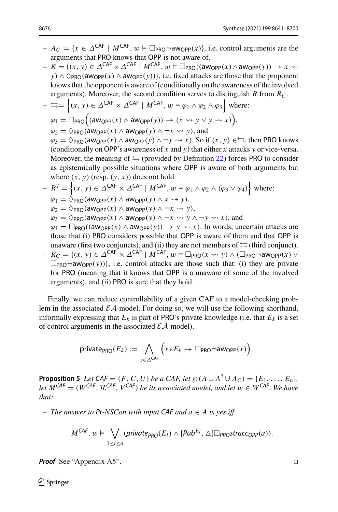- $A_C = \{x \in \Delta^{CAF} \mid M^{CAF}, w \models \Box_{PRO} \neg \text{aw}_{OPP}(x)\}\)$ , i.e. control arguments are the arguments that PRO knows that OPP is not aware of.
- $R = \{(x, y) \in \Delta^{\mathsf{CAF}} \times \Delta^{\mathsf{CAF}} \mid M^{\mathsf{CAF}}, w \models \Box_{\mathsf{PRO}}((\mathsf{aw}_{\mathsf{OPP}}(x) \land \mathsf{aw}_{\mathsf{OPP}}(y)) \rightarrow x \rightsquigarrow$ *y*) ∧  $\Diamond$ <sub>PRO</sub>(aw<sub>OPP</sub>(*x*) ∧ aw<sub>OPP</sub>(*y*))}, i.e. fixed attacks are those that the proponent knows that the opponent is aware of (conditionally on the awareness of the involved arguments). Moreover, the second condition serves to distinguish *R* from *RC*.

$$
-\stackrel{\longleftarrow}{\Rightarrow}=\left\{(x, y) \in \Delta^{CAF} \times \Delta^{CAF} \mid M^{CAF}, w \models \varphi_1 \land \varphi_2 \land \varphi_3\right\} \text{ where:}
$$
\n
$$
\varphi_1 = \Box_{PRO}((a_{WOPP}(x) \land a_{WOPP}(y)) \rightarrow (x \leadsto y \lor y \leadsto x)),
$$
\n
$$
\varphi_2 = \Diamond_{PRO}(a_{WOPP}(x) \land a_{WOPP}(y) \land \neg x \leadsto y), \text{ and}
$$
\n
$$
\varphi_3 = \Diamond_{PRO}(a_{WOPP}(x) \land a_{WOPP}(y) \land \neg y \leadsto x). \text{ So if } (x, y) \in \Box, \text{ then PRO knows}
$$
\n(conditionally on OPP's awareness of x and y) that either x attacks y or vice-versa. Moreover, the meaning of  $\subseteq$  (provided by Definition 22) forces PRO to consider as epistemically possible situations where OPP is aware of both arguments but where  $(x, y)$  (resp.  $(y, x)$ ) does not hold.  
\n
$$
- R^2 = \left\{(x, y) \in \Delta^{CAF} \times \Delta^{CAF} \mid M^{CAF}, w \models \varphi_1 \land \varphi_2 \land (\varphi_3 \lor \varphi_4)\right\} \text{ where:}
$$
\n
$$
\varphi_1 = \Diamond_{PRO}(a_{WOPP}(x) \land a_{WOPP}(y) \land x \leadsto y),
$$

$$
\varphi_2 = \Diamond_{\mathsf{PRO}}(\mathsf{aw_{OPP}}(x) \land \mathsf{aw_{OPP}}(y) \land \neg x \leadsto y),
$$

 $\varphi_3 = \bigcirc \text{Pro}(\text{aw}_{\text{OPP}}(x) \land \text{aw}_{\text{OPP}}(y) \land \neg x \leadsto y \land \neg y \leadsto x),$  and

 $\varphi_4 = \Box_{\text{PRO}}((aw_{\text{OPP}}(x) \land aw_{\text{OPP}}(y)) \rightarrow y \rightsquigarrow x)$ . In words, uncertain attacks are those that (i) PRO considers possible that OPP is aware of them and that OPP is unaware (first two conjuncts), and (ii) they are not members of  $\leq$  (third conjunct).

 $R_C = \{(x, y) \in \Delta^{\mathsf{CAF}} \times \Delta^{\mathsf{CAF}} \mid M^{\mathsf{CAF}}, w \models \Box_{\mathsf{PRO}}(x \leadsto y) \land (\Box_{\mathsf{PRO}} \neg \mathsf{aw}_{\mathsf{OPP}}(x) \lor \Box_{\mathsf{PRO}} \land \Box_{\mathsf{PRO}}(x) \land \Box_{\mathsf{PRO}}(x \leftrightarrow y) \land (\Box_{\mathsf{PRO}} \land \Box_{\mathsf{PRO}}(x) \land \Box_{\mathsf{PRO}}(x) \land \Box_{\mathsf{PRO}}(x \leftrightarrow y) \land \Box_{\mathsf{PRO}}(x \leftrightarrow y) \land \Box_{\mathsf{PRO}}(x \leftrightarrow y$  $\Box_{PRO}$   $\neg$ aw<sub>OPP</sub>(y))}, i.e. control attacks are those such that: (i) they are private for PRO (meaning that it knows that OPP is a unaware of some of the involved arguments), and (ii) PRO is sure that they hold.

Finally, we can reduce controllability of a given CAF to a model-checking problem in the associated  $\mathcal{EA}$ -model. For doing so, we will use the following shorthand, informally expressing that  $E_k$  is part of PRO's private knowledge (i.e. that  $E_k$  is a set of control arguments in the associated *EA*-model).

$$
\text{private}_{\text{PRO}}(E_k) := \bigwedge_{x \in \Delta^{\text{CAF}}} \Big( x \in E_k \to \Box_{\text{PRO}} \neg \text{aw}_{\text{OPP}}(x) \Big).
$$

<span id="page-35-0"></span>**Proposition 5** *Let*  $\mathsf{CAF} = (F, C, U)$  *be a CAF, let*  $\wp(A \cup A^? \cup A_C) = \{E_1, \ldots, E_n\}$ *let*  $M^{CAF} = (W^{CAF}, R^{CAF}, V^{CAF})$  *be its associated model, and let*  $w \in W^{CAF}$ *. We have that:*

*– The answer to Pr-NSCon with input CAF and a* ∈ *A is yes iff*

$$
M^{CAF}, w \vDash \bigvee_{1 \leq l \leq n} (\textit{private}_{\textit{PRO}}(E_l) \wedge [\textit{Pub}^{E_l}, \triangle] \square_{\textit{PRO}} \textit{stracc}_{\textit{OPP}}(a)).
$$

*Proof* See "Appendix A5". □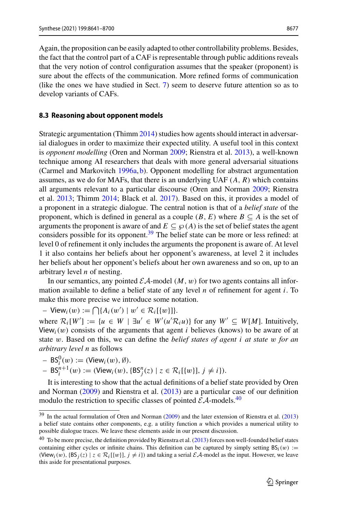Again, the proposition can be easily adapted to other controllability problems. Besides, the fact that the control part of a CAF is representable through public additions reveals that the very notion of control configuration assumes that the speaker (proponent) is sure about the effects of the communication. More refined forms of communication (like the ones we have studied in Sect. [7\)](#page-25-0) seem to deserve future attention so as to develop variants of CAFs.

#### <span id="page-36-0"></span>**8.3 Reasoning about opponent models**

Strategic argumentation (Thim[m](#page-59-2) [2014](#page-59-2)) studies how agents should interact in adversarial dialogues in order to maximize their expected utility. A useful tool in this context is *opponent modelling* (Oren and Norma[n](#page-58-1) [2009](#page-58-1); Rienstra et al[.](#page-59-1) [2013\)](#page-59-1), a well-known technique among AI researchers that deals with more general adversarial situations (Carmel and Markovitc[h](#page-57-18) [1996a,](#page-57-18) [b\)](#page-57-19). Opponent modelling for abstract argumentation assumes, as we do for MAFs, that there is an underlying UAF (*A*, *R*) which contains all arguments relevant to a particular discourse (Oren and Norma[n](#page-58-1) [2009](#page-58-1); Rienstra et al[.](#page-59-1) [2013;](#page-59-1) Thim[m](#page-59-2) [2014](#page-59-2); Black et al[.](#page-57-3) [2017](#page-57-3)). Based on this, it provides a model of a proponent in a strategic dialogue. The central notion is that of a *belief state* of the proponent, which is defined in general as a couple  $(B, E)$  where  $B \subseteq A$  is the set of arguments the proponent is aware of and  $E \subseteq \mathcal{R}(A)$  is the set of belief states the agent considers possible for its opponent.<sup>39</sup> The belief state can be more or less refined: at level 0 of refinement it only includes the arguments the proponent is aware of. At level 1 it also contains her beliefs about her opponent's awareness, at level 2 it includes her beliefs about her opponent's beliefs about her own awareness and so on, up to an arbitrary level *n* of nesting.

In our semantics, any pointed  $\mathcal{E}A$ -model  $(M, w)$  for two agents contains all information available to define a belief state of any level *n* of refinement for agent *i*. To make this more precise we introduce some notation.

 $-$  View<sub>*i*</sub>(*w*) :=  $\bigcap$ { $A$ <sub>*i*</sub>(*w'*) | *w'*  $\in$   $\mathcal{R}$ <sub>*i*</sub>[{*w*}]}.

where  $\mathcal{R}_i[W'] := \{u \in W \mid \exists u' \in W'(u' \mathcal{R}_i u)\}$  for any  $W' \subseteq W[M]$ . Intuitively, View<sub>i</sub> $(w)$  consists of the arguments that agent *i* believes (knows) to be aware of at state w. Based on this, we can define the *belief states of agent i at state* w *for an arbitrary level n* as follows

 $-$  BS<sub>i</sub><sup>0</sup>(*w*) := (View<sub>i</sub>(*w*), Ø).

$$
- BS_i^{n+1}(w) := (\text{View}_i(w), \{ BS_j^n(z) \mid z \in \mathcal{R}_i[\{ w \}], j \neq i \}).
$$

It is interesting to show that the actual definitions of a belief state provided by Oren and Norma[n](#page-58-1) [\(2009\)](#page-58-1) and Rienstra et al[.](#page-59-1) [\(2013\)](#page-59-1) are a particular case of our definition modulo the restriction to specific classes of pointed  $\mathcal{EA}$ -models.<sup>40</sup>

<span id="page-36-1"></span><sup>&</sup>lt;sup>39</sup> I[n](#page-58-1) the actual formulation of Oren and Norman [\(2009](#page-58-1)) and the later extension of Rienstra et al[.](#page-59-1) [\(2013](#page-59-1)) a belief state contains other components, e.g. a utility function *u* which provides a numerical utility to possible dialogue traces. We leave these elements aside in our present discussion.

<span id="page-36-2"></span> $40$  To be more precise, the definition provided by Rienstra et al[.](#page-59-1) [\(2013\)](#page-59-1) forces non well-founded belief states containing either cycles or infinite chains. This definition can be captured by simply setting  $BS_i(w) :=$ (View<sub>i</sub>(w),  $\{BS_j(z) | z \in \mathcal{R}_i[\{w\}], j \neq i\}$ ) and taking a serial *EA*-model as the input. However, we leave this aside for presentational purposes.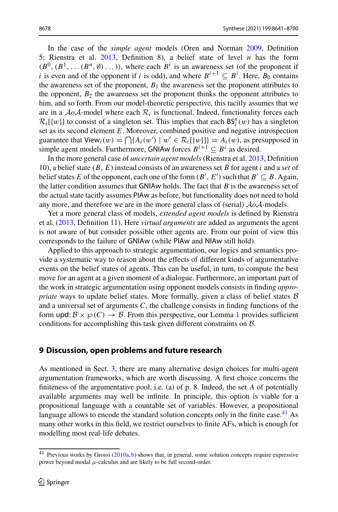In the case of the *simple agent* models (Oren and Norma[n](#page-58-1) [2009](#page-58-1), Definition 5; Rienstra et al[.](#page-59-1) [2013,](#page-59-1) Definition 8), a belief state of level *n* has the form  $(B^0, (B^1, \ldots (B^n, \emptyset) \ldots))$ , where each  $B^i$  is an awareness set (of the proponent if *i* is even and of the opponent if *i* is odd), and where  $B^{i+1} \subseteq B^i$ . Here,  $B_0$  contains the awareness set of the proponent,  $B_1$  the awareness set the proponent attributes to the opponent,  $B_2$  the awareness set the proponent thinks the opponent attributes to him, and so forth. From our model-theoretic perspective, this tacitly assumes that we are in a  $A \circ A$ -model where each  $R_i$  is functional. Indeed, functionality forces each  $\mathcal{R}_i$ [{w}] to consist of a singleton set. This implies that each  $\mathsf{BS}_i^n(w)$  has a singleton set as its second element *E*. Moreover, combined positive and negative introspection guarantee that  $View_i(w) = \bigcap \{A_i(w') \mid w' \in \mathcal{R}_i[\{w\}]\} = A_i(w)$ , as presupposed in simple agent models. Furthermore, GNIAw forces  $B^{i+1} \subset B^i$  as desired.

In the more general case of *uncertain agent models* (Rienstra et al[.](#page-59-1) [2013](#page-59-1), Definition 10), a belief state (*B*, *E*) instead consists of an awareness set *B* for agent *i* and a *set* of belief states *E* of the opponent, each one of the form  $(B', E')$  such that  $B' \subseteq B$ . Again, the latter condition assumes that GNIAw holds. The fact that *B* is the awareness set of the actual state tacitly assumes PIAw as before, but functionality does not need to hold any more, and therefore we are in the more general class of (serial) *AoA*-models.

Yet a more general class of models, *extended agent models* is defined by Rienstra et al. [\(2013,](#page-59-1) Definition 11). Here *virtual arguments* are added as arguments the agent is not aware of but consider possible other agents are. From our point of view this corresponds to the failure of GNIAw (while PIAw and NIAw still hold).

Applied to this approach to strategic argumentation, our logics and semantics provide a systematic way to reason about the effects of different kinds of argumentative events on the belief states of agents. This can be useful, in turn, to compute the best move for an agent at a given moment of a dialogue. Furthermore, an important part of the work in strategic argumentation using opponent models consists in finding *appropriate* ways to update belief states. More formally, given a class of belief states *B* and a universal set of arguments *C*, the challenge consists in finding functions of the form upd:  $\mathcal{B} \times \mathcal{B}(C) \to \mathcal{B}$ . From this perspective, our Lemma [1](#page-23-0) provides sufficient conditions for accomplishing this task given different constraints on *B*.

## <span id="page-37-0"></span>**9 Discussion, open problems and future research**

As mentioned in Sect. [3,](#page-6-0) there are many alternative design choices for multi-agent argumentation frameworks, which are worth discussing. A first choice concerns the finiteness of the argumentative pool, i.e. (a) of p. 8. Indeed, the set *A* of potentially available arguments may well be infinite. In principle, this option is viable for a propositional language with a countable set of variables. However, a propositional language allows to encode the standard solution concepts only in the finite case.<sup>41</sup> As many other works in this field, we restrict ourselves to finite AFs, which is enough for modelling most real-life debates.

<span id="page-37-1"></span><sup>&</sup>lt;sup>41</sup> Prev[i](#page-58-16)ous works by Grossi [\(2010a,](#page-58-16) [b\)](#page-58-17) shows that, in general, some solution concepts require expressive power beyond modal  $\mu$ -calculus and are likely to be full second-order.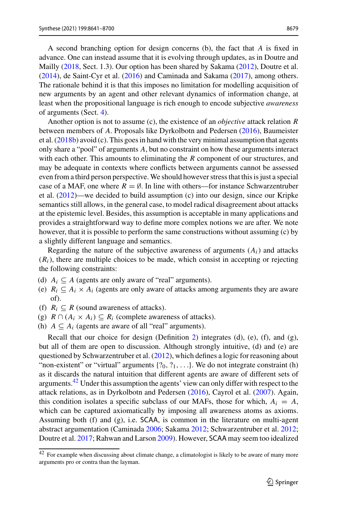A second branching option for design concerns (b), the fact that *A* is fixed in advance. One can instead assume that it is evolving through updates, as in Doutre and Mailly [\(2018,](#page-57-4) Sect. 1.3). Our option has been shared by Sakam[a](#page-59-23) [\(2012\)](#page-59-23), Doutre et al[.](#page-57-11) [\(2014\)](#page-57-11), de Saint-Cyr et al[.](#page-57-6) [\(2016\)](#page-57-6) and Caminada and Sakam[a](#page-57-20) [\(2017\)](#page-57-20), among others. The rationale behind it is that this imposes no limitation for modelling acquisition of new arguments by an agent and other relevant dynamics of information change, at least when the propositional language is rich enough to encode subjective *awareness* of arguments (Sect. [4\)](#page-9-0).

Another option is not to assume (c), the existence of an *objective* attack relation *R* between members of *A*. Proposals like Dyrkolbotn and Pederse[n](#page-58-25) [\(2016](#page-58-25)), Baumeister et al[.](#page-56-3)  $(2018b)$  $(2018b)$  avoid (c). This goes in hand with the very minimal assumption that agents only share a "pool" of arguments *A*, but no constraint on how these arguments interact with each other. This amounts to eliminating the *R* component of our structures, and may be adequate in contexts where conflicts between arguments cannot be assessed even from a third person perspective. We should however stress that this is just a special case of a MAF, one where  $R = \emptyset$ . In line with others—for instance Schwarzentruber et al[.](#page-59-16) [\(2012\)](#page-59-16)—we decided to build assumption (c) into our design, since our Kripke semantics still allows, in the general case, to model radical disagreement about attacks at the epistemic level. Besides, this assumption is acceptable in many applications and provides a straightforward way to define more complex notions we are after. We note however, that it is possible to perform the same constructions without assuming (c) by a slightly different language and semantics.

Regarding the nature of the subjective awareness of arguments  $(A<sub>i</sub>)$  and attacks  $(R<sub>i</sub>)$ , there are multiple choices to be made, which consist in accepting or rejecting the following constraints:

- (d)  $A_i \subseteq A$  (agents are only aware of "real" arguments).
- (e)  $R_i \subseteq A_i \times A_i$  (agents are only aware of attacks among arguments they are aware of).
- (f)  $R_i \subseteq R$  (sound awareness of attacks).
- (g)  $R \cap (A_i \times A_i) \subseteq R_i$  (complete awareness of attacks).
- (h)  $A \subseteq A_i$  (agents are aware of all "real" arguments).

Recall that our choice for design (Definition [2\)](#page-7-0) integrates (d), (e), (f), and (g), but all of them are open to discussion. Although strongly intuitive, (d) and (e) are questioned by Schwarzentruber et al[.](#page-59-16) [\(2012](#page-59-16)), which defines a logic for reasoning about "non-existent" or "virtual" arguments  $\{20, 21, \ldots\}$ . We do not integrate constraint (h) as it discards the natural intuition that different agents are aware of different sets of arguments.<sup>42</sup> Under this assumption the agents' view can only differ with respect to the attack relations, as in Dyrkolbotn and Pederse[n](#page-58-25) [\(2016\)](#page-58-25), Cayrol et al[.](#page-57-17) [\(2007](#page-57-17)). Again, this condition isolates a specific subclass of our MAFs, those for which,  $A_i = A$ , which can be captured axiomatically by imposing all awareness atoms as axioms. Assuming both (f) and (g), i.e. SCAA, is common in the literature on multi-agent abstract argumentation (Caminad[a](#page-57-8) [2006;](#page-57-8) Sakam[a](#page-59-23) [2012;](#page-59-23) Schwarzentruber et al[.](#page-59-16) [2012](#page-59-16); Doutre et al[.](#page-57-12) [2017](#page-57-12); Rahwan and Larso[n](#page-58-26) [2009\)](#page-58-26). However, SCAA may seem too idealized

<span id="page-38-0"></span> $\frac{42}{42}$  For example when discussing about climate change, a climatologist is likely to be aware of many more arguments pro or contra than the layman.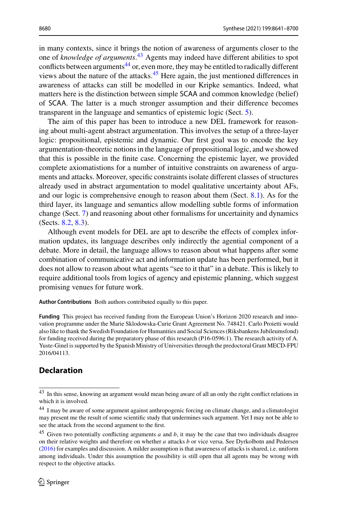in many contexts, since it brings the notion of awareness of arguments closer to the one of *knowledge of arguments*. [43](#page-39-0) Agents may indeed have different abilities to spot conflicts between arguments<sup>[44](#page-39-1)</sup> or, even more, they may be entitled to radically different views about the nature of the attacks. $45$  Here again, the just mentioned differences in awareness of attacks can still be modelled in our Kripke semantics. Indeed, what matters here is the distinction between simple SCAA and common knowledge (belief) of SCAA. The latter is a much stronger assumption and their difference becomes transparent in the language and semantics of epistemic logic (Sect. [5\)](#page-12-0).

The aim of this paper has been to introduce a new DEL framework for reasoning about multi-agent abstract argumentation. This involves the setup of a three-layer logic: propositional, epistemic and dynamic. Our first goal was to encode the key argumentation-theoretic notions in the language of propositional logic, and we showed that this is possible in the finite case. Concerning the epistemic layer, we provided complete axiomatistions for a number of intuitive constraints on awareness of arguments and attacks. Moreover, specific constraints isolate different classes of structures already used in abstract argumentation to model qualitative uncertainty about AFs, and our logic is comprehensive enough to reason about them (Sect. [8.1\)](#page-29-0). As for the third layer, its language and semantics allow modelling subtle forms of information change (Sect. [7\)](#page-25-0) and reasoning about other formalisms for uncertainity and dynamics (Sects. [8.2,](#page-32-0) [8.3\)](#page-36-0).

Although event models for DEL are apt to describe the effects of complex information updates, its language describes only indirectly the agential component of a debate. More in detail, the language allows to reason about what happens after some combination of communicative act and information update has been performed, but it does not allow to reason about what agents "see to it that" in a debate. This is likely to require additional tools from logics of agency and epistemic planning, which suggest promising venues for future work.

**Author Contributions** Both authors contributed equally to this paper.

**Funding** This project has received funding from the European Union's Horizon 2020 research and innovation programme under the Marie Sklodowska-Curie Grant Agreement No. 748421. Carlo Proietti would also like to thank the Swedish Foundation for Humanities and Social Sciences (Riksbankens Jubileumsfond) for funding received during the preparatory phase of this research (P16-0596:1). The research activity of A. Yuste-Ginel is supported by the Spanish Ministry of Universities through the predoctoral Grant MECD-FPU 2016/04113.

# **Declaration**

<span id="page-39-0"></span><sup>43</sup> In this sense, knowing an argument would mean being aware of all an only the right conflict relations in which it is involved.

<span id="page-39-1"></span><sup>44</sup> I may be aware of some argument against anthropogenic forcing on climate change, and a climatologist may present me the result of some scientific study that undermines such argument. Yet I may not be able to see the attack from the second argument to the first.

<span id="page-39-2"></span><sup>45</sup> Given two potentially conflicting arguments *a* and *b*, it may be the case that two individuals disagree on their relative weights and therefore on whether *a* attacks *b* or vice versa. See Dyrkolbotn and Pederse[n](#page-58-25) [\(2016](#page-58-25)) for examples and discussion. A milder assumption is that awareness of attacks is shared, i.e. uniform among individuals. Under this assumption the possibility is still open that all agents may be wrong with respect to the objective attacks.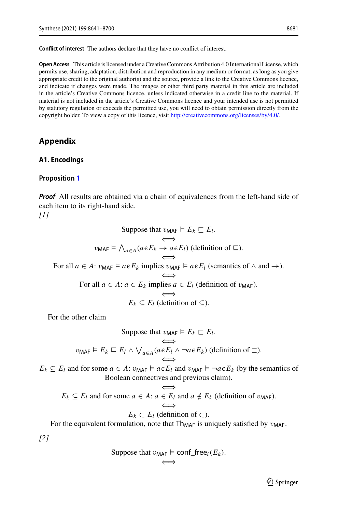**Conflict of interest** The authors declare that they have no conflict of interest.

**Open Access** This article is licensed under a Creative Commons Attribution 4.0 International License, which permits use, sharing, adaptation, distribution and reproduction in any medium or format, as long as you give appropriate credit to the original author(s) and the source, provide a link to the Creative Commons licence, and indicate if changes were made. The images or other third party material in this article are included in the article's Creative Commons licence, unless indicated otherwise in a credit line to the material. If material is not included in the article's Creative Commons licence and your intended use is not permitted by statutory regulation or exceeds the permitted use, you will need to obtain permission directly from the copyright holder. To view a copy of this licence, visit [http://creativecommons.org/licenses/by/4.0/.](http://creativecommons.org/licenses/by/4.0/)

## <span id="page-40-0"></span>**Appendix**

#### <span id="page-40-1"></span>**A1. Encodings**

#### <span id="page-40-2"></span>**Proposition [1](#page-11-0)**

*Proof* All results are obtained via a chain of equivalences from the left-hand side of each item to its right-hand side. *[1]*

Suppose that 
$$
v_{\text{MAF}} \models E_k \sqsubseteq E_l
$$
.  
\n
$$
\iff
$$
\n $v_{\text{MAF}} \models \bigwedge_{a \in A} (a \in E_k \to a \in E_l)$  (definition of  $\sqsubseteq$ ).  
\nFor all  $a \in A$ :  $v_{\text{MAF}} \models a \in E_k$  implies  $v_{\text{MAF}} \models a \in E_l$  (semantics of  $\land$  and  $\rightarrow$ ).  
\nFor all  $a \in A$ :  $a \in E_k$  implies  $a \in E_l$  (definition of  $v_{\text{MAF}}$ ).  
\n $E_k \subseteq E_l$  (definition of  $\subseteq$ ).

For the other claim

Suppose that 
$$
v_{\text{MAF}} \models E_k \sqsubset E_l
$$
.  
\n $v_{\text{MAF}} \models E_k \sqsubseteq E_l \land \bigvee_{a \in A} (a \in E_l \land \neg a \in E_k)$  (definition of  $\sqsubset$ ).

 $E_k \subseteq E_l$  and for some  $a \in A$ :  $v_{\text{MAF}} \models a \in E_l$  and  $v_{\text{MAF}} \models \neg a \in E_k$  (by the semantics of Boolean connectives and previous claim).

$$
E_k \subseteq E_l \text{ and for some } a \in A \colon a \in E_l \text{ and } a \notin E_k \text{ (definition of } v_{\text{MAF}}).
$$

$$
E_k \subset E_l \text{ (definition of } \subset \text{)}.
$$

For the equivalent formulation, note that  $Th_{MAF}$  is uniquely satisfied by  $v_{MAF}$ .

*[2]*

Suppose that 
$$
v_{\text{MAF}} \models \text{conf\_free}_i(E_k)
$$
.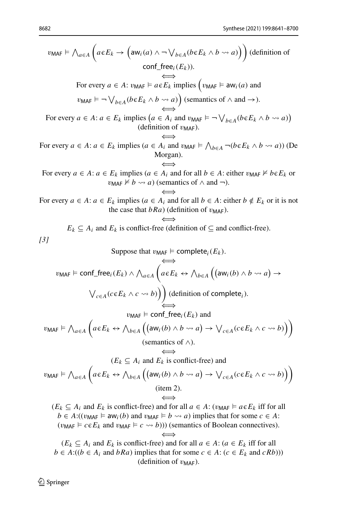$$
v_{\text{MAF}} \models \bigwedge_{a \in A} \left( a \in E_k \rightarrow \left( \text{aw}_i(a) \land \neg \lor_{b \in A} (b \in E_k \land b \leadsto a) \right) \right) \text{(definition of } \text{conf\_free}(E_k)).
$$
\n
$$
\text{For every } a \in A: v_{\text{MAF}} \models a \in E_k \text{ implies } \left( v_{\text{MAF}} \models \text{aw}_i(a) \text{ and } v_{\text{MAF}} \models \neg \lor_{b \in A} (b \in E_k \land b \leadsto a) \right) \text{(semantics of } \land \text{ and } \rightarrow).
$$
\n
$$
\text{For every } a \in A: a \in E_k \text{ implies } (a \in A_i \text{ and } v_{\text{MAF}} \models \neg \lor_{b \in A} (b \in E_k \land b \leadsto a) \text{ (definition of } v_{\text{MAF}}).
$$
\n
$$
\text{For every } a \in A: a \in E_k \text{ implies } (a \in A_i \text{ and } v_{\text{MAF}} \models \bigwedge_{b \in A} \neg (b \in E_k \land b \leadsto a) \text{ (Definition of } v_{\text{MAF}}).
$$
\n
$$
\text{For every } a \in A: a \in E_k \text{ implies } (a \in A_i \text{ and for all } b \in A: \text{ either } v_{\text{MAF}} \nvdash b \in E_k \text{ or } v_{\text{MAF}} \nvdash b \leadsto a) \text{ (semantics of } \land \text{ and } \neg).
$$
\n
$$
\text{For every } a \in A: a \in E_k \text{ implies } (a \in A_i \text{ and for all } b \in A: \text{ either } v_{\text{MAF}} \nvdash b \in E_k \text{ or it is not the case that } b \notin Ra) \text{ (definition of } v_{\text{MAF}}).
$$
\n
$$
E_k \subseteq A_i \text{ and } E_k \text{ is conflict-free (definition of } \subseteq \text{ and conflict-free)}.
$$
\n
$$
\text{Suppose that } v_{\text{MAF}} \models \text{complete}_i(E_k).
$$
\n
$$
v_{\text{MAF}} \models \text{conf\_free}_i(E_k) \land \bigwedge_{a \in A} \left( a \in E_k \leftrightarrow \bigwedge_{b \in A} \left( \text{a} w_i(b) \land b \leadsto
$$

 $(E_k \subseteq A_i$  and  $E_k$  is conflict-free) and for all *a* ∈ *A*: (*a* ∈  $E_k$  iff for all *b* ∈ *A*:((*b* ∈ *A<sub>i</sub>* and *bRa*) implies that for some *c* ∈ *A*: (*c* ∈ *E<sub>k</sub>* and *cRb*))) (definition of  $v_{\text{MAF}}$ ).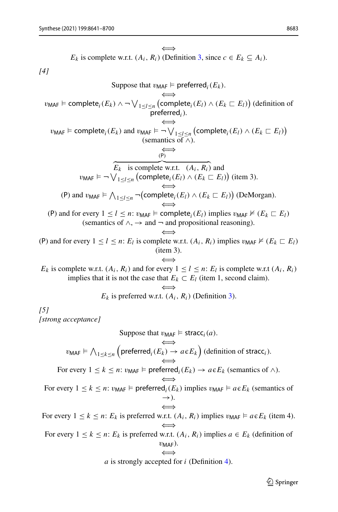E<sub>k</sub> is complete w.r.t. 
$$
(A_i, R_i)
$$
 (Definition 3, since  $c \in E_k \subseteq A_i$ ).  
\n[4]  
\nSuppose that  $v_{\text{MAF}} \models$  preferred<sub>i</sub>(E<sub>k</sub>).  
\n $v_{\text{MAF}} \models$  complete<sub>i</sub>(E<sub>k</sub>) ∧ ¬√<sub>1≤l≤n</sub> (complete<sub>i</sub>(E<sub>i</sub>) ∧ (E<sub>k</sub> ⊆ E<sub>i</sub>)) (definition of  
\nperfect  
\n $v_{\text{MAF}} \models$  complete<sub>i</sub>(E<sub>k</sub>) and  $v_{\text{MAF}} \models$ ¬√<sub>1≤l≤n</sub> (complete<sub>i</sub>(E<sub>i</sub>) ∧ (E<sub>k</sub> ⊆ E<sub>i</sub>)) (semantics of ∧).  
\n $\overbrace{E_k}$  is complete w.r.t.  $(A_i, R_i)$  and  
\n $v_{\text{MAF}} \models$ ¬√<sub>1≤l≤n</sub> (complete<sub>i</sub>(E<sub>i</sub>) ∧ (E<sub>k</sub> ⊆ E<sub>i</sub>)) (item 3).  
\n(P) and  $v_{\text{MAF}} \models$  ∧<sub>1≤l≤n</sub> ¬(complete<sub>i</sub>(E<sub>i</sub>) ∧ (E<sub>k</sub> ⊆ E<sub>i</sub>)) (DeMorgan).  
\n(P) and for every 1 ≤ l ≤ n:  $v_{\text{MAF}} \models$  complete<sub>i</sub>(E<sub>i</sub>) inplies  $v_{\text{MAF}} \not\equiv$  (E<sub>k</sub> ⊆ E<sub>i</sub>) (semantics of ∧, → and ¬ and propositional reasoning).  
\n(P) and for every 1 ≤ l ≤ n:  $E_i$  is complete w.r.t.  $(A_i, R_i)$  implies  $v_{\text{MAF}} \not\equiv$  (E<sub>k</sub> ⊆ E<sub>i</sub>) (item 3).  
\nE<sub>k</sub> is complete w.r.t.  $(A_i, R_i)$  and for every 1 ≤ l ≤ n: E<sub>i</sub> is complete w.r.t.  $(A_i, R_i)$  implies  $v_{\text{MAF}} \not\equiv$  (E<sub>k</sub> ⊆ E<sub>i</sub>) (item 1, second claim).  
\nE<sub>k</sub> is perfected v.r.t.  $(A_i, R_i)$ 

*a* is strongly accepted for *i* (Definition [4\)](#page-9-5).

 $\mathcal{D}$  Springer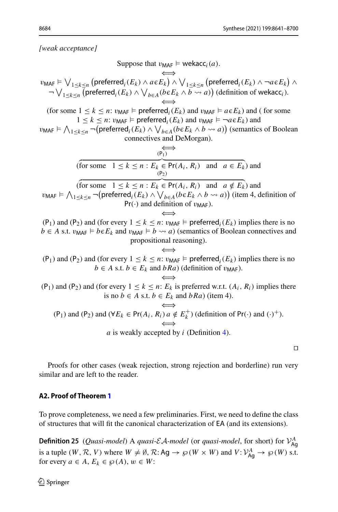*[weak acceptance]*

Suppose that  $v_{\text{MAF}} \models \text{wekacc}_i(a)$ . ⇐⇒  $v_{\mathsf{MAF}} \models \bigvee_{1 \leq k \leq n} \left( \mathsf{preferred}_i(E_k) \land a \in E_k \right) \land \bigvee_{1 \leq k \leq n} \left( \mathsf{preferred}_i(E_k) \land \neg a \in E_k \right) \land$  $\nabla \bigvee_{1 \leq k \leq n}$  (preferred<sub>*i*</sub>( $E_k$ )  $\wedge \bigvee_{b \in A} (b \in E_k \wedge b \leadsto a)$ ) (definition of wekacc<sub>*i*</sub>). ⇐⇒ (for some  $1 \leq k \leq n$ :  $v_{\text{MAF}} \models \text{ preferred}_i(E_k)$  and  $v_{\text{MAF}} \models a \in E_k$ ) and (for some  $1 \leq k \leq n$ :  $v_{\text{MAF}} \models \text{preferred}_i(E_k)$  and  $v_{\text{MAF}} \models \neg a \in E_k$ ) and  $v_{\mathsf{MAF}} \models \bigwedge_{1 \le k \le n} \neg(\mathsf{preferred}_i(E_k) \land \bigvee_{b \in A} (b \in E_k \land b \leadsto a))$  (semantics of Boolean connectives and DeMorgan). ⇐⇒ (  $(P_1)$ for some  $1 \leq k \leq n : E_k \in Pr(A_i, R_i)$  and  $a \in E_k$  and (  $(P_2)$ for some  $1 \le k \le n : E_k \in Pr(A_i, R_i)$  and  $a \notin E_k$  and  $v_{\text{MAF}}$   $\models \bigwedge_{1 \leq k \leq n} \neg(\text{preferred}_i(E_k) \land \bigvee_{b \in A} (b \in E_k \land b \leadsto a))$  (item 4, definition of  $Pr(\cdot)$  and definition of  $v_{\text{MAF}}$ ). ⇐⇒ (P<sub>1</sub>) and (P<sub>2</sub>) and (for every  $1 \le k \le n$ :  $v_{\text{MAF}} \models \text{preferred}_i(E_k)$  implies there is no *b* ∈ *A* s.t.  $v_{\text{MAF}}$   $\models$  *b* $∈E_k$  and  $v_{\text{MAF}}$   $\models$  *b*  $\leadsto$  *a*) (semantics of Boolean connectives and propositional reasoning). ⇐⇒ (P<sub>1</sub>) and (P<sub>2</sub>) and (for every  $1 \leq k \leq n$ :  $v_{\text{MAF}}$   $\models$  preferred<sub>*i*</sub>( $E_k$ ) implies there is no  $b \in A$  s.t.  $b \in E_k$  and  $bRa$ ) (definition of  $v_{\text{MAF}}$ ). ⇐⇒ (P<sub>1</sub>) and (P<sub>2</sub>) and (for every  $1 \le k \le n$ :  $E_k$  is preferred w.r.t.  $(A_i, R_i)$  implies there is no *b* ∈ *A* s.t. *b* ∈  $E_k$  and *bRa*) (item 4). ⇐⇒ (P<sub>1</sub>) and (P<sub>2</sub>) and ( $\forall E_k \in Pr(A_i, R_i) \text{ a } \notin E_k^+$ ) (definition of Pr(·) and (·)<sup>+</sup>). ⇐⇒ *a* is weakly accepted by *i* (Definition [4\)](#page-9-5).

 $\Box$ 

Proofs for other cases (weak rejection, strong rejection and borderline) run very similar and are left to the reader.

#### <span id="page-43-0"></span>**A2. Proof of Theorem [1](#page-17-0)**

<span id="page-43-1"></span>To prove completeness, we need a few preliminaries. First, we need to define the class of structures that will fit the canonical characterization of EA (and its extensions).

**Definition 25** (*Quasi-model*) A *quasi-EA-model* (or *quasi-model*, for short) for  $V_{\text{Ag}}^A$ is a tuple  $(W, \mathcal{R}, V)$  where  $W \neq \emptyset$ ,  $\mathcal{R}:$  Ag  $\rightarrow \wp(W \times W)$  and  $V: \mathcal{V}_{Ag}^A \rightarrow \wp(W)$  s.t. for every  $a \in A$ ,  $E_k \in \mathcal{P}(A)$ ,  $w \in W$ :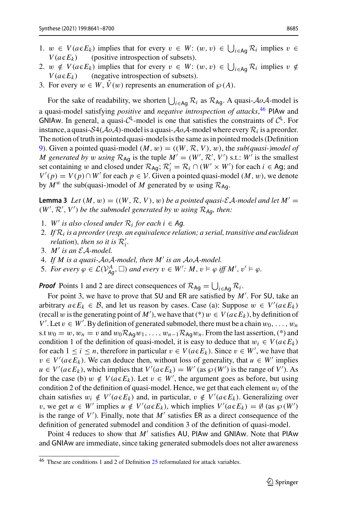- 1.  $w \in V(a \in E_k)$  implies that for every  $v \in W$ :  $(w, v) \in \bigcup_{i \in Ag} R_i$  implies  $v \in W$  $V(a \in E_k)$ (positive introspection of subsets).
- 2.  $w \notin V(a \in E_k)$  implies that for every  $v \in W$ :  $(w, v) \in \bigcup_{i \in Ag} \mathcal{R}_i$  implies  $v \notin V(a \in E_k)$  $V(a \in E_k)$ (negative introspection of subsets).
- 3. For every  $w \in W$ ,  $\hat{V}(w)$  represents an enumeration of  $\wp(A)$ .

For the sake of readability, we shorten  $\bigcup_{i \in Ag} \mathcal{R}_i$  as  $\mathcal{R}_{Ag}$ . A quasi-*AoA*-model is a quasi-model satisfying *positive* and *negative introspection of attacks*, [46](#page-44-0) PIAw and GNIAw. In general, a quasi- $C^{\perp}$ -model is one that satisfies the constraints of  $C^{\perp}$ . For instance, a quasi- $S4(\mathcal{A}o\mathcal{A})$ -model is a quasi- $\mathcal{A}o\mathcal{A}$ -model where every  $\mathcal{R}_i$  is a preorder. The notion of truth in pointed quasi-models is the same as in pointed models (Definition [9\)](#page-13-1). Given a pointed quasi-model  $(M, w) = ((W, \mathcal{R}, V), w)$ , the *sub(quasi-)model of M* generated by *w* using  $\mathcal{R}_{\text{Ag}}$  is the tuple  $M' = (W', \mathcal{R}', V')$  s.t.:  $W'$  is the smallest set containing w and closed under  $\mathcal{R}_{\text{Ag}}$ ;  $\mathcal{R}'_i = \mathcal{R}_i \cap (W' \times W')$  for each  $i \in \text{Ag}$ ; and  $V'(p) = V(p) \cap W'$  for each  $p \in V$ . Given a pointed quasi-model  $(M, w)$ , we denote by  $M^w$  the sub(quasi-)model of M generated by w using  $\mathcal{R}_{Aq}$ .

<span id="page-44-1"></span>**Lemma 3** *Let*  $(M, w) = ((W, R, V), w)$  *be a pointed quasi-EA-model and let*  $M' =$  $(W', \mathcal{R}', V')$  be the submodel generated by w using  $\mathcal{R}_{Ag}$ , then:

- 1. *W'* is also closed under  $\mathcal{R}_i$  for each  $i \in \mathcal{A}$ g.
- 2. *If R<sup>i</sup> is a preorder*(*resp. an equivalence relation; a serial, transitive and euclidean relation*)*, then so it is*  $\mathcal{R}'_i$ *.*
- 3. *M is an EA-model.*
- 4. *If M is a quasi-AoA-model, then M is an AoA-model.*
- 5. *For every*  $\varphi \in \mathcal{L}(V_{Ag}^A, \Box)$  and every  $v \in W'$ :  $M, v \models \varphi$  iff  $M', v' \models \varphi$ .

**Proof** Points 1 and 2 are direct consequences of  $\mathcal{R}_{\text{Ag}} = \bigcup_{i \in \text{Ag}} \mathcal{R}_i$ .

For point 3, we have to prove that SU and ER are satisfied by *M* . For SU, take an arbitrary  $a \in E_k \in B$ , and let us reason by cases. Case (a): Suppose  $w \in V'(a \in E_k)$ (recall w is the generating point of *M*<sup>'</sup>), we have that (\*)  $w \in V(a \epsilon E_k)$ , by definition of *V*'. Let  $v \in W'$ . By definition of generated submodel, there must be a chain  $w_0, \ldots, w_n$ s.t  $w_0 = w$ ,  $w_n = v$  and  $w_0 \mathcal{R}_{A_0} w_1, \ldots, w_{n-1} \mathcal{R}_{A_0} w_n$ . From the last assertion, (\*) and condition 1 of the definition of quasi-model, it is easy to deduce that  $w_i \in V(a \in E_k)$ for each  $1 \le i \le n$ , therefore in particular  $v \in V(a \in E_k)$ . Since  $v \in W'$ , we have that  $v \in V'(a \in E_k)$ . We can deduce then, without loss of generality, that  $u \in W'$  implies  $u \in V'(a \in E_k)$ , which implies that  $V'(a \in E_k) = W'$  (as  $\wp(W')$  is the range of *V*'). As for the case (b)  $w \notin V(a \in E_k)$ . Let  $v \in W'$ , the argument goes as before, but using condition 2 of the definition of quasi-model. Hence, we get that each element  $w_i$  of the chain satisfies  $w_i \notin V'(a \in E_k)$  and, in particular,  $v \notin V'(a \in E_k)$ . Generalizing over *v*, we get *u* ∈ *W*<sup>*'*</sup> implies *u* ∉ *V*<sup>*'*</sup>( $a \in E_k$ ), which implies *V*<sup>'</sup>( $a \in E_k$ ) = Ø (as  $\wp$  (*W*<sup>'</sup>) is the range of  $V'$ ). Finally, note that  $M'$  satisfies ER as a direct consequence of the definition of generated submodel and condition 3 of the definition of quasi-model.

Point 4 reduces to show that *M'* satisfies AU, PIAw and GNIAw. Note that PIAw and GNIAw are immediate, since taking generated submodels does not alter awareness

<span id="page-44-0"></span> $46$  These are conditions 1 and 2 of Definition  $25$  reformulated for attack variables.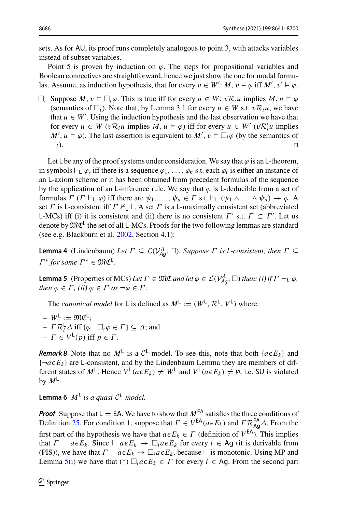sets. As for AU, its proof runs completely analogous to point 3, with attacks variables instead of subset variables.

Point 5 is proven by induction on  $\varphi$ . The steps for propositional variables and Boolean connectives are straightforward, hence we just show the one for modal formulas. Assume, as induction hypothesis, that for every  $v \in W'$ :  $M$ ,  $v \models \varphi$  iff  $M'$ ,  $v' \models \varphi$ .

 $\Box_i$  Suppose *M*,  $v \vDash \Box_i \varphi$ . This is true iff for every  $u \in W$ :  $v \mathcal{R}_i u$  implies  $M, u \vDash \varphi$ (semantics of  $\Box_i$ ). Note that, by Lemma [3.](#page-44-1)1 for every  $u \in W$  s.t.  $vR_iu$ , we have that  $u \in W'$ . Using the induction hypothesis and the last observation we have that for every  $u \in W$  ( $vR_iu$  implies  $M, u \models \varphi$ ) iff for every  $u \in W'$  ( $vR_i'u$  implies  $M', u \models \varphi$ ). The last assertion is equivalent to  $M', v \models \Box_i \varphi$  (by the semantics of  $\Box_i$ ).

Let L be any of the proof systems under consideration. We say that  $\varphi$  is an L-theorem, in symbols  $\vdash_{\mathsf{L}} \varphi$ , iff there is a sequence  $\varphi_1, \ldots, \varphi_n$  s.t. each  $\varphi_i$  is either an instance of an L-axiom scheme or it has been obtained from precedent formulas of the sequence by the application of an L-inference rule. We say that  $\varphi$  is L-deducible from a set of formulas  $\Gamma$  ( $\Gamma \vdash_{\mathsf{L}} \varphi$ ) iff there are  $\psi_1, \ldots, \psi_n \in \Gamma$  s.t.  $\vdash_{\mathsf{L}} (\psi_1 \wedge \ldots \wedge \psi_n) \to \varphi$ . A set Γ is L-consistent iff  $\Gamma \not\vdash \bot$ . A set Γ is a L-maximally consistent set (abbreviated L-MCs) iff (i) it is consistent and (ii) there is no consistent  $\Gamma'$  s.t.  $\Gamma \subset \Gamma'$ . Let us denote by  $\mathfrak{MC}^{\mathsf{L}}$  the set of all L-MCs. Proofs for the two following lemmas are standard (see e.g. Blackburn et al[.](#page-57-14) [2002,](#page-57-14) Section 4.1):

**Lemma 4** (Lindenbaum) *Let*  $\Gamma \subseteq \mathcal{L}(V_{Ag}^A, \square)$ *. Suppose*  $\Gamma$  *is L*-consistent, then  $\Gamma \subseteq$  $\Gamma^*$  for some  $\Gamma^* \in \mathfrak{MC}^{\mathcal{L}}$ .

<span id="page-45-0"></span>**Lemma 5** (Properties of MCs) *Let*  $\Gamma \in \mathfrak{MC}$  *and let*  $\varphi \in \mathcal{L}(V_{Ag}^A, \square)$  *then: (i) if*  $\Gamma \vdash_L \varphi$ *, then*  $\varphi \in \Gamma$ *, (ii)*  $\varphi \in \Gamma$  *or*  $\neg \varphi \in \Gamma$ *.* 

The *canonical model* for L is defined as  $M^{\perp} := (W^{\perp}, \mathcal{R}^{\perp}, V^{\perp})$  where:

 $-W^{\mathsf{L}} := \mathfrak{MC}^{\mathsf{L}}$ ;  $-I^{\prime} \mathcal{R}_{i}^{\mathsf{L}} \Delta$  iff  $\{\varphi \mid \Box_{i} \varphi \in \Gamma\} \subseteq \Delta$ ; and  $-\Gamma \in V^{\mathsf{L}}(p)$  iff  $p \in \Gamma$ .

*Remark 8* Note that no  $M^{\perp}$  is a  $C^{\perp}$ -model. To see this, note that both { $a \in E_k$ } and  $\{\neg a \in E_k\}$  are L-consistent, and by the Lindenbaum Lemma they are members of different states of  $M^{\mathsf{L}}$ . Hence  $V^{\mathsf{L}}(a \in E_k) \neq W^{\mathsf{L}}$  and  $V^{\mathsf{L}}(a \in E_k) \neq \emptyset$ , i.e. SU is violated by  $M^{\mathsf{L}}$ .

**Lemma 6**  $M^L$  *is a quasi-* $C^L$ *-model.* 

*Proof* Suppose that  $L = EA$ . We have to show that  $M<sup>EA</sup>$  satisfies the three conditions of Definition [25.](#page-43-1) For condition 1, suppose that  $\Gamma \in V^{\text{EA}}(a \in E_k)$  and  $\Gamma \mathcal{R}^{\text{EA}}_{\text{Ag}} \Delta$ . From the first part of the hypothesis we have that  $a \in E_k \in \Gamma$  (definition of  $V^{EA}$ ). This implies that  $\Gamma \vdash a \in E_k$ . Since  $\vdash a \in E_k \rightarrow \Box_i a \in E_k$  for every  $i \in \text{Ag}$  (it is derivable from (PIS)), we have that  $\Gamma \vdash a \in E_k \to \Box_i a \in E_k$ , because  $\vdash$  is monotonic. Using MP and Lemma [5\(](#page-45-0)i) we have that (\*)  $\Box_i a \in E_k \in \Gamma$  for every  $i \in Ag$ . From the second part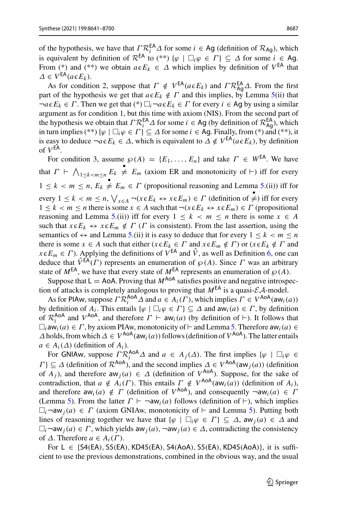of the hypothesis, we have that  $\Gamma \mathcal{R}_i^{\mathsf{EA}} \Delta$  for some  $i \in \mathsf{Ag}$  (definition of  $\mathcal{R}_{\mathsf{Ag}}$ ), which is equivalent by definition of  $\mathcal{R}^{EA}$  to (\*\*) { $\varphi \mid \Box_i \varphi \in \Gamma$  }  $\subset \Delta$  for some  $i \in Ag$ . From (\*) and (\*\*) we obtain  $a \in E_k \in \Delta$  which implies by definition of  $V^{EA}$  that  $\Delta \in V^{\textsf{EA}}(a \in E_k).$ 

As for condition 2, suppose that  $\Gamma \notin V^{EA}(a \in E_k)$  and  $\Gamma \mathcal{R}^{EA}_{AQ} \Lambda$ . From the first part of the hypothesis we get that  $a \in E_k \notin \Gamma$  and this implies, by Lemma [5\(](#page-45-0)ii) that  $\neg a \in E_k \in \Gamma$ . Then we get that  $(*) \square_i \neg a \in E_k \in \Gamma$  for every  $i \in Ag$  by using a similar argument as for condition 1, but this time with axiom (NIS). From the second part of the hypothesis we obtain that  $\Gamma \mathcal{R}^{EA}_{i} \Delta$  for some  $i \in Ag$  (by definition of  $\mathcal{R}^{EA}_{Ag}$ ), which in turn implies (\*\*) { $\varphi \mid \Box_i \varphi \in \Gamma$ }  $\subseteq \Delta$  for some  $i \in Ag$ . Finally, from (\*) and (\*\*), it is easy to deduce  $\neg a \in E_k \in \Delta$ , which is equivalent to  $\Delta \notin V^{\text{EA}}(a \in E_k)$ , by definition of  $V^{EA}$ .

For condition 3, assume  $\wp(A) = \{E_1, \ldots, E_n\}$  and take  $\Gamma \in W^{EA}$ . We have that  $\Gamma \vdash \bigwedge_{1 \leq k < m \leq n} E_k \neq E_m$  (axiom ER and monotonicity of  $\vdash$ ) iff for every  $1 \leq k < m \leq n$ ,  $E_k \neq E_m \in \Gamma$  (propositional reasoning and Lemma [5.](#page-45-0)(ii)) iff for every  $1 \leq k < m \leq n$ ,  $\bigvee_{x \in A} \neg(x \in E_k \leftrightarrow x \in E_m) \in \Gamma$  (definition of  $\neq$ ) iff for every 1 ≤ *k* < *m* ≤ *n* there is some *x* ∈ *A* such that  $\neg(x \in E_k \leftrightarrow x \in E_m) \in \Gamma$  (propositional reasoning and Lemma [5.](#page-45-0)(ii)) iff for every  $1 \leq k < m \leq n$  there is some  $x \in A$ such that  $x \in E_k \leftrightarrow x \in E_m \notin \Gamma$  ( $\Gamma$  is consistent). From the last assertion, using the semantics of  $\leftrightarrow$  and Lemma [5.](#page-45-0)(ii) it is easy to deduce that for every  $1 \leq k < m \leq n$ there is some  $x \in A$  such that either  $(x \in E_k \in \Gamma \text{ and } x \in E_m \notin \Gamma)$  or  $(x \in E_k \notin \Gamma \text{ and } x \in E_m \notin \Gamma \text{ and } x \in E_m$  $x \in E_m \in \Gamma$ ). Applying the definitions of  $V^{EA}$  and  $\hat{V}$ , as well as Definition [6,](#page-10-0) one can deduce that  $\hat{V}^{\hat{E} \hat{A}}(\Gamma)$  represents an enumeration of  $\wp(A)$ . Since  $\Gamma$  was an arbitrary state of  $M^{EA}$ , we have that every state of  $M^{EA}$  represents an enumeration of  $\wp(A)$ .

Suppose that  $L = A_0A$ . Proving that  $M^{A_0A}$  satisfies positive and negative introspection of attacks is completely analogous to proving that  $M^{EA}$  is a quasi- $\mathcal{EA}$ -model.

As for PIAw, suppose  $\Gamma \mathcal{R}_i^{\text{AoA}} \Delta$  and  $a \in A_i(\Gamma)$ , which implies  $\Gamma \in V^{\text{AoA}}(\text{aw}_i(a))$ by definition of  $A_i$ . This entails  $\{\varphi \mid \Box_i \varphi \in \Gamma\} \subseteq \Delta$  and  $aw_i(a) \in \Gamma$ , by definition of  $\mathcal{R}_i^{\text{AoA}}$  and  $V^{\text{AoA}}$ , and therefore  $\Gamma \vdash aw_i(a)$  (by definition of  $\vdash$ ). It follows that  $\Box_i$ **aw**<sub>i</sub>(*a*) ∈ *Γ*, by axiom PIAw, monotonicity of  $\vdash$  and Lemma [5.](#page-45-0) Therefore **aw**<sub>i</sub>(*a*) ∈  $\Delta$  holds, from which  $\Delta \in V^{AoA}(\mathsf{aw}_i(a))$  follows (definition of  $V^{AoA}$ ). The latter entails  $a \in A_i(\Delta)$  (definition of  $A_i$ ).

For GNIAw, suppose  $\Gamma \mathcal{R}_i^{\text{AoA}} \Delta$  and  $a \in A_j(\Delta)$ . The first implies  $\{\varphi \mid \Box_i \varphi \in \mathcal{R}_i \}$  $\Gamma \subseteq \Delta$  (definition of  $\mathcal{R}^{\mathsf{AoA}}$ ), and the second implies  $\Delta \in V^{\mathsf{AoA}}(\mathsf{aw}_i(a))$  (definition of  $\overline{A}_i$ ), and therefore  $aw_j(a) \in \Delta$  (definition of  $V^{AoA}$ ). Suppose, for the sake of contradiction, that  $a \notin A_i(\Gamma)$ . This entails  $\Gamma \notin V^{\text{AoA}}(\text{aw}_i(a))$  (definition of  $A_i$ ), and therefore  $aw_i(a) \notin \Gamma$  (definition of  $V^{AoA}$ ), and consequently  $\neg aw_i(a) \in \Gamma$ (Lemma [5\)](#page-45-0). From the latter  $\Gamma \vdash \neg \text{aw}_i(a)$  follows (definition of  $\vdash$ ), which implies  $\Box_i$   $\neg$ aw<sub>*i*</sub>(*a*)  $\in \Gamma$  (axiom GNIAw, monotonicity of  $\vdash$  and Lemma [5\)](#page-45-0). Putting both lines of reasoning together we have that  $\{\varphi \mid \Box_i \varphi \in \Gamma\} \subseteq \Delta$ , aw<sub>*i*</sub>(*a*)  $\in \Delta$  and  $\Box_i$  ¬aw<sub>*j*</sub>(*a*)  $\in$  *Γ*, which yields aw<sub>*j*</sub>(*a*), ¬aw<sub>*j*</sub>(*a*)  $\in$  Δ, contradicting the consistency of  $\Delta$ . Therefore  $a \in A_i(\Gamma)$ .

For  $L \in \{S4(EA), S5(EA), KD45(EA), S4(AoA), S5(EA), KD45(AoA)\},\$ it is sufficient to use the previous demonstrations, combined in the obvious way, and the usual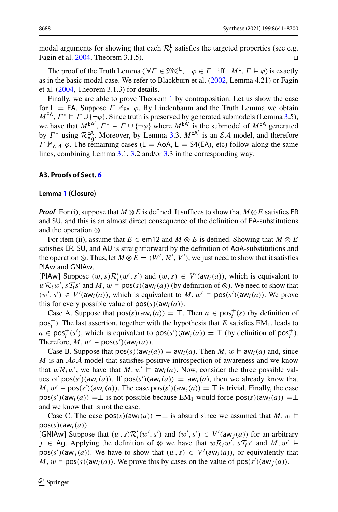modal arguments for showing that each  $\mathcal{R}_i^{\mathsf{L}}$  satisfies the targeted properties (see e.g. Fagin et al[.](#page-58-19) [2004,](#page-58-19) Theorem 3.1.5). □

The proof of the Truth Lemma ( $\forall \Gamma \in \mathfrak{MC}^{\mathsf{L}}, \varphi \in \Gamma$  iff  $M^{\mathsf{L}}, \Gamma \models \varphi$ ) is exactly as in the basic modal case. We refer to Blackburn et al. [\(2002,](#page-57-14) Lemma 4.21) or Fagin et al. [\(2004,](#page-58-19) Theorem 3.1.3) for details.

Finally, we are able to prove Theorem [1](#page-17-0) by contraposition. Let us show the case for L = EA. Suppose  $\Gamma \nvdash_{FA} \varphi$ . By Lindenbaum and the Truth Lemma we obtain  $M^{EA}$ ,  $\Gamma^* \models \Gamma \cup \{\neg \varphi\}$ . Since truth is preserved by generated submodels (Lemma [3.](#page-44-1)5), we have that  $M^{EA}$ ,  $\Gamma^* \models \Gamma \cup \{\neg \varphi\}$  where  $M^{EA}$  is the submodel of  $M^{EA}$  generated by  $\Gamma^*$  using  $\mathcal{R}_{\text{Ag}}^{\text{EA}}$ . Moreover, by Lemma [3.](#page-44-1)3,  $M^{\text{EA'}}$  is an  $\mathcal{E} \mathcal{A}$ -model, and therefore  $\Gamma \nvDash_{\mathcal{EA}} \varphi$ . The remaining cases (L = AoA, L = S4(EA), etc) follow along the same lines, combining Lemma [3.](#page-44-1)1, [3.](#page-44-1)2 and/or [3.](#page-44-1)3 in the corresponding way.

## <span id="page-47-0"></span>**A3. Proofs of Sect. [6](#page-18-0)**

#### <span id="page-47-1"></span>**Lemma [1](#page-23-0) (Closure)**

*Proof* For (i), suppose that  $M \otimes E$  is defined. It suffices to show that  $M \otimes E$  satisfies ER and SU, and this is an almost direct consequence of the definition of EA-substitutions and the operation ⊗.

For item (ii), assume that  $E \in \text{em12}$  and  $M \otimes E$  is defined. Showing that  $M \otimes E$ satisfies ER, SU, and AU is straightforward by the definition of AoA-substitutions and the operation ⊗. Thus, let  $M \otimes E = (W', \mathcal{R}', V')$ , we just need to show that it satisfies PIAw and GNIAw.

[PIAw] Suppose  $(w, s) \mathcal{R}'_i(w', s')$  and  $(w, s) \in V'(\text{aw}_i(a))$ , which is equivalent to  $wR_iw'$ ,  $sT_i s'$  and *M*,  $w \models \text{pos}(s)(aw_i(a))$  (by definition of ⊗). We need to show that  $(w', s') \in V'(\text{aw}_i(a))$ , which is equivalent to  $M, w' \models \text{pos}(s')(\text{aw}_i(a))$ . We prove this for every possible value of  $pos(s)(aw<sub>i</sub>(a))$ .

Case A. Suppose that  $pos(s)(aw_i(a)) = T$ . Then  $a \in pos_i^+(s)$  (by definition of  $pos<sub>i</sub><sup>+</sup>$ ). The last assertion, together with the hypothesis that *E* satisfies EM<sub>1</sub>, leads to  $a \in \text{pos}_i^+(s')$ , which is equivalent to  $\text{pos}(s')(\text{aw}_i(a)) = \top$  (by definition of  $\text{pos}_i^+$ ). Therefore,  $M, w' \models \text{pos}(s')(\text{aw}_i(a)).$ 

Case B. Suppose that  $pos(s)(aw_i(a)) = aw_i(a)$ . Then *M*,  $w \vDash aw_i(a)$  and, since *M* is an *AoA*-model that satisfies positive introspection of awareness and we know that  $w \mathcal{R}_i w'$ , we have that  $M, w' \models \mathsf{aw}_i(a)$ . Now, consider the three possible values of  $pos(s')(aw_i(a))$ . If  $pos(s')(aw_i(a)) = aw_i(a)$ , then we already know that  $M, w' \models \text{pos}(s')(\text{aw}_i(a))$ . The case  $\text{pos}(s')(\text{aw}_i(a)) = \top$  is trivial. Finally, the case  $pos(s')(aw_i(a)) = \perp$  is not possible because EM<sub>1</sub> would force  $pos(s)(aw_i(a)) = \perp$ and we know that is not the case.

Case C. The case  $pos(s)(aw_i(a)) = \perp$  is absurd since we assumed that *M*, *w*  $\models$  $pos(s)(aw<sub>i</sub>(a)).$ 

[GNIAw] Suppose that  $(w, s) \mathcal{R}'_i(w', s')$  and  $(w', s') \in V'(\text{aw}_j(a))$  for an arbitrary *j* ∈ Ag. Applying the definition of ⊗ we have that  $w \mathcal{R}_i w'$ ,  $s \mathcal{T}_i s'$  and  $M, w' \models$  $pos(s')(aw_j(a))$ . We have to show that  $(w, s) \in V'(\text{aw}_i(a))$ , or equivalently that  $M, w \models \text{pos}(s)(aw_i(a))$ . We prove this by cases on the value of  $\text{pos}(s')(aw_j(a))$ .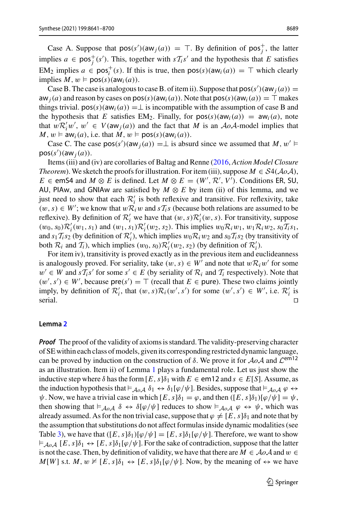Case A. Suppose that  $pos(s')(aw_j(a)) = \top$ . By definition of  $pos_j^+$ , the latter implies  $a \in \text{pos}_j^+(s')$ . This, together with  $sT_i s'$  and the hypothesis that *E* satisfies  $EM_2$  implies  $a \in \text{pos}_i^+(s)$ . If this is true, then  $\text{pos}(s)(aw_i(a)) = \top$  which clearly implies  $M, w \models pos(s)(aw_i(a))$ .

Case B. The case is analogous to case B. of item ii). Suppose that  $pos(s')(aw_j(a)) =$  $aw_j(a)$  and reason by cases on  $pos(s)(aw_j(a))$ . Note that  $pos(s)(aw_j(a)) = \top$  makes things trivial.  $pos(s)(aw<sub>i</sub>(a)) = \perp$  is incompatible with the assumption of case B and the hypothesis that *E* satisfies EM<sub>2</sub>. Finally, for  $pos(s)(aw<sub>i</sub>(a)) = aw<sub>i</sub>(a)$ , note that  $wR_i'w', w' \in V(\text{aw}_j(a))$  and the fact that *M* is an  $AoA$ -model implies that  $M, w \models \text{aw}_i(a), \text{ i.e. that } M, w \models \text{pos}(s)(\text{aw}_i(a)).$ 

Case C. The case  $pos(s')(aw_j(a)) = \perp$  is absurd since we assumed that *M*,  $w' \vDash$  $pos(s')(aw_j(a))$ .

Items (iii) and (iv) are corollaries of Baltag and Renne [\(2016](#page-56-14), *Action Model Closure Theorem*). We sketch the proofs for illustration. For item (iii), suppose  $M \in S4(\mathcal{A}o\mathcal{A})$ , *E* ∈ emS4 and *M* ⊗ *E* is defined. Let *M* ⊗ *E* = (*W'*,  $\mathcal{R}'$ ,  $V'$ ). Conditions ER, SU, AU, PIAw, and GNIAw are satisfied by  $M \otimes E$  by item (ii) of this lemma, and we just need to show that each  $\mathcal{R}'_i$  is both reflexive and transitive. For reflexivity, take  $(w, s) \in W'$ ; we know that  $wR_iw$  and  $sT_i s$  (because both relations are assumed to be reflexive). By definition of  $\mathcal{R}'_i$  we have that  $(w, s)\mathcal{R}'_i(w, s)$ . For transitivity, suppose  $(w_0, s_0) \mathcal{R}'_i(w_1, s_1)$  and  $(w_1, s_1) \mathcal{R}'_i(w_2, s_2)$ . This implies  $w_0 \mathcal{R}_i w_1, w_1 \mathcal{R}_i w_2, s_0 \mathcal{T}_i s_1$ , and  $s_1$  *T*<sub>*i*</sub>s<sub>2</sub> (by definition of *R*<sup>*i*</sup><sub>*i*</sub>), which implies  $w_0$ *R*<sub>*i*</sub> $w_2$  and  $s_0$ *T*<sub>*i*</sub>s<sub>2</sub> (by transitivity of both  $\mathcal{R}_i$  and  $\mathcal{T}_i$ ), which implies  $(w_0, s_0) \mathcal{R}'_i(w_2, s_2)$  (by definition of  $\mathcal{R}'_i$ ).

For item iv), transitivity is proved exactly as in the previous item and euclideanness is analogously proved. For seriality, take  $(w, s) \in W'$  and note that  $w \mathcal{R}_i w'$  for some  $w'$  ∈ *W* and  $sT_i s'$  for some  $s'$  ∈ *E* (by seriality of  $\mathcal{R}_i$  and  $\mathcal{T}_i$  respectively). Note that  $(w', s')$  ∈ *W'*, because pre(*s'*) = ⊤ (recall that *E* ∈ pure). These two claims jointly imply, by definition of  $\mathcal{R}'_i$ , that  $(w, s)\mathcal{R}_i(w', s')$  for some  $(w', s') \in W'$ , i.e.  $\mathcal{R}'_i$  is serial.

#### <span id="page-48-0"></span>**Lemma [2](#page-24-0)**

*Proof* The proof of the validity of axioms is standard. The validity-preserving character of SE within each class of models, given its corresponding restricted dynamic language, can be proved by induction on the construction of  $\delta$ . We prove it for  $A \circ A$  and  $\mathcal{L}^{em12}$ as an illustration. Item ii) of Lemma [1](#page-23-0) plays a fundamental role. Let us just show the inductive step where  $\delta$  has the form  $[E, s]\delta_1$  with  $E \in \text{em12}$  and  $s \in E[S]$ . Assume, as the induction hypothesis that  $\models_{A_0A} \delta_1 \leftrightarrow \delta_1[\varphi/\psi]$ . Besides, suppose that  $\models_{A_0A} \varphi \leftrightarrow$  $\psi$ . Now, we have a trivial case in which  $[E, s]\delta_1 = \varphi$ , and then  $([E, s]\delta_1)[\varphi/\psi] = \psi$ , then showing that  $\models_{A \circ A} \delta \leftrightarrow \delta[\varphi/\psi]$  reduces to show  $\models_{A \circ A} \varphi \leftrightarrow \psi$ , which was already assumed. As for the non trivial case, suppose that  $\varphi \neq [E, s] \delta_1$  and note that by the assumption that substitutions do not affect formulas inside dynamic modalities (see Table [3\)](#page-24-2), we have that  $([E, s]\delta_1)[\varphi/\psi] = [E, s]\delta_1[\varphi/\psi]$ . Therefore, we want to show  $\vdash_{\mathcal{A}\circ\mathcal{A}} [E, s]\delta_1 \leftrightarrow [E, s]\delta_1[\varphi/\psi]$ . For the sake of contradiction, suppose that the latter is not the case. Then, by definition of validity, we have that there are  $M \in \mathcal{A}o\mathcal{A}$  and  $w \in$  $M[W]$  s.t.  $M, w \nvDash [E, s]\delta_1 \leftrightarrow [E, s]\delta_1[\varphi/\psi]$ . Now, by the meaning of  $\leftrightarrow$  we have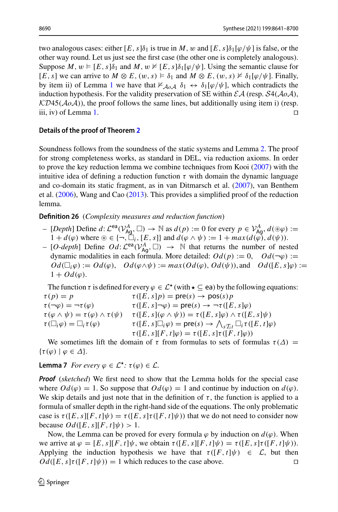two analogous cases: either  $[E, s]\delta_1$  is true in *M*, w and  $[E, s]\delta_1[\varphi/\psi]$  is false, or the other way round. Let us just see the first case (the other one is completely analogous). Suppose  $M$ ,  $w \models [E, s]\delta_1$  and  $M$ ,  $w \not\vDash [E, s]\delta_1[\varphi/\psi]$ . Using the semantic clause for [*E*, *s*] we can arrive to  $M \otimes E$ ,  $(w, s) \models \delta_1$  and  $M \otimes E$ ,  $(w, s) \not\models \delta_1[\varphi/\psi]$ . Finally, by item ii) of Lemma [1](#page-23-0) we have that  $\nvDash_{A_0, A} \delta_1 \leftrightarrow \delta_1[\varphi/\psi]$ , which contradicts the induction hypothesis. For the validity preservation of SE within  $\mathcal{E}A$  (resp.  $\mathcal{S}4(\mathcal{A}o\mathcal{A})$ , *KD*45( $A \circ A$ )), the proof follows the same lines, but additionally using item i) (resp. iii. iv) of Lemma 1. iii, iv) of Lemma [1.](#page-23-0)

## <span id="page-49-0"></span>**Details of the proof of Theorem [2](#page-24-1)**

Soundness follows from the soundness of the static systems and Lemma [2.](#page-24-0) The proof for strong completeness works, as standard in DEL, via reduction axioms. In order to prove the key reduction lemma we combine techniques from Koo[i](#page-58-27) [\(2007\)](#page-58-27) with the intuitive idea of defining a reduction function  $\tau$  with domain the dynamic language and co-domain its static fragment, as in van Ditmarsch et al[.](#page-59-3) [\(2007](#page-59-3)), van Benthem et al[.](#page-59-8) [\(2006\)](#page-59-8), Wang and Ca[o](#page-59-22) [\(2013](#page-59-22)). This provides a simplified proof of the reduction lemma.

**Definition 26** (*Complexity measures and reduction function*)

- $\vdash$  [*Depth*] Define *d*:  $\mathcal{L}^{ea}(V_{Ag}^A, \Box)$  → N as *d*(*p*) := 0 for every *p* ∈  $V_{Ag}^A$ , *d*(⊛*φ*) :=  $1 + d(\varphi)$  where  $\mathcal{F} \in \{\neg, \Box_i, [E, s]\}$  and  $d(\varphi \wedge \psi) := 1 + \max(d(\varphi), d(\psi)).$
- [*O-depth*] Define  $Od: \mathcal{L}^{ea}(V_{AG}^A, \Box)$  → N that returns the number of nested dynamic modalities in each formula. More detailed:  $Od(p) := 0$ ,  $Od(\neg \varphi) :=$  $Od(\Box_i \varphi) := Od(\varphi), \quad Od(\varphi \wedge \psi) := max(Od(\varphi), Od(\psi)),$  and  $Od([E, s] \varphi) :=$  $1 + Od(\varphi)$ .

The function  $\tau$  is defined for every  $\varphi \in \mathcal{L}^*(\text{with } \star \subseteq \text{ea})$  by the following equations:<br> $\tau(p) = p$   $\tau([E, s]p) = \text{pre}(s) \to \text{pos}(s)p$  $\tau(p) = p$ <br>  $\tau(\neg \varphi) = \neg \tau(\varphi)$ <br>  $\tau([E, s] \neg \varphi) = \text{pre}(s) \rightarrow \neg \tau([E, s] \neg \varphi)$  $\tau(\neg \varphi) = \neg \tau(\varphi)$   $\tau([E, s] \neg \varphi) = \text{pre}(s) \rightarrow \neg \tau([E, s] \varphi)$ <br> $\tau(\varphi \land \psi) = \tau(\varphi) \land \tau(\psi)$   $\tau([E, s] (\varphi \land \psi)) = \tau([E, s] \varphi) \land \tau([E, s] \varphi)$  $\tau(\varphi \wedge \psi) = \tau(\varphi) \wedge \tau(\psi) \qquad \tau([E, s](\varphi \wedge \psi)) = \tau([E, s]\varphi) \wedge \tau([E, s]\psi)$ <br>  $\tau(\Box_i \varphi) = \Box_i \tau(\varphi) \qquad \qquad \tau([E, s] \Box_i \varphi) = \text{pre}(s) \rightarrow \bigwedge_{\gamma, \tau, \tau} \Box_i \tau([E, t]\varphi)$  $\tau([E, s] \Box_i \varphi) = \text{pre}(s) \rightarrow \bigwedge_{s \mathcal{I}_i t} \Box_i \tau([E, t] \varphi)$  $\tau([E, s][F, t]\varphi) = \tau([E, s]\tau([F, t]\varphi))$ 

<span id="page-49-1"></span>We sometimes lift the domain of  $\tau$  from formulas to sets of formulas  $\tau(\Delta)$  =  $\{\tau(\varphi) \mid \varphi \in \Delta\}.$ 

**Lemma 7** *For every*  $\varphi \in \mathcal{L}^{\star}$ :  $\tau(\varphi) \in \mathcal{L}$ .

*Proof* (*sketched*) We first need to show that the Lemma holds for the special case where  $Od(\varphi) = 1$ . So suppose that  $Od(\varphi) = 1$  and continue by induction on  $d(\varphi)$ . We skip details and just note that in the definition of  $\tau$ , the function is applied to a formula of smaller depth in the right-hand side of the equations. The only problematic case is  $\tau([E, s][F, t]\psi) = \tau([E, s]\tau([F, t]\psi))$  that we do not need to consider now because  $Od([E, s][F, t]\psi) > 1$ .

Now, the Lemma can be proved for every formula  $\varphi$  by induction on  $d(\varphi)$ . When we arrive at  $\varphi = [E, s][F, t]\psi$ , we obtain  $\tau([E, s][F, t]\psi) = \tau([E, s]\tau([F, t]\psi))$ . Applying the induction hypothesis we have that  $\tau([F, t]\psi) \in \mathcal{L}$ , but then  $Od([E, s]\tau([F, t]\psi)) = 1$  which reduces to the case above.  $Od([E, s]\tau([F, t]\psi)) = 1$  which reduces to the case above.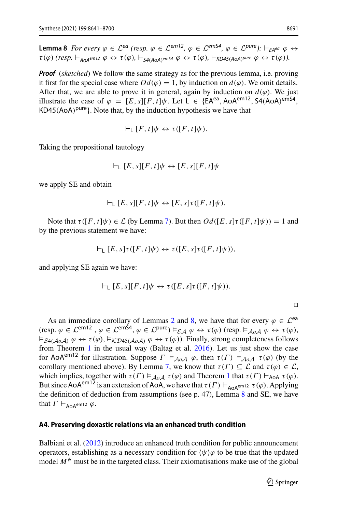<span id="page-50-1"></span>**Lemma 8** *For every*  $\varphi \in \mathcal{L}^{ea}$  *(resp.*  $\varphi \in \mathcal{L}^{em12}$ ,  $\varphi \in \mathcal{L}^{em54}$ ,  $\varphi \in \mathcal{L}^{pure}$ ):  $\vdash_{\mathsf{F}A^{ea}} \varphi \leftrightarrow$  $\tau(\varphi)$  *(resp.*  $\vdash_{\text{A}\cap\text{A}}\text{em12}\varphi \leftrightarrow \tau(\varphi)$ ,  $\vdash_{\text{S4(A}\cap\text{A}}\text{em54}\varphi \leftrightarrow \tau(\varphi)$ ,  $\vdash_{\text{K}D\text{45(A}\cap\text{A})}\text{pure}\varphi \leftrightarrow \tau(\varphi)$ ).

*Proof* (*sketched*) We follow the same strategy as for the previous lemma, i.e. proving it first for the special case where  $Od(\varphi) = 1$ , by induction on  $d(\varphi)$ . We omit details. After that, we are able to prove it in general, again by induction on  $d(\varphi)$ . We just illustrate the case of  $\varphi = [E, s][F, t]\psi$ . Let  $L \in \{EA^{ea}, A\circ A^{em12}, S\circ (A\circ A)^{emS4},$  $KD45(AoA)^{pure}$ . Note that, by the induction hypothesis we have that

$$
\vdash_{\mathsf{L}} [F, t] \psi \leftrightarrow \tau([F, t] \psi).
$$

Taking the propositional tautology

$$
\vdash_{\mathsf{L}} [E, s][F, t]\psi \leftrightarrow [E, s][F, t]\psi
$$

we apply SE and obtain

$$
\vdash_{\mathsf{L}} [E, s][F, t]\psi \leftrightarrow [E, s]\tau([F, t]\psi).
$$

Note that  $\tau([F, t]\psi) \in \mathcal{L}$  (by Lemma [7\)](#page-49-1). But then  $Od([E, s]\tau([F, t]\psi)) = 1$  and by the previous statement we have:

$$
\vdash_{\mathsf{L}} [E, s] \tau([F, t] \psi) \leftrightarrow \tau([E, s] \tau([F, t] \psi)),
$$

and applying SE again we have:

$$
\vdash_{\mathsf{L}} [E,s][F,t]\psi \leftrightarrow \tau([E,s]\tau([F,t]\psi)).
$$

As an immediate corollary of Lemmas [2](#page-24-0) and [8,](#page-50-1) we have that for every  $\varphi \in \mathcal{L}^{ea}$  $(\text{resp. } \varphi \in \mathcal{L}^{\text{em12}} , \varphi \in \mathcal{L}^{\text{em54}}, \varphi \in \mathcal{L}^{\text{pure}}) \models_{\mathcal{E},A} \varphi \leftrightarrow \tau(\varphi) \text{ (resp. } \models_{A_0,A} \varphi \leftrightarrow \tau(\varphi),$  $\vDash_{\mathcal{S}4(\mathcal{A}\mathit{o}\mathcal{A})}\varphi \leftrightarrow \tau(\varphi), \vDash_{\mathcal{K}\mathcal{D}45(\mathcal{A}\mathit{o}\mathcal{A})}\varphi \leftrightarrow \tau(\varphi)$ ). Finally, strong completeness follows from Theorem [1](#page-17-0) in the usual way (Baltag et al[.](#page-56-7) [2016\)](#page-56-7). Let us just show the case for AoA<sup>em12</sup> for illustration. Suppose  $\Gamma \models_{A \circ A} \varphi$ , then  $\tau(\Gamma) \models_{A \circ A} \tau(\varphi)$  (by the corollary mentioned above). By Lemma [7,](#page-49-1) we know that  $\tau(\Gamma) \subseteq \mathcal{L}$  and  $\tau(\varphi) \in \mathcal{L}$ , which implies, together with  $\tau(\Gamma) \models_{A_0, A} \tau(\varphi)$  and Theorem [1](#page-17-0) that  $\tau(\Gamma) \vdash_{A_0, A} \tau(\varphi)$ . But since AoA<sup>em12</sup> is an extension of AoA, we have that  $\tau(\Gamma) \vdash_{A \circ A^{e m 12}} \tau(\varphi)$ . Applying the definition of deduction from assumptions (see p. 47), Lemma [8](#page-50-1) and SE, we have that  $\Gamma \vdash_{A \cap A^{em12}} \varphi$ .

#### <span id="page-50-0"></span>**A4. Preserving doxastic relations via an enhanced truth condition**

Balbiani et al[.](#page-56-15) [\(2012](#page-56-15)) introduce an enhanced truth condition for public announcement operators, establishing as a necessary condition for  $\langle \psi \rangle \varphi$  to be true that the updated model  $M^{\psi}$  must be in the targeted class. Their axiomatisations make use of the global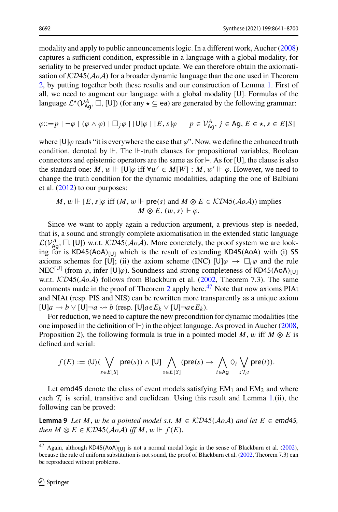modality and apply to public announcements logic. In a different work, Auche[r](#page-56-16) [\(2008\)](#page-56-16) captures a sufficient condition, expressible in a language with a global modality, for seriality to be preserved under product update. We can therefore obtain the axiomatisation of  $KD45(A_0A)$  for a broader dynamic language than the one used in Theorem [2,](#page-24-1) by putting together both these results and our construction of Lemma [1.](#page-23-0) First of all, we need to augment our language with a global modality [U]. Formulas of the language  $\mathcal{L}^*(\mathcal{V}_{Ag}^A, \Box, [U])$  (for any  $\star \subseteq$  ea) are generated by the following grammar:

$$
\varphi ::= p \mid \neg \varphi \mid (\varphi \land \varphi) \mid \Box_j \varphi \mid [U] \varphi \mid [E, s] \varphi \qquad p \in \mathcal{V}_{\text{Ag}}^A, j \in \text{Ag}, E \in \star, s \in E[S]
$$

where [U] $\varphi$  reads "it is everywhere the case that  $\varphi$ ". Now, we define the enhanced truth condition, denoted by  $\Vdash$ . The  $\Vdash$ -truth clauses for propositional variables, Boolean connectors and epistemic operators are the same as for  $\models$ . As for [U], the clause is also the standard one:  $M, w \Vdash [U]\varphi$  iff  $\forall w' \in M[W] : M, w' \Vdash \varphi$ . However, we need to change the truth condition for the dynamic modalities, adapting the one of Balbiani et al[.](#page-56-15) [\(2012\)](#page-56-15) to our purposes:

$$
M, w \Vdash [E, s] \varphi \text{ iff } (M, w \Vdash \text{pre}(s) \text{ and } M \otimes E \in \mathcal{KD45}(AoA)) \text{ implies}
$$
  

$$
M \otimes E, (w, s) \Vdash \varphi.
$$

Since we want to apply again a reduction argument, a previous step is needed, that is, a sound and strongly complete axiomatisation in the extended static language  $\mathcal{L}(V_{\mathsf{Ag}}^A, \Box, [\mathsf{U}])$  w.r.t.  $\mathcal{K}D45(\mathcal{A}o\mathcal{A})$ . More concretely, the proof system we are looking for is  $KDA5(AoA)_{[U]}$  which is the result of extending  $KDA5(AoA)$  with (i) S5 axioms schemes for [U]; (ii) the axiom scheme (INC)  $[U]\varphi \to \Box_i \varphi$  and the rule NEC<sup>[U]</sup> (from  $\varphi$ , infer [U] $\varphi$ ). Soundness and strong completeness of KD45(AoA)<sub>[U]</sub> w.r.t. *KD*45(*AoA*) follows from Blackburn et al. [\(2002,](#page-57-14) Theorem 7.3). The same comments made in the proof of Theorem [2](#page-24-1) apply here.<sup>[47](#page-51-0)</sup> Note that now axioms PIAt and NIAt (resp. PIS and NIS) can be rewritten more transparently as a unique axiom  $[U]$ *a*  $\leadsto b \vee [U] \neg a \leadsto b$  (resp.  $[U]$ *a*  $\in E_k \vee [U] \neg a \in E_k$ ).

For reduction, we need to capture the new precondition for dynamic modalities (the one imposed in the definition of  $\mathbb{H}$ ) in the object language. As proved in Aucher [\(2008,](#page-56-16) Proposition 2), the following formula is true in a pointed model *M*, w iff  $M \otimes E$  is defined and serial:

<span id="page-51-1"></span>
$$
f(E) := \langle \mathsf{U} \rangle \left( \bigvee_{s \in E[S]} \mathsf{pre}(s) \right) \wedge [\mathsf{U}] \bigwedge_{s \in E[S]} (\mathsf{pre}(s) \to \bigwedge_{i \in \mathsf{Ag}} \Diamond_i \bigvee_{s \mathcal{T}_{i}t} \mathsf{pre}(t)).
$$

Let emd45 denote the class of event models satisfying  $EM_1$  and  $EM_2$  and where each  $T_i$  is serial, transitive and euclidean. Using this result and Lemma [1.](#page-23-0)(ii), the following can be proved:

**Lemma 9** *Let M*, *w be a pointed model s.t. M* ∈  $K\mathcal{D}45(\mathcal{A}o\mathcal{A})$  *and let*  $E \in \mathcal{E}$  *emd45, then*  $M \otimes E \in \mathcal{K}D45(\mathcal{A}o\mathcal{A})$  *iff*  $M, w \Vdash f(E)$ .

<span id="page-51-0"></span><sup>&</sup>lt;sup>47</sup> Again, although KD45(AoA)<sub>[U]</sub> is not a normal modal logic in the sense of Blackburn et al. [\(2002](#page-57-14)), because the rule of uniform substitution is not sound, the proof of Blackburn et al. [\(2002,](#page-57-14) Theorem 7.3) can be reproduced without problems.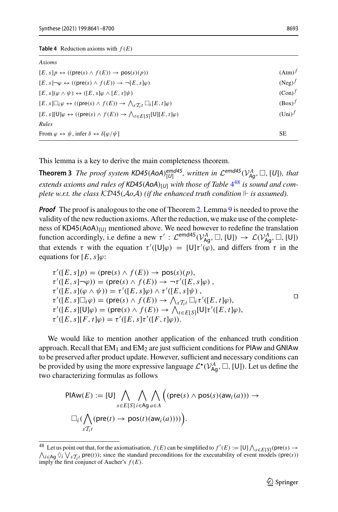<span id="page-52-1"></span>

| Axioms                                                                                                                                |                  |
|---------------------------------------------------------------------------------------------------------------------------------------|------------------|
| $[E, s]p \leftrightarrow ((\text{pre}(s) \wedge f(E)) \rightarrow \text{pos}(s)(p))$                                                  | $(Atm)^f$        |
| $[E, s] \neg \varphi \leftrightarrow ((\text{pre}(s) \land f(E)) \rightarrow \neg [E, s] \varphi)$                                    | $(Neg)^f$        |
| $[E, s](\varphi \wedge \psi) \leftrightarrow ([E, s]\varphi \wedge [E, s]\psi)$                                                       | $(Con)^f$        |
| $[E, s] \Box_i \varphi \leftrightarrow ((\text{pre}(s) \land f(E)) \rightarrow \bigwedge_{s \mathcal{T}_{i}t} \Box_i [E, t] \varphi)$ | $(Box)^f$        |
| $[E, s][U]\varphi \leftrightarrow ((\text{pre}(s) \wedge f(E)) \rightarrow \bigwedge_{t \in F[S]} [U][E, t]\varphi)$                  | $(\text{Uni})^f$ |
| Rules                                                                                                                                 |                  |
| From $\varphi \leftrightarrow \psi$ , infer $\delta \leftrightarrow \delta[\varphi/\psi]$                                             | <b>SE</b>        |
|                                                                                                                                       |                  |

<span id="page-52-0"></span>This lemma is a key to derive the main completeness theorem.

**Theorem 3** *The proof system KD45*(*AoA*) $_{[U]}^{emd45}$ *, written in*  $\mathcal{L}^{emd45}(V_{Ag}^{A}, \Box, [U])$ *, that* extends axioms and rules of KD[4](#page-52-1)5(AoA)<sub>[*U*]</sub> with those of Table 4<sup>[48](#page-52-2)</sup> is sound and com*plete w.r.t. the class*  $KDA5(AoA)$  *(if the enhanced truth condition*  $\mathrel{\Vdash}$  *is assumed).* 

*Proof* The proof is analogous to the one of Theorem [2.](#page-24-1) Lemma [9](#page-51-1) is needed to prove the validity of the new reduction axioms. After the reduction, we make use of the completeness of  $KDA5(AoA)_{[U]}$  mentioned above. We need however to redefine the translation function accordingly, i.e define a new  $\tau' : \mathcal{L}^{emd45}(\mathcal{V}_{Ag}^A, \Box, [U]) \rightarrow \mathcal{L}(\mathcal{V}_{Ag}^A, \Box, [U])$ that extends  $\tau$  with the equation  $\tau'([U]\varphi) = [U]\tau'(\varphi)$ , and differs from  $\tau$  in the equations for  $[E, s]\varphi$ :

$$
\tau'([E, s]p) = (\text{pre}(s) \land f(E)) \to \text{pos}(s)(p),\tau'([E, s] - \varphi)) = (\text{pre}(s) \land f(E)) \to \neg \tau'([E, s] \varphi),\tau'([E, s](\varphi \land \psi)) = \tau'([E, s] \varphi) \land \tau'([E, s] \psi),\tau'([E, s] \Box_i \varphi) = (\text{pre}(s) \land f(E)) \to \bigwedge_{s \mathcal{T}_{i}t} \Box_i \tau'([E, t] \varphi),\tau'([E, s] [U] \varphi) = (\text{pre}(s) \land f(E)) \to \bigwedge_{t \in E[S]} [U] \tau'([E, t] \varphi),\tau'([E, s] [F, t] \varphi) = \tau'([E, s] \tau'([F, t] \varphi)).
$$

We would like to mention another application of the enhanced truth condition approach. Recall that  $EM_1$  and  $EM_2$  are just sufficient conditions for PIAw and GNIAw to be preserved after product update. However, sufficient and necessary conditions can be provided by using the more expressive language  $\mathcal{L}^{\star}(\mathcal{V}_{\mathsf{Ag}}^{A}, \Box, [\mathsf{U}])$ . Let us define the two characterizing formulas as follows

$$
\mathsf{PIAW}(E) := [\mathsf{U}] \bigwedge_{s \in E[S]} \bigwedge_{i \in Ag} \bigwedge_{a \in A} \Big( (\mathsf{pre}(s) \land \mathsf{pos}(s)(\mathsf{aw}_i(a))) \rightarrow \\ \square_i \big( \bigwedge_{s \mathcal{T}_{i}t} (\mathsf{pre}(t) \rightarrow \mathsf{pos}(t)(\mathsf{aw}_i(a)))) \Big).
$$

<span id="page-52-2"></span><sup>48</sup> Let us point out that, for the axiomatisation,  $f(E)$  can be simplified to  $f'(E) := [U] \bigwedge_{s \in E[S]} (\text{pre}(s) \rightarrow A \text{pre}(s))$  $\bigwedge_{i \in \mathbf{A}g} \bigvee_i \bigvee_{s} T_i t$  pre(*t*)); since the standard preconditions for the executability of event models (pre(*s*)) imply the first conjunct of Aucher's  $f(E)$ .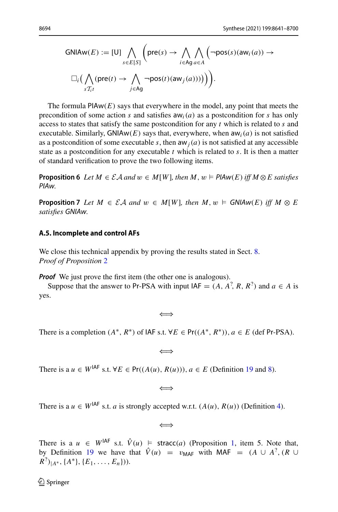$$
GNIAW(E) := [U] \bigwedge_{s \in E[S]} \left( \text{pre}(s) \to \bigwedge_{i \in Ag} \bigwedge_{a \in A} \left( \neg \text{pos}(s)(aw_i(a)) \to \square_i \left( \bigwedge_{s \in I_i} (\text{pre}(t) \to \bigwedge_{j \in Ag} \neg \text{pos}(t)(aw_j(a)) ) \right) \right) \right).
$$

The formula  $PIAw(E)$  says that everywhere in the model, any point that meets the precondition of some action *s* and satisfies  $aw_i(a)$  as a postcondition for *s* has only access to states that satisfy the same postcondition for any *t* which is related to *s* and executable. Similarly, GNIAw(E) says that, everywhere, when  $aw_i(a)$  is not satisfied as a postcondition of some executable *s*, then  $aw_j(a)$  is not satisfied at any accessible state as a postcondition for any executable *t* which is related to *s*. It is then a matter of standard verification to prove the two following items.

**Proposition 6** *Let*  $M \in \mathcal{EA}$  *and*  $w \in M[W]$ *, then*  $M, w \models \text{PIAw}(E)$  *iff*  $M \otimes E$  *satisfies PIAw.*

**Proposition 7** Let  $M \in \mathcal{EA}$  and  $w \in M[W]$ , then  $M, w \models \text{GNIAW}(E)$  iff  $M \otimes E$ *satisfies GNIAw.*

#### <span id="page-53-0"></span>**A.5. Incomplete and control AFs**

We close this technical appendix by proving the results stated in Sect. [8.](#page-28-0) *Proof of Proposition* [2](#page-30-4)

*Proof* We just prove the first item (the other one is analogous).

Suppose that the answer to Pr-PSA with input  $IAF = (A, A^2, R, R^2)$  and  $a \in A$  is yes.

$$
\Longleftrightarrow
$$

There is a completion  $(A^*, R^*)$  of IAF s.t.  $\forall E \in Pr((A^*, R^*)), a \in E$  (def Pr-PSA).

⇐⇒

There is a  $u \in W^{IAF}$  s.t.  $\forall E \in Pr((A(u), R(u))), a \in E$  (Definition [19](#page-30-6) and [8\)](#page-12-1).

⇐⇒

There is a  $u \in W^{IAF}$  s.t. *a* is strongly accepted w.r.t.  $(A(u), R(u))$  (Definition [4\)](#page-9-5).

⇐⇒

There is a  $u \in W^{IAF}$  s.t.  $\hat{V}(u) \models$  stracc(*a*) (Proposition [1,](#page-11-0) item 5. Note that, by Definition [19](#page-30-6) we have that  $\hat{V}(u) = v_{\text{MAF}}$  with MAF =  $(A \cup A^2, (R \cup A))$  $R^2$ <sub> $|A^*|$ </sub>,  $\{A^*\}, \{E_1, \ldots, E_n\})$ .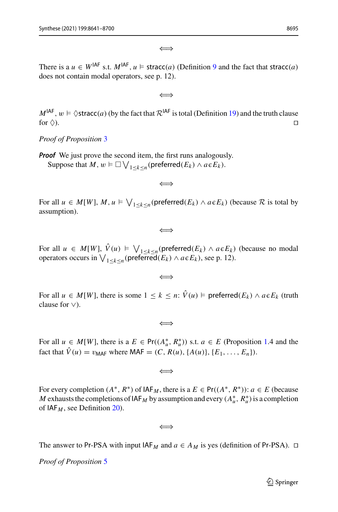⇐⇒

There is a  $u \in W^{IAF}$  s.t.  $M^{IAF}$ ,  $u \models$  stracc(*a*) (Definition [9](#page-13-1) and the fact that stracc(*a*) does not contain modal operators, see p. 12).

⇐⇒

 $M^{IAF}$ ,  $w \models \Diamond \text{stracc}(a)$  (by the fact that  $\mathcal{R}^{IAF}$  is total (Definition [19\)](#page-30-6) and the truth clause for  $\Diamond$ ). for  $\Diamond$ ).

*Proof of Proposition* [3](#page-31-2)

*Proof* We just prove the second item, the first runs analogously. Suppose that  $M, w \models \Box \bigvee_{1 \leq k \leq n} (\textsf{preferred}(E_k) \land a \in E_k).$ 

⇐⇒

For all  $u \in M[W]$ ,  $M, u \models \bigvee_{1 \leq k \leq n} (\text{preferred}(E_k) \land a \in E_k)$  (because  $\mathcal R$  is total by assumption).

⇐⇒

For all  $u \in M[W], V(u) \models \bigvee_{1 \leq k \leq n} (\text{preferred}(E_k) \land a \in E_k)$  (because no modal operators occurs in  $\bigvee_{1 \leq k \leq n} (\text{preferred}(E_k) \land a \in E_k)$ , see p. 12).

⇐⇒

For all  $u \in M[W]$ , there is some  $1 \leq k \leq n$ :  $V(u) \models$  preferred $(E_k) \land a \in E_k$  (truth clause for ∨).

⇐⇒

For all  $u \in M[W]$ , there is a  $E \in Pr((A_u^*, R_u^*))$  s.t.  $a \in E$  (Proposition [1.](#page-11-0)4 and the fact that  $\hat{V}(u) = v_{\text{MAF}}$  where MAF =  $(C, R(u), \{A(u)\}, \{E_1, \ldots, E_n\})$ .

⇐⇒

For every completion  $(A^*, R^*)$  of  $IAF_M$ , there is a  $E \in Pr((A^*, R^*))$ :  $a \in E$  (because *M* exhausts the completions of  $IAF_M$  by assumption and every  $(A_u^*, R_u^*)$  is a completion of  $IAF_M$ , see Definition [20\)](#page-30-5).

⇐⇒

The answer to Pr-PSA with input  $IAF_M$  and  $a \in A_M$  is yes (definition of Pr-PSA).  $\Box$ 

*Proof of Proposition* [5](#page-35-0)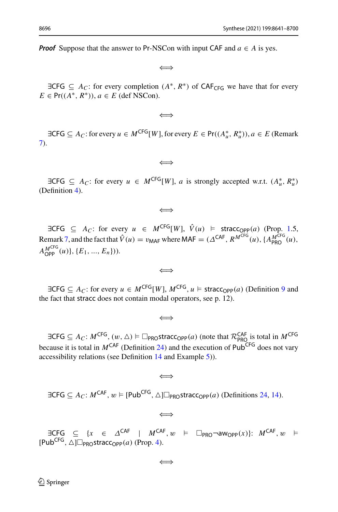*Proof* Suppose that the answer to Pr-NSCon with input CAF and  $a \in A$  is yes.

⇐⇒

 $\exists CFG \subseteq A_C$ : for every completion  $(A^*, R^*)$  of  $CAF_{CFG}$  we have that for every  $E \in Pr((A^*, R^*)), a \in E$  (def NSCon).

⇐⇒

 $\exists \mathsf{CFG} \subseteq A_C$ : for every  $u \in M^{\mathsf{CFG}}[W]$ , for every  $E \in \mathsf{Pr}((A_u^*, R_u^*)), a \in E$  (Remark [7\)](#page-34-2).

⇐⇒

 $\exists \text{CFG} \subseteq A_C$ : for every  $u \in M^{\text{CFG}}[W]$ , *a* is strongly accepted w.r.t.  $(A_u^*, R_u^*)$ (Definition [4\)](#page-9-5).

⇐⇒

 $\exists \text{CFG} \subseteq A_C$ : for every  $u \in M^{\text{CFG}}[W]$ ,  $\hat{V}(u) \models \text{stracC}_{\text{OPP}}(a)$  (Prop. [1.](#page-11-0)5, Remark [7,](#page-34-2) and the fact that  $\hat{V}(u) = v_{\text{MAF}}$  where MAF =  $(\Delta^{\text{CAF}}, R^{M^{\text{CFG}}}(u), \{A_{\text{PRO}}^{M^{\text{CG}}}(u),$  $A_{\text{OPP}}^{M<sup>\text{CFG}}(u)</sup>$ ,  $\{E_1, ..., E_n\})$ ).

⇐⇒

 $\exists \text{CFG} \subseteq A_C$ : for every  $u \in M^{\text{CFG}}[W]$ ,  $M^{\text{CFG}}$ ,  $u \models \text{stracC}_\text{OPP}(a)$  (Definition [9](#page-13-1) and the fact that stracc does not contain modal operators, see p. 12).

$$
\Longleftrightarrow
$$

 $\exists \mathsf{CFG} \subseteq A_C: M^{\mathsf{CFG}}, (w, \Delta) \models \Box_{\mathsf{PRO}}\mathsf{stracc}_{\mathsf{OPP}}(a)$  (note that  $\mathcal{R}_{\mathsf{PRO}}^{\mathsf{CAF}}$  is total in  $M^{\mathsf{CFG}}$ because it is total in  $M^{CAF}$  (Definition [24\)](#page-34-3) and the execution of Pub<sup>CFG</sup> does not vary accessibility relations (see Definition [14](#page-19-2) and Example [5\)](#page-19-1)).

$$
\Longleftrightarrow
$$

 $\exists \text{CFG} \subseteq A_C: M^{\text{CAF}}, w \models [\text{Pub}^{\text{CFG}}, \triangle] \square_{\text{PROSTT}^{\text{ART}}} (a) \text{ (Definitions 24, 14)}.$  $\exists \text{CFG} \subseteq A_C: M^{\text{CAF}}, w \models [\text{Pub}^{\text{CFG}}, \triangle] \square_{\text{PROSTT}^{\text{ART}}} (a) \text{ (Definitions 24, 14)}.$  $\exists \text{CFG} \subseteq A_C: M^{\text{CAF}}, w \models [\text{Pub}^{\text{CFG}}, \triangle] \square_{\text{PROSTT}^{\text{ART}}} (a) \text{ (Definitions 24, 14)}.$  $\exists \text{CFG} \subseteq A_C: M^{\text{CAF}}, w \models [\text{Pub}^{\text{CFG}}, \triangle] \square_{\text{PROSTT}^{\text{ART}}} (a) \text{ (Definitions 24, 14)}.$  $\exists \text{CFG} \subseteq A_C: M^{\text{CAF}}, w \models [\text{Pub}^{\text{CFG}}, \triangle] \square_{\text{PROSTT}^{\text{ART}}} (a) \text{ (Definitions 24, 14)}.$ 

⇐⇒

 $\exists \text{CFG} \subseteq \{x \in \Delta^{\text{CAF}} \mid M^{\text{CAF}}, w \models \Box_{\text{PRO}} \neg \text{aw}_{\text{OPP}}(x)\}: M^{\text{CAF}}, w \models$  $[Pub^{CFG}, △]$  $\neg$ <sub>PRO</sub>stracc<sub>OPP</sub>(*a*) (Prop. [4\)](#page-34-4).

$$
\Longleftrightarrow
$$

 $\mathcal{D}$  Springer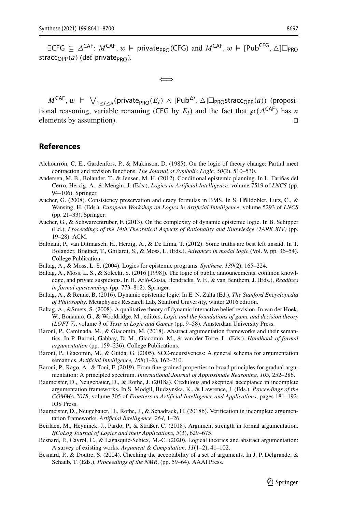$\exists CFG \subseteq \Delta^{CAF}: M^{CAF}, w \models private_{PRO}(CFG) \text{ and } M^{CAF}, w \models [Pub^{CFG}, \triangle] \Box_{PRO}$ stracc<sub>OPP</sub> $(a)$  (def private<sub>PRO</sub>).

⇐⇒

 $M^{\mathsf{CAF}}, w \in \bigvee_{1 \leq l \leq n} (\mathsf{private}_{\mathsf{PRO}}(E_l) \land [\mathsf{Pub}}^{E_l}, \triangle] \Box_{\mathsf{PRO}}{\sf stracc}_{\mathsf{OPP}}(a))$  (propositional reasoning, variable renaming (CFG by  $E_l$ ) and the fact that  $\wp(\Delta^{CAF})$  has *n* elements by assumption).

## <span id="page-56-0"></span>**References**

- <span id="page-56-4"></span>Alchourrón, C. E., Gärdenfors, P., & Makinson, D. (1985). On the logic of theory change: Partial meet contraction and revision functions. *The Journal of Symbolic Logic, 50*(2), 510–530.
- <span id="page-56-17"></span>Andersen, M. B., Bolander, T., & Jensen, M. H. (2012). Conditional epistemic planning. In L. Fariñas del Cerro, Herzig, A., & Mengin, J. (Eds.), *Logics in Artificial Intelligence*, volume 7519 of *LNCS* (pp. 94–106). Springer.
- <span id="page-56-16"></span>Aucher, G. (2008). Consistency preservation and crazy formulas in BMS. In S. Hñlldobler, Lutz, C., & Wansing, H. (Eds.), *European Workshop on Logics in Artificial Intelligence*, volume 5293 of *LNCS* (pp. 21–33). Springer.
- <span id="page-56-6"></span>Aucher, G., & Schwarzentruber, F. (2013). On the complexity of dynamic epistemic logic. In B. Schipper (Ed.), *Proceedings of the 14th Theoretical Aspects of Rationality and Knowledge (TARK XIV)* (pp. 19–28). ACM.
- <span id="page-56-15"></span>Balbiani, P., van Ditmarsch, H., Herzig, A., & De Lima, T. (2012). Some truths are best left unsaid. In T. Bolander, Braüner, T., Ghilardi, S., & Moss, L. (Eds.), *Advances in modal logic* (Vol. 9, pp. 36–54). College Publication.
- <span id="page-56-5"></span>Baltag, A., & Moss, L. S. (2004). Logics for epistemic programs. *Synthese, 139*(2), 165–224.
- <span id="page-56-7"></span>Baltag, A., Moss, L. S., & Solecki, S. (2016 [1998]). The logic of public announcements, common knowledge, and private suspicions. In H. Arló-Costa, Hendricks, V. F., & van Benthem, J. (Eds.), *Readings in formal epistemology* (pp. 773–812). Springer.
- <span id="page-56-14"></span>Baltag, A., & Renne, B. (2016). Dynamic epistemic logic. In E. N. Zalta (Ed.), *The Stanford Encyclopedia of Philosophy*. Metaphysics Research Lab, Stanford University, winter 2016 edition.
- <span id="page-56-8"></span>Baltag, A., &Smets, S. (2008). A qualitative theory of dynamic interactive belief revision. In van der Hoek, W., Bonanno, G., & Wooldridge, M., editors, *Logic and the foundations of game and decision theory (LOFT 7)*, volume 3 of *Texts in Logic and Games* (pp. 9–58). Amsterdam University Press.
- <span id="page-56-9"></span>Baroni, P., Caminada, M., & Giacomin, M. (2018). Abstract argumentation frameworks and their semantics. In P. Baroni, Gabbay, D. M., Giacomin, M., & van der Torre, L. (Eds.), *Handbook of formal argumentation* (pp. 159–236). College Publications.
- <span id="page-56-12"></span>Baroni, P., Giacomin, M., & Guida, G. (2005). SCC-recursiveness: A general schema for argumentation semantics. *Artificial Intelligence, 168*(1–2), 162–210.
- <span id="page-56-11"></span>Baroni, P., Rago, A., & Toni, F. (2019). From fine-grained properties to broad principles for gradual argumentation: A principled spectrum. *International Journal of Approximate Reasoning, 105,* 252–286.
- <span id="page-56-2"></span>Baumeister, D., Neugebauer, D., & Rothe, J. (2018a). Credulous and skeptical acceptance in incomplete argumentation frameworks. In S. Modgil, Budzynska, K., & Lawrence, J. (Eds.), *Proceedings of the COMMA 2018*, volume 305 of *Frontiers in Artificial Intelligence and Applications*, pages 181–192. IOS Press.
- <span id="page-56-3"></span>Baumeister, D., Neugebauer, D., Rothe, J., & Schadrack, H. (2018b). Verification in incomplete argumentation frameworks. *Artificial Intelligence, 264,* 1–26.
- <span id="page-56-10"></span>Beirlaen, M., Heyninck, J., Pardo, P., & Straßer, C. (2018). Argument strength in formal argumentation. *IfCoLog Journal of Logics and their Applications, 5*(3), 629–675.
- <span id="page-56-1"></span>Besnard, P., Cayrol, C., & Lagasquie-Schiex, M.-C. (2020). Logical theories and abstract argumentation: A survey of existing works. *Argument & Computation, 11*(1–2), 41–102.
- <span id="page-56-13"></span>Besnard, P., & Doutre, S. (2004). Checking the acceptability of a set of arguments. In J. P. Delgrande, & Schaub, T. (Eds.), *Proceedings of the NMR*, (pp. 59–64). AAAI Press.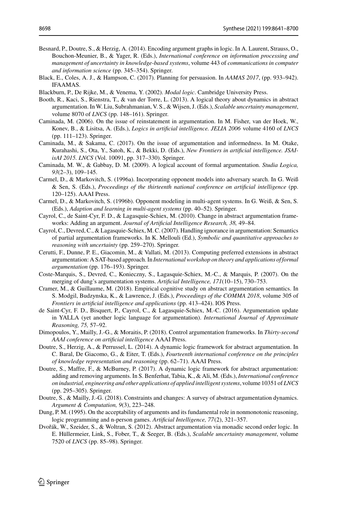- <span id="page-57-10"></span>Besnard, P., Doutre, S., & Herzig, A. (2014). Encoding argument graphs in logic. In A. Laurent, Strauss, O., Bouchon-Meunier, B., & Yager, R. (Eds.), *International conference on information processing and management of uncertainty in knowledge-based systems*, volume 443 of *communications in computer and information science* (pp. 345–354). Springer.
- <span id="page-57-3"></span>Black, E., Coles, A. J., & Hampson, C. (2017). Planning for persuasion. In *AAMAS 2017*, (pp. 933–942). IFAAMAS.

<span id="page-57-14"></span>Blackburn, P., De Rijke, M., & Venema, Y. (2002). *Modal logic*. Cambridge University Press.

- <span id="page-57-5"></span>Booth, R., Kaci, S., Rienstra, T., & van der Torre, L. (2013). A logical theory about dynamics in abstract argumentation. In W. Liu, Subrahmanian, V. S., & Wijsen, J. (Eds.), *Scalable uncertainty management*, volume 8070 of *LNCS* (pp. 148–161). Springer.
- <span id="page-57-8"></span>Caminada, M. (2006). On the issue of reinstatement in argumentation. In M. Fisher, van der Hoek, W., Konev, B., & Lisitsa, A. (Eds.), *Logics in artificial intelligence. JELIA 2006* volume 4160 of *LNCS* (pp. 111–123). Springer.
- <span id="page-57-20"></span>Caminada, M., & Sakama, C. (2017). On the issue of argumentation and informedness. In M. Otake, Kurahashi, S., Ota, Y., Satoh, K., & Bekki, D. (Eds.), *New Frontiers in artificial intelligence. JSAIisAI 2015. LNCS* (Vol. 10091, pp. 317–330). Springer.
- <span id="page-57-9"></span>Caminada, M. W., & Gabbay, D. M. (2009). A logical account of formal argumentation. *Studia Logica, 93*(2–3), 109–145.
- <span id="page-57-18"></span>Carmel, D., & Markovitch, S. (1996a). Incorporating opponent models into adversary search. In G. Weiß & Sen, S. (Eds.), *Proceedings of the thirteenth national conference on artificial intelligence* (pp. 120–125). AAAI Press.
- <span id="page-57-19"></span>Carmel, D., & Markovitch, S. (1996b). Opponent modeling in multi-agent systems. In G. Weiß, & Sen, S. (Eds.), *Adaption and learning in multi-agent systems* (pp. 40–52). Springer.
- <span id="page-57-15"></span>Cayrol, C., de Saint-Cyr, F. D., & Lagasquie-Schiex, M. (2010). Change in abstract argumentation frameworks: Adding an argument. *Journal of Artificial Intelligence Research, 38,* 49–84.
- <span id="page-57-17"></span>Cayrol, C., Devred, C., & Lagasquie-Schiex, M. C. (2007). Handling ignorance in argumentation: Semantics of partial argumentation frameworks. In K. Mellouli (Ed.), *Symbolic and quantitative approaches to reasoning with uncertainty* (pp. 259–270). Springer.
- <span id="page-57-1"></span>Cerutti, F., Dunne, P. E., Giacomin, M., & Vallati, M. (2013). Computing preferred extensions in abstract argumentation: A SAT-based approach. In *International workshop on theory and applications of formal argumentation* (pp. 176–193). Springer.
- <span id="page-57-16"></span>Coste-Marquis, S., Devred, C., Konieczny, S., Lagasquie-Schiex, M.-C., & Marquis, P. (2007). On the merging of dung's argumentation systems. *Artificial Intelligence, 171*(10–15), 730–753.
- <span id="page-57-7"></span>Cramer, M., & Guillaume, M. (2018). Empirical cognitive study on abstract argumentation semantics. In S. Modgil, Budzynska, K., & Lawrence, J. (Eds.), *Proceedings of the COMMA 2018*, volume 305 of *Frontiers in artificial intelligence and applications* (pp. 413–424). IOS Press.
- <span id="page-57-6"></span>de Saint-Cyr, F. D., Bisquert, P., Cayrol, C., & Lagasquie-Schiex, M.-C. (2016). Argumentation update in YALLA (yet another logic language for argumentation). *International Journal of Approximate Reasoning, 75,* 57–92.
- <span id="page-57-2"></span>Dimopoulos, Y., Mailly, J.-G., & Moraitis, P. (2018). Control argumentation frameworks. In *Thirty-second AAAI conference on artificial intelligence* AAAI Press.
- <span id="page-57-11"></span>Doutre, S., Herzig, A., & Perrussel, L. (2014). A dynamic logic framework for abstract argumentation. In C. Baral, De Giacomo, G., & Eiter, T. (Eds.), *Fourteenth international conference on the principles of knowledge representation and reasoning* (pp. 62–71). AAAI Press.
- <span id="page-57-12"></span>Doutre, S., Maffre, F., & McBurney, P. (2017). A dynamic logic framework for abstract argumentation: adding and removing arguments. In S. Benferhat, Tabia, K., & Ali, M. (Eds.), *International conference on industrial, engineering and other applications of applied intelligent systems*, volume 10351 of *LNCS* (pp. 295–305). Springer.
- <span id="page-57-4"></span>Doutre, S., & Mailly, J.-G. (2018). Constraints and changes: A survey of abstract argumentation dynamics. *Argument & Computation, 9*(3), 223–248.
- <span id="page-57-0"></span>Dung, P. M. (1995). On the acceptability of arguments and its fundamental role in nonmonotonic reasoning, logic programming and n-person games. *Artificial Intelligence, 77*(2), 321–357.
- <span id="page-57-13"></span>Dvořák, W., Szeider, S., & Woltran, S. (2012). Abstract argumentation via monadic second order logic. In E. Hüllermeier, Link, S., Fober, T., & Seeger, B. (Eds.), *Scalable uncertainty management*, volume 7520 of *LNCS* (pp. 85–98). Springer.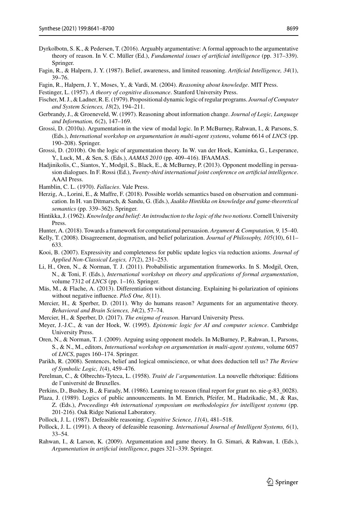- <span id="page-58-25"></span>Dyrkolbotn, S. K., & Pedersen, T. (2016). Arguably argumentative: A formal approach to the argumentative theory of reason. In V. C. Müller (Ed.), *Fundamental issues of artificial intelligence* (pp. 317–339). Springer.
- <span id="page-58-18"></span>Fagin, R., & Halpern, J. Y. (1987). Belief, awareness, and limited reasoning. *Artificial Intelligence, 34*(1), 39–76.

<span id="page-58-19"></span>Fagin, R., Halpern, J. Y., Moses, Y., & Vardi, M. (2004). *Reasoning about knowledge*. MIT Press.

- <span id="page-58-12"></span>Festinger, L. (1957). *A theory of cognitive dissonance*. Stanford University Press.
- <span id="page-58-8"></span>Fischer,M. J., & Ladner, R. E. (1979). Propositional dynamic logic of regular programs. *Journal of Computer and System Sciences, 18*(2), 194–211.
- <span id="page-58-10"></span>Gerbrandy, J., & Groeneveld, W. (1997). Reasoning about information change. *Journal of Logic, Language and Information, 6*(2), 147–169.
- <span id="page-58-16"></span>Grossi, D. (2010a). Argumentation in the view of modal logic. In P. McBurney, Rahwan, I., & Parsons, S. (Eds.), *International workshop on argumentation in multi-agent systems*, volume 6614 of *LNCS* (pp. 190–208). Springer.
- <span id="page-58-17"></span>Grossi, D. (2010b). On the logic of argumentation theory. In W. van der Hoek, Kaminka, G., Lesperance, Y., Luck, M., & Sen, S. (Eds.), *AAMAS 2010* (pp. 409–416). IFAAMAS.
- <span id="page-58-2"></span>Hadjinikolis, C., Siantos, Y., Modgil, S., Black, E., & McBurney, P. (2013). Opponent modelling in persuasion dialogues. In F. Rossi (Ed.), *Twenty-third international joint conference on artificial intelligence*. AAAI Press.
- <span id="page-58-5"></span>Hamblin, C. L. (1970). *Fallacies*. Vale Press.
- <span id="page-58-24"></span>Herzig, A., Lorini, E., & Maffre, F. (2018). Possible worlds semantics based on observation and communication. In H. van Ditmarsch, & Sandu, G. (Eds.), *Jaakko Hintikka on knowledge and game-theoretical semantics* (pp. 339–362). Springer.
- <span id="page-58-21"></span>Hintikka, J. (1962).*Knowledge and belief: An introduction to the logic of the two notions*. Cornell University Press.
- <span id="page-58-3"></span>Hunter, A. (2018). Towards a framework for computational persuasion. *Argument & Computation, 9,* 15–40.
- <span id="page-58-14"></span>Kelly, T. (2008). Disagreement, dogmatism, and belief polarization. *Journal of Philosophy, 105*(10), 611– 633.
- <span id="page-58-27"></span>Kooi, B. (2007). Expressivity and completeness for public update logics via reduction axioms. *Journal of Applied Non-Classical Logics, 17*(2), 231–253.
- <span id="page-58-23"></span>Li, H., Oren, N., & Norman, T. J. (2011). Probabilistic argumentation frameworks. In S. Modgil, Oren, N., & Toni, F. (Eds.), *International workshop on theory and applications of formal argumentation*, volume 7312 of *LNCS* (pp. 1–16). Springer.
- <span id="page-58-15"></span>Mäs, M., & Flache, A. (2013). Differentiation without distancing. Explaining bi-polarization of opinions without negative influence. *PloS One, 8*(11).
- <span id="page-58-13"></span>Mercier, H., & Sperber, D. (2011). Why do humans reason? Arguments for an argumentative theory. *Behavioral and Brain Sciences, 34*(2), 57–74.
- <span id="page-58-0"></span>Mercier, H., & Sperber, D. (2017). *The enigma of reason*. Harvard University Press.
- <span id="page-58-20"></span>Meyer, J.-J.C., & van der Hoek, W. (1995). *Epistemic logic for AI and computer science*. Cambridge University Press.
- <span id="page-58-1"></span>Oren, N., & Norman, T. J. (2009). Arguing using opponent models. In McBurney, P., Rahwan, I., Parsons, S., & N., M., editors, *International workshop on argumentation in multi-agent systems*, volume 6057 of *LNCS*, pages 160–174. Springer.
- <span id="page-58-22"></span>Parikh, R. (2008). Sentences, belief and logical omniscience, or what does deduction tell us? *The Review of Symbolic Logic, 1*(4), 459–476.
- <span id="page-58-4"></span>Perelman, C., & Olbrechts-Tyteca, L. (1958). *Traité de l'argumentation*. La nouvelle rhétorique: Éditions de l'université de Bruxelles.
- <span id="page-58-11"></span>Perkins, D., Bushey, B., & Farady, M. (1986). Learning to reason (final report for grant no. nie-g-83\_0028).
- <span id="page-58-9"></span>Plaza, J. (1989). Logics of public announcements. In M. Emrich, Pfeifer, M., Hadzikadic, M., & Ras, Z. (Eds.), *Proceedings 4th international symposium on methodologies for intelligent systems* (pp. 201-216). Oak Ridge National Laboratory.
- <span id="page-58-6"></span>Pollock, J. L. (1987). Defeasible reasoning. *Cognitive Science, 11*(4), 481–518.
- <span id="page-58-7"></span>Pollock, J. L. (1991). A theory of defeasible reasoning. *International Journal of Intelligent Systems, 6*(1), 33–54.
- <span id="page-58-26"></span>Rahwan, I., & Larson, K. (2009). Argumentation and game theory. In G. Simari, & Rahwan, I. (Eds.), *Argumentation in artificial intelligence*, pages 321–339. Springer.